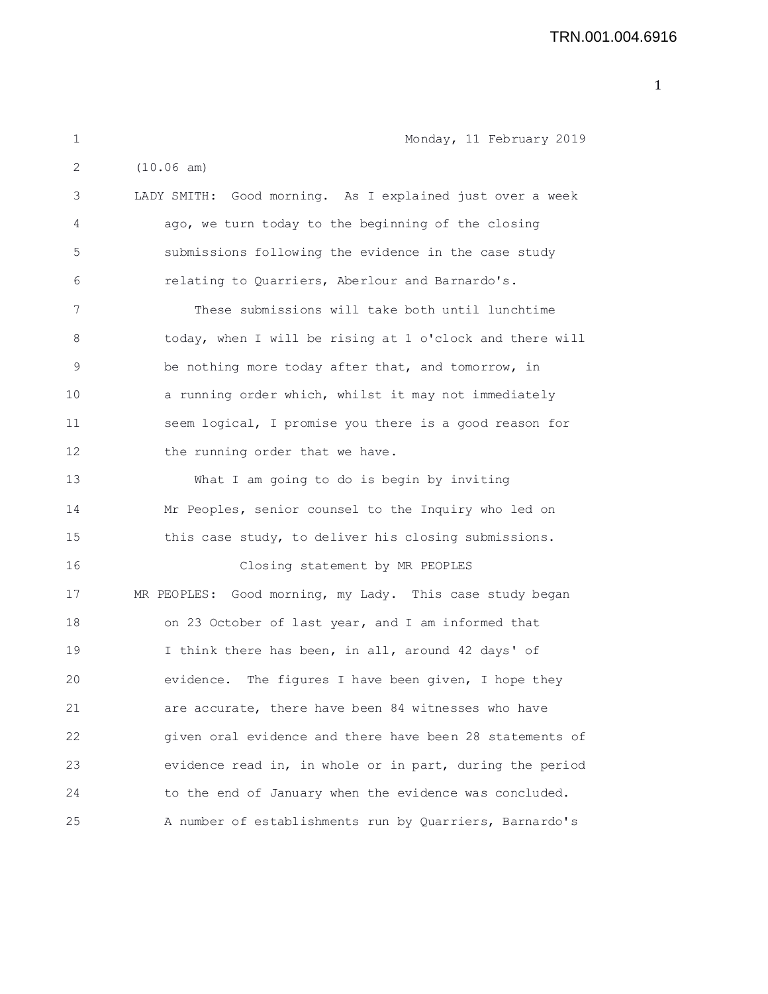## TRN.001.004.6916

| $\mathbf 1$ | Monday, 11 February 2019                                  |
|-------------|-----------------------------------------------------------|
| 2           | (10.06 am)                                                |
| 3           | LADY SMITH: Good morning. As I explained just over a week |
| 4           | ago, we turn today to the beginning of the closing        |
| 5           | submissions following the evidence in the case study      |
| 6           | relating to Quarriers, Aberlour and Barnardo's.           |
| 7           | These submissions will take both until lunchtime          |
| 8           | today, when I will be rising at 1 o'clock and there will  |
| 9           | be nothing more today after that, and tomorrow, in        |
| 10          | a running order which, whilst it may not immediately      |
| 11          | seem logical, I promise you there is a good reason for    |
| 12          | the running order that we have.                           |
| 13          | What I am going to do is begin by inviting                |
| 14          | Mr Peoples, senior counsel to the Inquiry who led on      |
| 15          | this case study, to deliver his closing submissions.      |
| 16          | Closing statement by MR PEOPLES                           |
| 17          | MR PEOPLES: Good morning, my Lady. This case study began  |
| 18          | on 23 October of last year, and I am informed that        |
| 19          | I think there has been, in all, around 42 days' of        |
| 20          | evidence. The figures I have been given, I hope they      |
| 21          | are accurate, there have been 84 witnesses who have       |
| 22          | given oral evidence and there have been 28 statements of  |
| 23          | evidence read in, in whole or in part, during the period  |
| 24          | to the end of January when the evidence was concluded.    |
| 25          | A number of establishments run by Quarriers, Barnardo's   |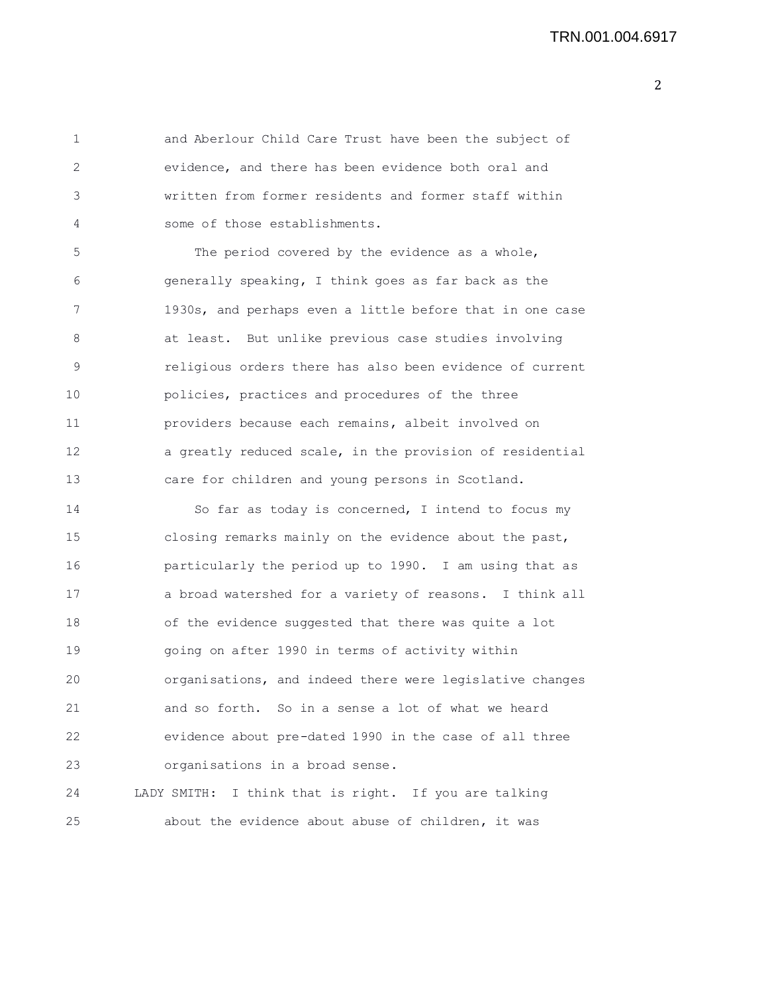1 and Aberlour Child Care Trust have been the subject of 2 evidence, and there has been evidence both oral and 3 written from former residents and former staff within 4 some of those establishments. 5 The period covered by the evidence as a whole, 6 generally speaking, I think goes as far back as the 7 1930s, and perhaps even a little before that in one case 8 at least. But unlike previous case studies involving 9 religious orders there has also been evidence of current 10 policies, practices and procedures of the three 11 providers because each remains, albeit involved on 12 a greatly reduced scale, in the provision of residential 13 care for children and young persons in Scotland. 14 So far as today is concerned, I intend to focus my 15 closing remarks mainly on the evidence about the past, 16 particularly the period up to 1990. I am using that as 17 a broad watershed for a variety of reasons. I think all 18 of the evidence suggested that there was quite a lot 19 going on after 1990 in terms of activity within 20 organisations, and indeed there were legislative changes 21 and so forth. So in a sense a lot of what we heard 22 evidence about pre-dated 1990 in the case of all three 23 organisations in a broad sense. 24 LADY SMITH: I think that is right. If you are talking 25 about the evidence about abuse of children, it was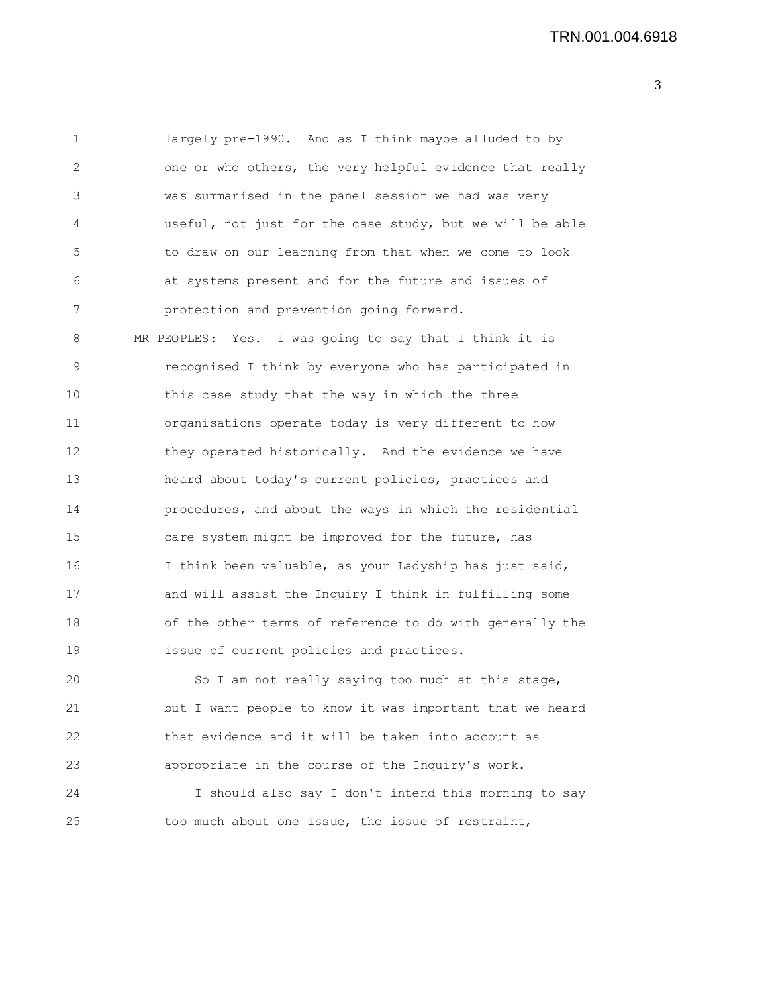1 largely pre-1990. And as I think maybe alluded to by 2 one or who others, the very helpful evidence that really 3 was summarised in the panel session we had was very 4 useful, not just for the case study, but we will be able 5 to draw on our learning from that when we come to look 6 at systems present and for the future and issues of 7 protection and prevention going forward. 8 MR PEOPLES: Yes. I was going to say that I think it is 9 recognised I think by everyone who has participated in 10 this case study that the way in which the three 11 organisations operate today is very different to how 12 they operated historically. And the evidence we have 13 heard about today's current policies, practices and 14 procedures, and about the ways in which the residential 15 care system might be improved for the future, has 16 I think been valuable, as your Ladyship has just said,

17 and will assist the Inquiry I think in fulfilling some 18 of the other terms of reference to do with generally the 19 issue of current policies and practices.

20 So I am not really saying too much at this stage, 21 but I want people to know it was important that we heard 22 that evidence and it will be taken into account as 23 appropriate in the course of the Inquiry's work.

24 I should also say I don't intend this morning to say 25 too much about one issue, the issue of restraint,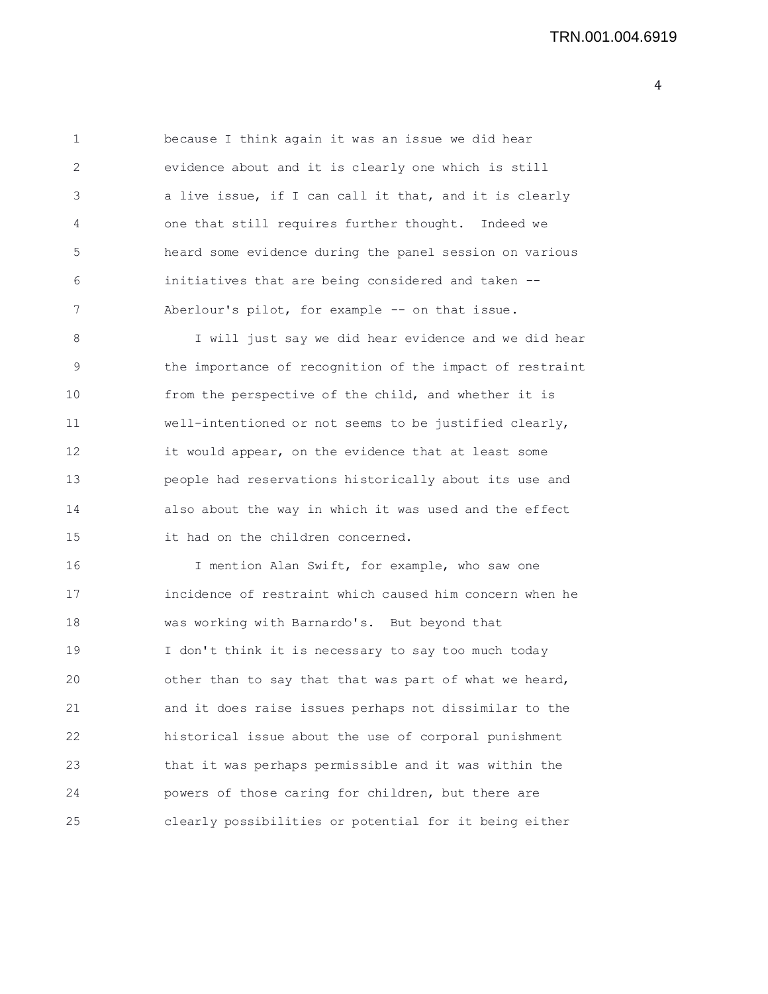1 because I think again it was an issue we did hear 2 evidence about and it is clearly one which is still 3 a live issue, if I can call it that, and it is clearly 4 one that still requires further thought. Indeed we 5 heard some evidence during the panel session on various 6 initiatives that are being considered and taken -- 7 Aberlour's pilot, for example -- on that issue.

8 I will just say we did hear evidence and we did hear 9 the importance of recognition of the impact of restraint 10 from the perspective of the child, and whether it is 11 well-intentioned or not seems to be justified clearly, 12 it would appear, on the evidence that at least some 13 people had reservations historically about its use and 14 also about the way in which it was used and the effect 15 it had on the children concerned.

16 I mention Alan Swift, for example, who saw one 17 incidence of restraint which caused him concern when he 18 was working with Barnardo's. But beyond that 19 I don't think it is necessary to say too much today 20 other than to say that that was part of what we heard, 21 and it does raise issues perhaps not dissimilar to the 22 historical issue about the use of corporal punishment 23 that it was perhaps permissible and it was within the 24 powers of those caring for children, but there are 25 clearly possibilities or potential for it being either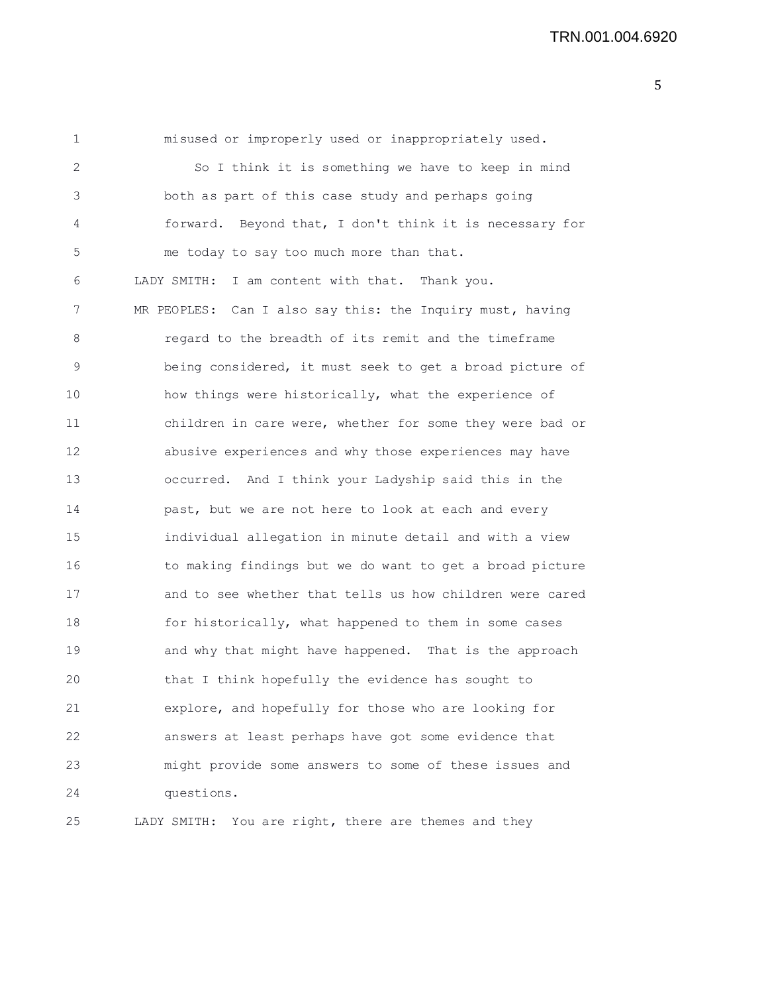| 1  | misused or improperly used or inappropriately used.       |
|----|-----------------------------------------------------------|
| 2  | So I think it is something we have to keep in mind        |
| 3  | both as part of this case study and perhaps going         |
| 4  | forward. Beyond that, I don't think it is necessary for   |
| 5  | me today to say too much more than that.                  |
| 6  | LADY SMITH: I am content with that. Thank you.            |
| 7  | MR PEOPLES: Can I also say this: the Inquiry must, having |
| 8  | regard to the breadth of its remit and the timeframe      |
| 9  | being considered, it must seek to get a broad picture of  |
| 10 | how things were historically, what the experience of      |
| 11 | children in care were, whether for some they were bad or  |
| 12 | abusive experiences and why those experiences may have    |
| 13 | occurred. And I think your Ladyship said this in the      |
| 14 | past, but we are not here to look at each and every       |
| 15 | individual allegation in minute detail and with a view    |
| 16 | to making findings but we do want to get a broad picture  |
| 17 | and to see whether that tells us how children were cared  |
| 18 | for historically, what happened to them in some cases     |
| 19 | and why that might have happened. That is the approach    |
| 20 | that I think hopefully the evidence has sought to         |
| 21 | explore, and hopefully for those who are looking for      |
| 22 | answers at least perhaps have got some evidence that      |
| 23 | might provide some answers to some of these issues and    |
| 24 | questions.                                                |
| 25 | LADY SMITH: You are right, there are themes and they      |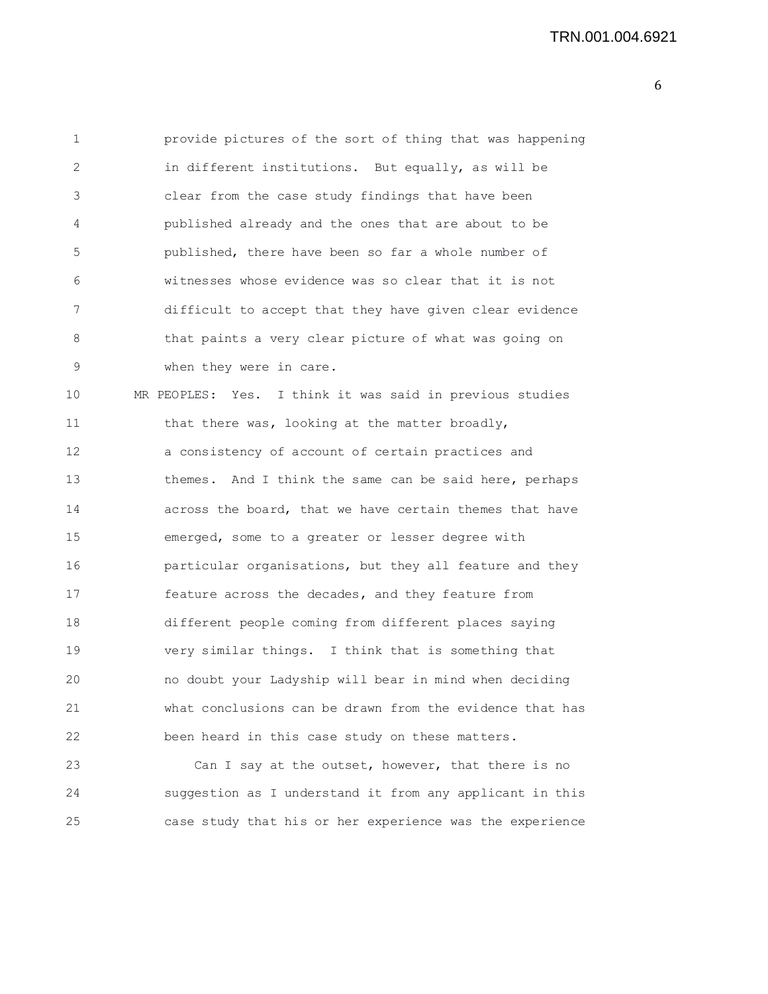| $\mathbf 1$ | provide pictures of the sort of thing that was happening |
|-------------|----------------------------------------------------------|
| 2           | in different institutions. But equally, as will be       |
| 3           | clear from the case study findings that have been        |
| 4           | published already and the ones that are about to be      |
| 5           | published, there have been so far a whole number of      |
| 6           | witnesses whose evidence was so clear that it is not     |
| 7           | difficult to accept that they have given clear evidence  |
| 8           | that paints a very clear picture of what was going on    |
| 9           | when they were in care.                                  |
| 10          | MR PEOPLES: Yes. I think it was said in previous studies |
| 11          | that there was, looking at the matter broadly,           |
| 12          | a consistency of account of certain practices and        |
| 13          | themes. And I think the same can be said here, perhaps   |
| 14          | across the board, that we have certain themes that have  |
| 15          | emerged, some to a greater or lesser degree with         |
| 16          | particular organisations, but they all feature and they  |
| 17          | feature across the decades, and they feature from        |
| 18          | different people coming from different places saying     |
| 19          | very similar things. I think that is something that      |
| 20          | no doubt your Ladyship will bear in mind when deciding   |
| 21          | what conclusions can be drawn from the evidence that has |
| 22          | been heard in this case study on these matters.          |
| 23          | Can I say at the outset, however, that there is no       |
| 24          | suggestion as I understand it from any applicant in this |
| 25          | case study that his or her experience was the experience |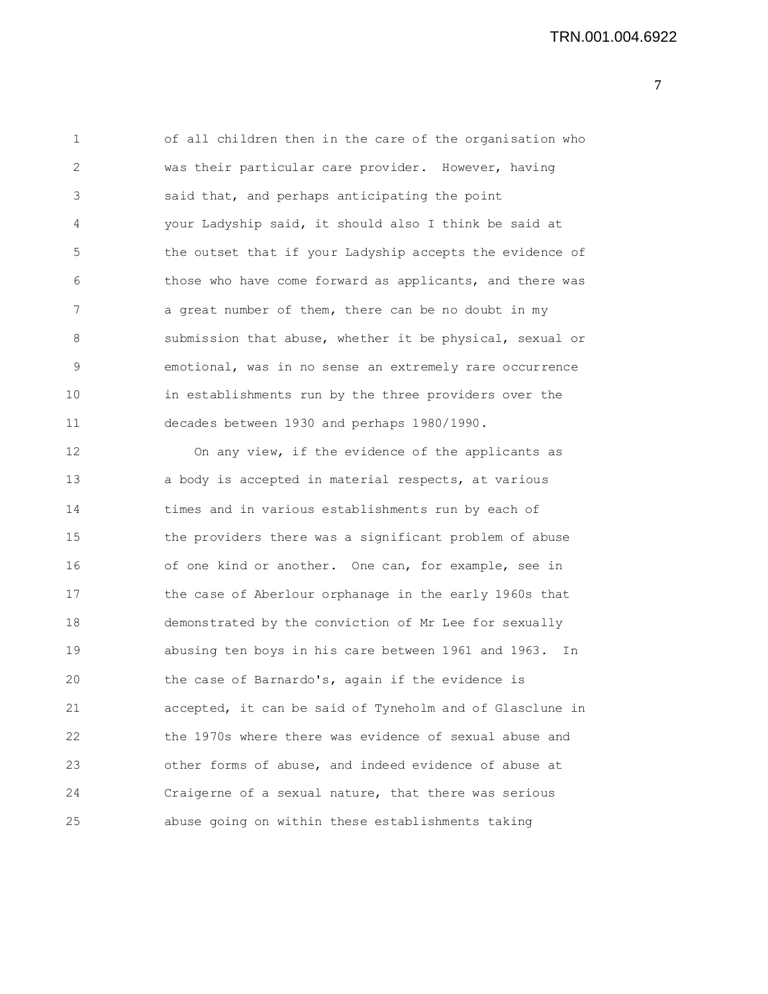1 of all children then in the care of the organisation who 2 was their particular care provider. However, having 3 said that, and perhaps anticipating the point 4 your Ladyship said, it should also I think be said at 5 the outset that if your Ladyship accepts the evidence of 6 those who have come forward as applicants, and there was 7 a great number of them, there can be no doubt in my 8 submission that abuse, whether it be physical, sexual or 9 emotional, was in no sense an extremely rare occurrence 10 in establishments run by the three providers over the 11 decades between 1930 and perhaps 1980/1990. 12 On any view, if the evidence of the applicants as 13 a body is accepted in material respects, at various 14 times and in various establishments run by each of 15 the providers there was a significant problem of abuse 16 of one kind or another. One can, for example, see in 17 the case of Aberlour orphanage in the early 1960s that 18 demonstrated by the conviction of Mr Lee for sexually 19 abusing ten boys in his care between 1961 and 1963. In 20 the case of Barnardo's, again if the evidence is 21 accepted, it can be said of Tyneholm and of Glasclune in 22 the 1970s where there was evidence of sexual abuse and 23 other forms of abuse, and indeed evidence of abuse at 24 Craigerne of a sexual nature, that there was serious

25 abuse going on within these establishments taking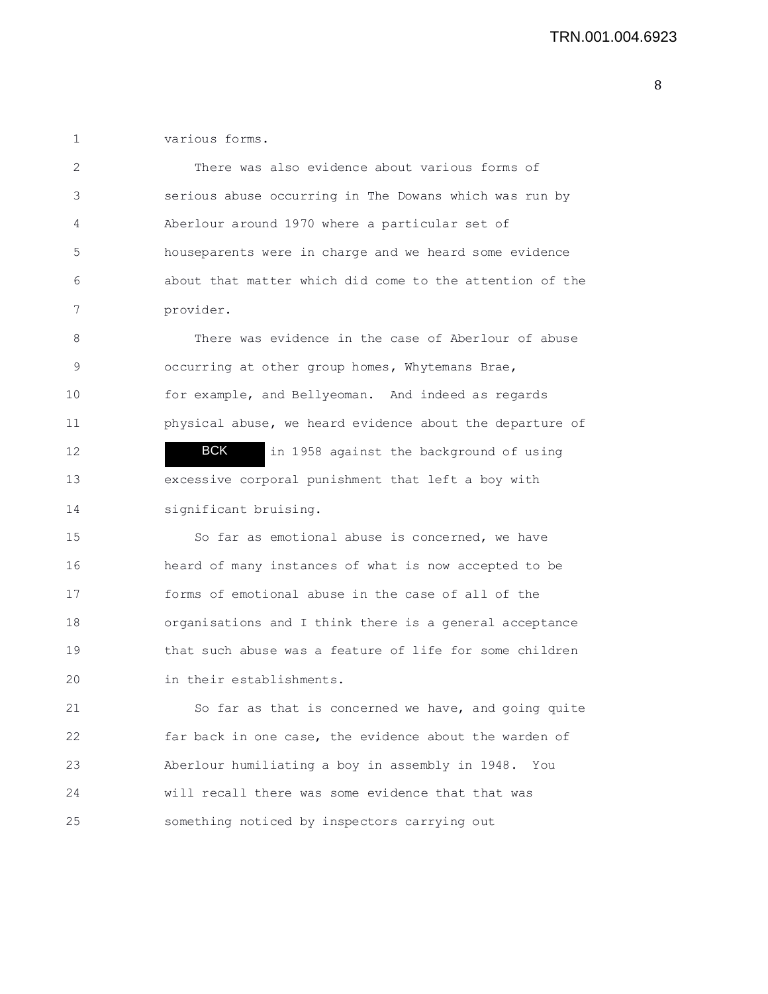1 various forms.

| 2  | There was also evidence about various forms of           |
|----|----------------------------------------------------------|
| 3  | serious abuse occurring in The Dowans which was run by   |
| 4  | Aberlour around 1970 where a particular set of           |
| 5  | houseparents were in charge and we heard some evidence   |
| 6  | about that matter which did come to the attention of the |
| 7  | provider.                                                |
| 8  | There was evidence in the case of Aberlour of abuse      |
| 9  | occurring at other group homes, Whytemans Brae,          |
| 10 | for example, and Bellyeoman. And indeed as regards       |
| 11 | physical abuse, we heard evidence about the departure of |
| 12 | BCK<br>in 1958 against the background of using           |
| 13 | excessive corporal punishment that left a boy with       |
| 14 | significant bruising.                                    |
| 15 | So far as emotional abuse is concerned, we have          |
| 16 | heard of many instances of what is now accepted to be    |
| 17 | forms of emotional abuse in the case of all of the       |
| 18 | organisations and I think there is a general acceptance  |
| 19 | that such abuse was a feature of life for some children  |
| 20 | in their establishments.                                 |
| 21 | So far as that is concerned we have, and going quite     |
| 22 | far back in one case, the evidence about the warden of   |
| 23 | Aberlour humiliating a boy in assembly in 1948. You      |
| 24 | will recall there was some evidence that that was        |
| 25 | something noticed by inspectors carrying out             |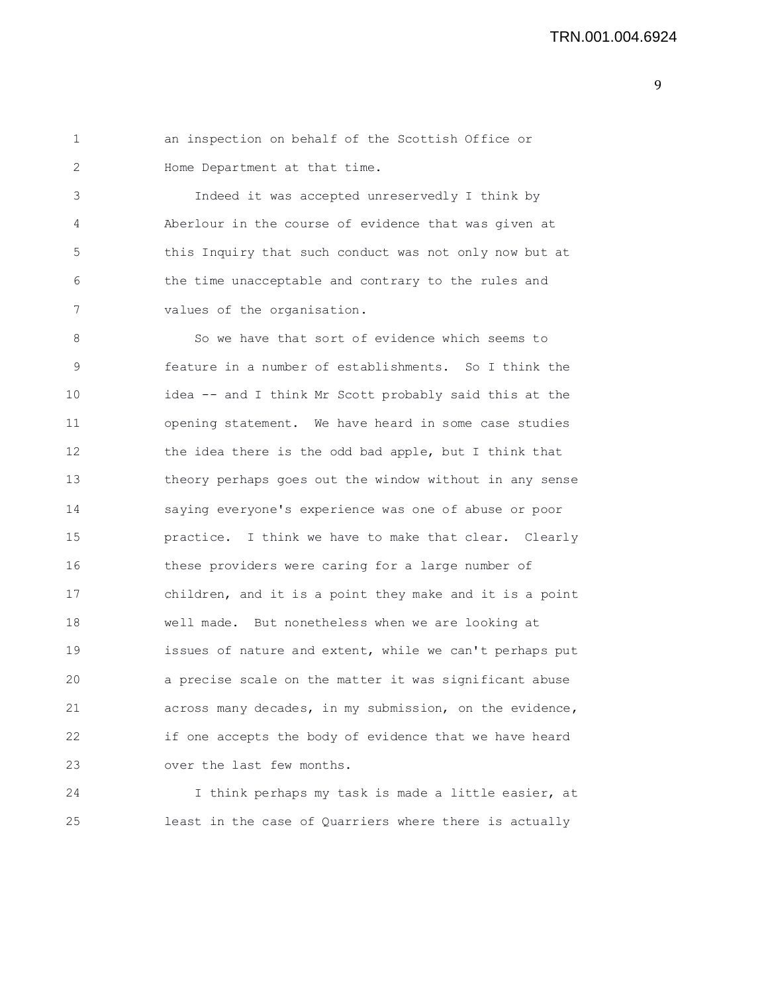1 an inspection on behalf of the Scottish Office or 2 Home Department at that time.

3 Indeed it was accepted unreservedly I think by 4 Aberlour in the course of evidence that was given at 5 this Inquiry that such conduct was not only now but at 6 the time unacceptable and contrary to the rules and 7 values of the organisation.

8 So we have that sort of evidence which seems to 9 feature in a number of establishments. So I think the 10 idea -- and I think Mr Scott probably said this at the 11 opening statement. We have heard in some case studies 12 the idea there is the odd bad apple, but I think that 13 theory perhaps goes out the window without in any sense 14 saying everyone's experience was one of abuse or poor 15 practice. I think we have to make that clear. Clearly 16 these providers were caring for a large number of 17 children, and it is a point they make and it is a point 18 well made. But nonetheless when we are looking at 19 issues of nature and extent, while we can't perhaps put 20 a precise scale on the matter it was significant abuse 21 across many decades, in my submission, on the evidence, 22 if one accepts the body of evidence that we have heard 23 over the last few months.

24 I think perhaps my task is made a little easier, at 25 least in the case of Quarriers where there is actually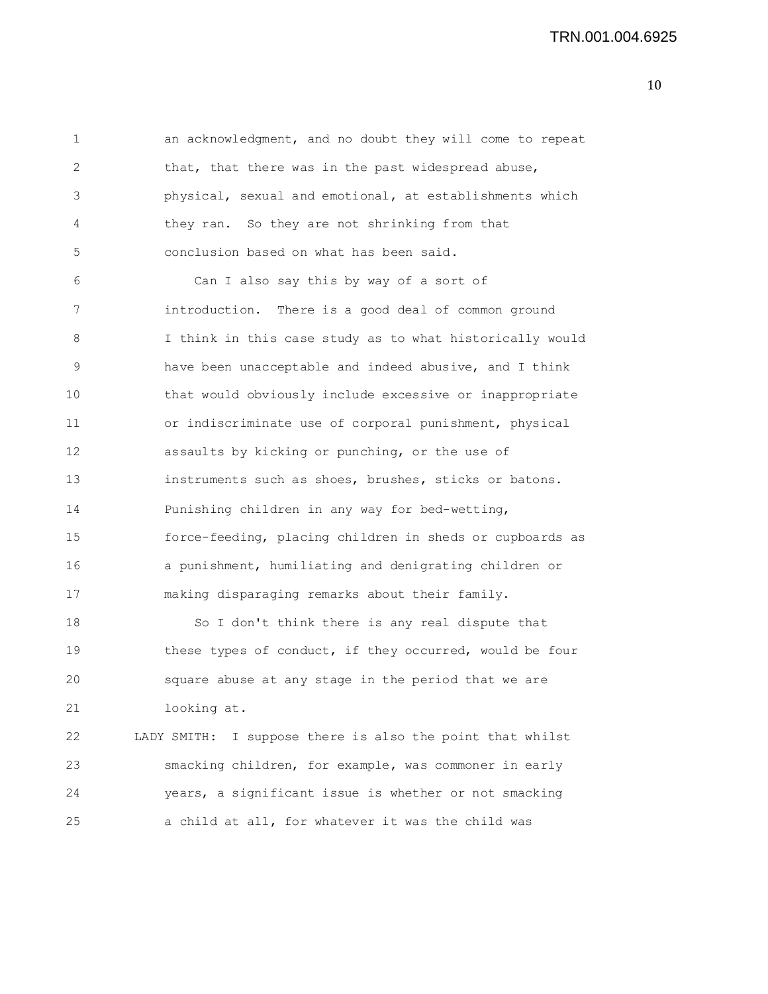1 an acknowledgment, and no doubt they will come to repeat 2 that, that there was in the past widespread abuse, 3 physical, sexual and emotional, at establishments which 4 they ran. So they are not shrinking from that 5 conclusion based on what has been said.

6 Can I also say this by way of a sort of 7 introduction. There is a good deal of common ground 8 I think in this case study as to what historically would 9 have been unacceptable and indeed abusive, and I think 10 that would obviously include excessive or inappropriate 11 or indiscriminate use of corporal punishment, physical 12 assaults by kicking or punching, or the use of 13 instruments such as shoes, brushes, sticks or batons. 14 Punishing children in any way for bed-wetting, 15 force-feeding, placing children in sheds or cupboards as 16 a punishment, humiliating and denigrating children or 17 making disparaging remarks about their family. 18 So I don't think there is any real dispute that

19 these types of conduct, if they occurred, would be four 20 square abuse at any stage in the period that we are 21 looking at.

22 LADY SMITH: I suppose there is also the point that whilst 23 smacking children, for example, was commoner in early 24 years, a significant issue is whether or not smacking 25 a child at all, for whatever it was the child was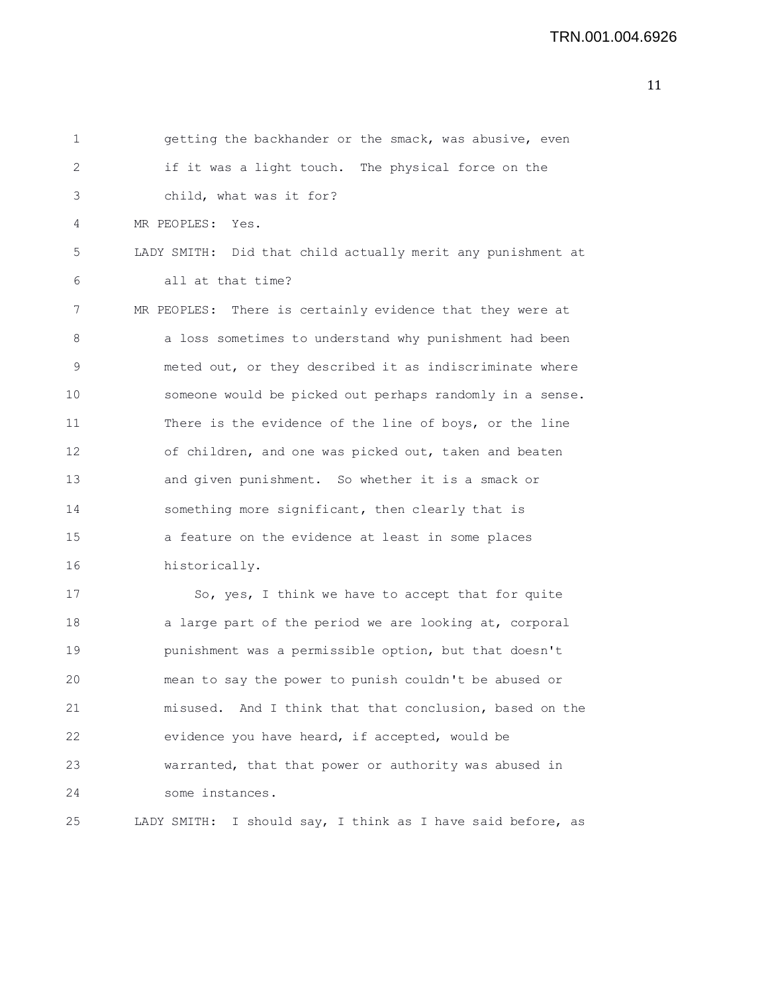| 1  | getting the backhander or the smack, was abusive, even      |
|----|-------------------------------------------------------------|
| 2  | if it was a light touch. The physical force on the          |
| 3  | child, what was it for?                                     |
| 4  | MR PEOPLES: Yes.                                            |
| 5  | LADY SMITH: Did that child actually merit any punishment at |
| 6  | all at that time?                                           |
| 7  | MR PEOPLES: There is certainly evidence that they were at   |
| 8  | a loss sometimes to understand why punishment had been      |
| 9  | meted out, or they described it as indiscriminate where     |
| 10 | someone would be picked out perhaps randomly in a sense.    |
| 11 | There is the evidence of the line of boys, or the line      |
| 12 | of children, and one was picked out, taken and beaten       |
| 13 | and given punishment. So whether it is a smack or           |
| 14 | something more significant, then clearly that is            |
| 15 | a feature on the evidence at least in some places           |
| 16 | historically.                                               |
| 17 | So, yes, I think we have to accept that for quite           |
| 18 | a large part of the period we are looking at, corporal      |
| 19 | punishment was a permissible option, but that doesn't       |
| 20 | mean to say the power to punish couldn't be abused or       |
| 21 | misused. And I think that that conclusion, based on the     |
| 22 | evidence you have heard, if accepted, would be              |
| 23 | warranted, that that power or authority was abused in       |
| 24 | some instances.                                             |
| 25 | LADY SMITH: I should say, I think as I have said before, as |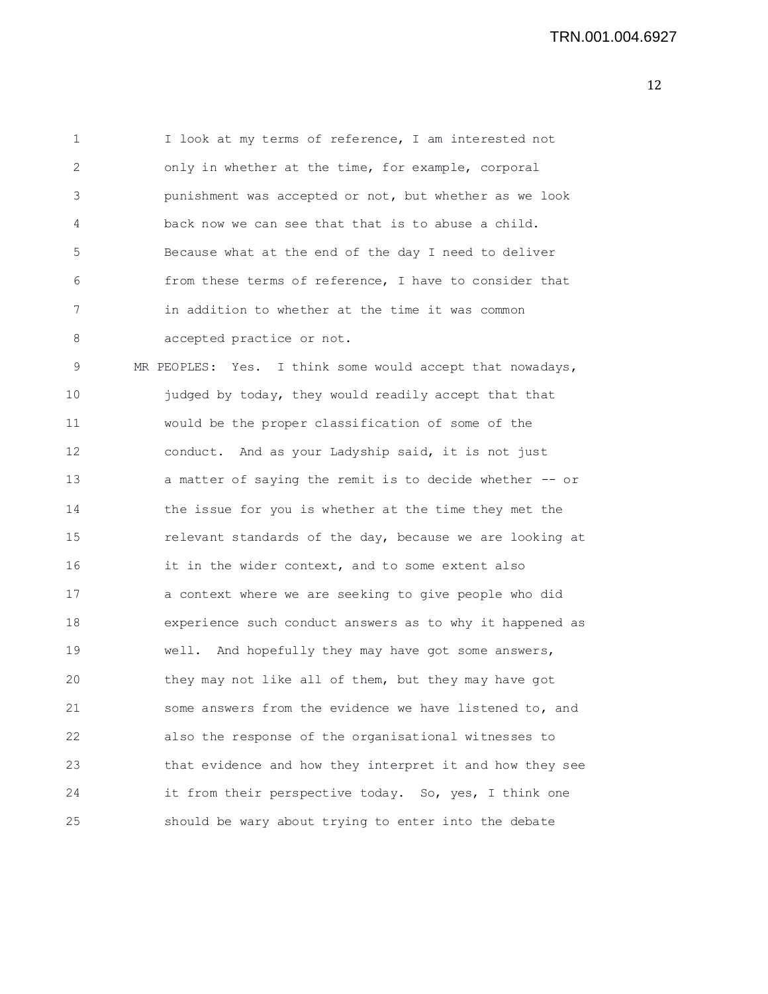1 I look at my terms of reference, I am interested not 2 only in whether at the time, for example, corporal 3 punishment was accepted or not, but whether as we look 4 back now we can see that that is to abuse a child. 5 Because what at the end of the day I need to deliver 6 from these terms of reference, I have to consider that 7 in addition to whether at the time it was common 8 accepted practice or not.

9 MR PEOPLES: Yes. I think some would accept that nowadays, 10 judged by today, they would readily accept that that 11 would be the proper classification of some of the 12 conduct. And as your Ladyship said, it is not just 13 a matter of saying the remit is to decide whether -- or 14 the issue for you is whether at the time they met the 15 relevant standards of the day, because we are looking at 16 it in the wider context, and to some extent also 17 a context where we are seeking to give people who did 18 experience such conduct answers as to why it happened as 19 well. And hopefully they may have got some answers, 20 they may not like all of them, but they may have got 21 some answers from the evidence we have listened to, and 22 also the response of the organisational witnesses to 23 that evidence and how they interpret it and how they see 24 it from their perspective today. So, yes, I think one 25 should be wary about trying to enter into the debate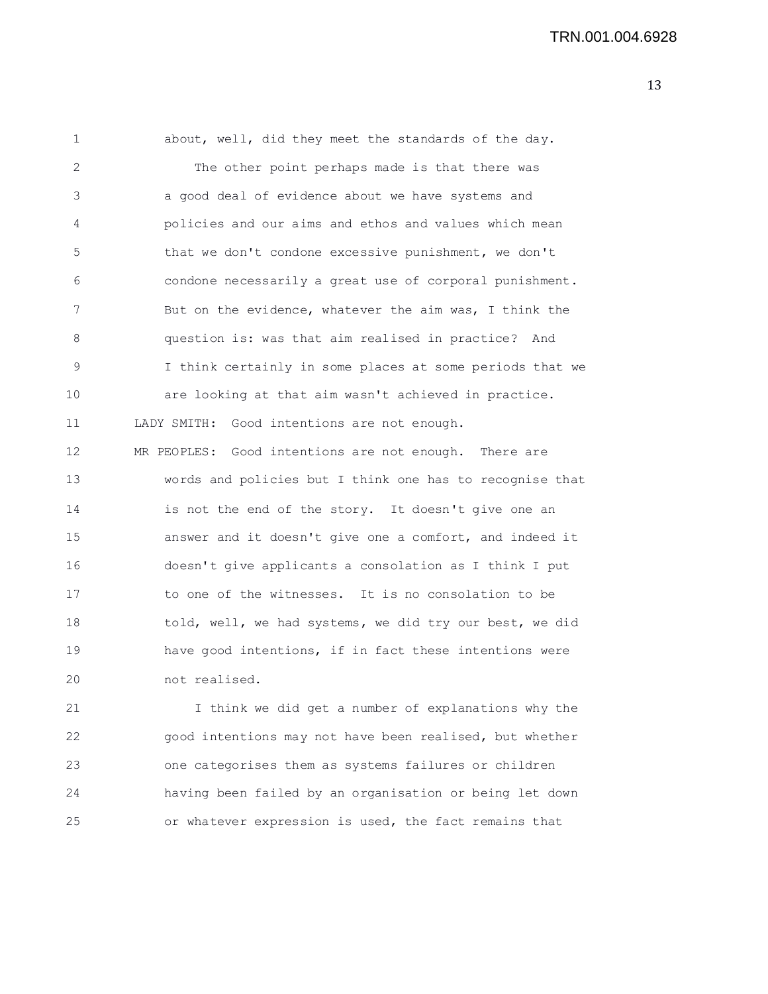1 about, well, did they meet the standards of the day. 2 The other point perhaps made is that there was 3 a good deal of evidence about we have systems and 4 policies and our aims and ethos and values which mean 5 that we don't condone excessive punishment, we don't 6 condone necessarily a great use of corporal punishment. 7 But on the evidence, whatever the aim was, I think the 8 question is: was that aim realised in practice? And 9 I think certainly in some places at some periods that we 10 are looking at that aim wasn't achieved in practice. 11 LADY SMITH: Good intentions are not enough. 12 MR PEOPLES: Good intentions are not enough. There are 13 words and policies but I think one has to recognise that 14 is not the end of the story. It doesn't give one an 15 answer and it doesn't give one a comfort, and indeed it 16 doesn't give applicants a consolation as I think I put 17 to one of the witnesses. It is no consolation to be 18 told, well, we had systems, we did try our best, we did 19 have good intentions, if in fact these intentions were 20 not realised. 21 I think we did get a number of explanations why the

22 good intentions may not have been realised, but whether 23 one categorises them as systems failures or children 24 having been failed by an organisation or being let down 25 or whatever expression is used, the fact remains that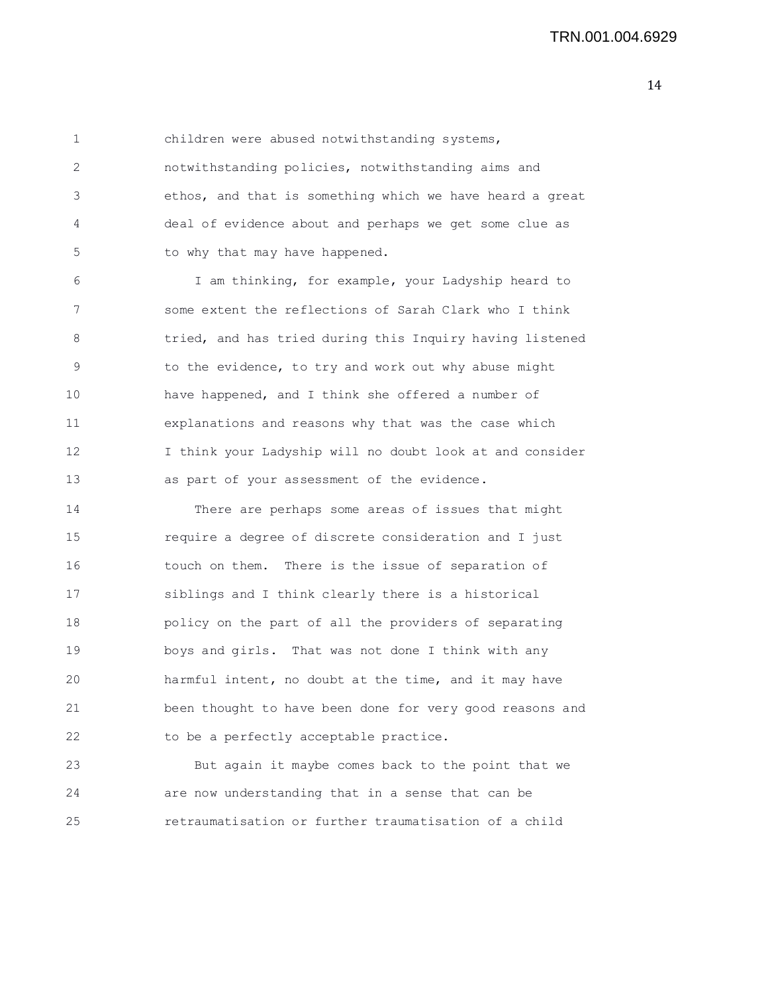1 children were abused notwithstanding systems, 2 notwithstanding policies, notwithstanding aims and 3 ethos, and that is something which we have heard a great 4 deal of evidence about and perhaps we get some clue as 5 to why that may have happened.

6 I am thinking, for example, your Ladyship heard to 7 some extent the reflections of Sarah Clark who I think 8 tried, and has tried during this Inquiry having listened 9 to the evidence, to try and work out why abuse might 10 have happened, and I think she offered a number of 11 explanations and reasons why that was the case which 12 I think your Ladyship will no doubt look at and consider 13 as part of your assessment of the evidence.

14 There are perhaps some areas of issues that might 15 require a degree of discrete consideration and I just 16 touch on them. There is the issue of separation of 17 siblings and I think clearly there is a historical 18 policy on the part of all the providers of separating 19 boys and girls. That was not done I think with any 20 harmful intent, no doubt at the time, and it may have 21 been thought to have been done for very good reasons and 22 to be a perfectly acceptable practice.

23 But again it maybe comes back to the point that we 24 are now understanding that in a sense that can be 25 retraumatisation or further traumatisation of a child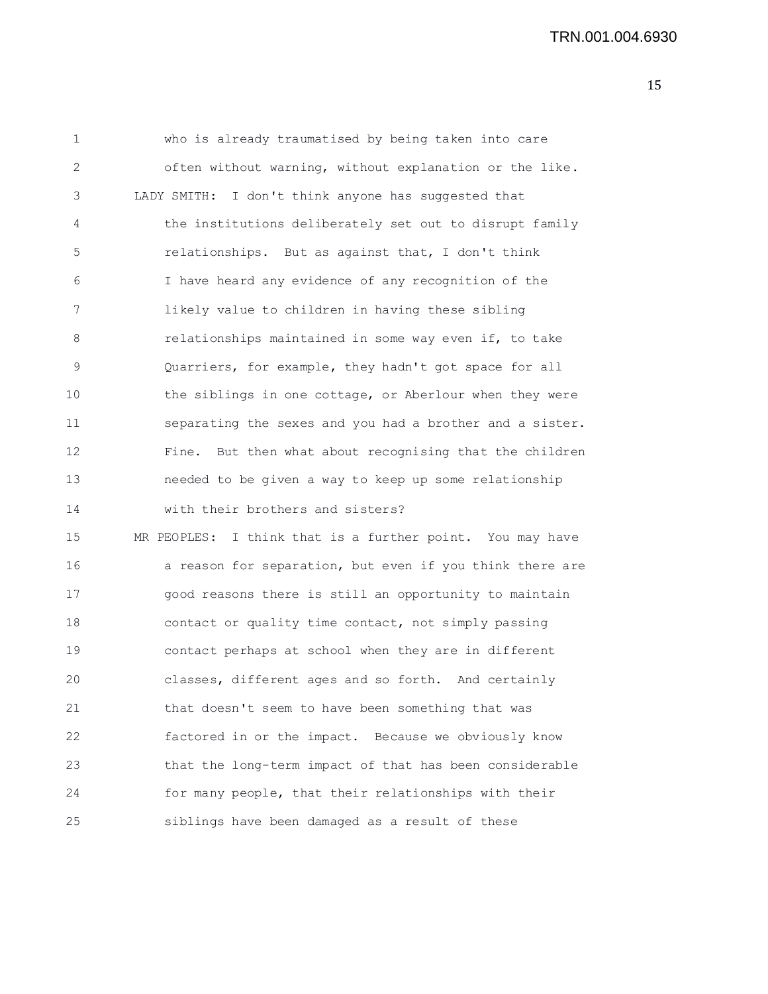TRN.001.004.6930

| 1  | who is already traumatised by being taken into care        |
|----|------------------------------------------------------------|
| 2  | often without warning, without explanation or the like.    |
| 3  | LADY SMITH: I don't think anyone has suggested that        |
| 4  | the institutions deliberately set out to disrupt family    |
| 5  | relationships. But as against that, I don't think          |
| 6  | I have heard any evidence of any recognition of the        |
| 7  | likely value to children in having these sibling           |
| 8  | relationships maintained in some way even if, to take      |
| 9  | Quarriers, for example, they hadn't got space for all      |
| 10 | the siblings in one cottage, or Aberlour when they were    |
| 11 | separating the sexes and you had a brother and a sister.   |
| 12 | But then what about recognising that the children<br>Fine. |
| 13 | needed to be given a way to keep up some relationship      |
| 14 | with their brothers and sisters?                           |
| 15 | MR PEOPLES: I think that is a further point. You may have  |
| 16 | a reason for separation, but even if you think there are   |
| 17 | good reasons there is still an opportunity to maintain     |
| 18 | contact or quality time contact, not simply passing        |
| 19 | contact perhaps at school when they are in different       |
| 20 | classes, different ages and so forth. And certainly        |
| 21 | that doesn't seem to have been something that was          |
| 22 | factored in or the impact. Because we obviously know       |
| 23 | that the long-term impact of that has been considerable    |
| 24 | for many people, that their relationships with their       |
| 25 | siblings have been damaged as a result of these            |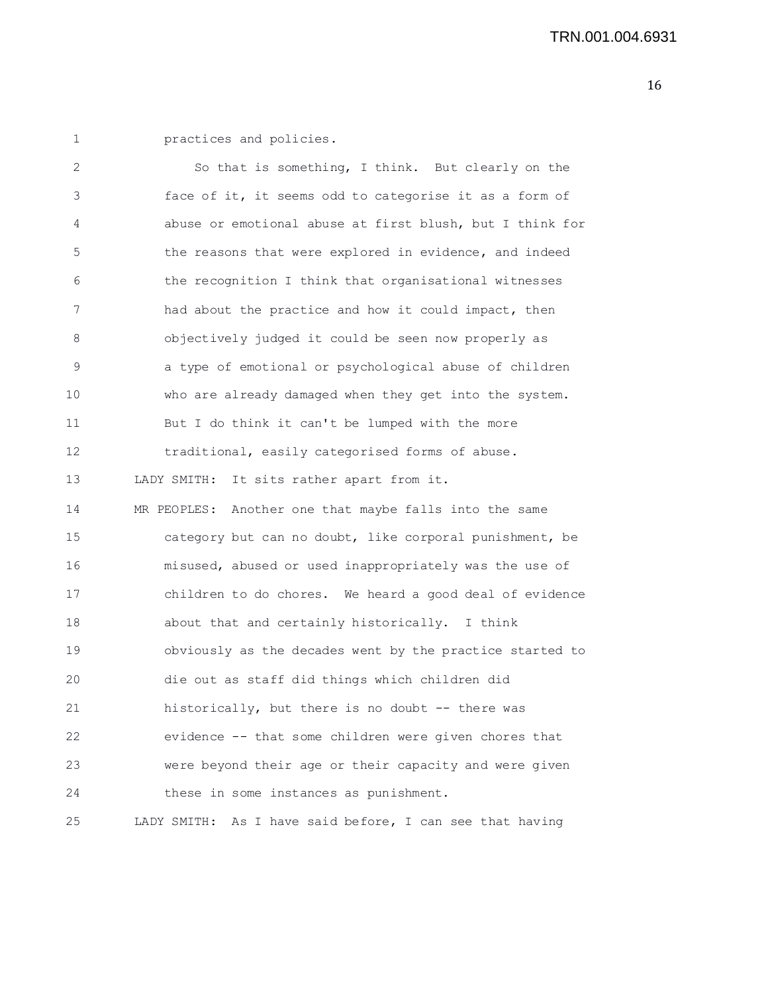1 practices and policies.

| 2  | So that is something, I think. But clearly on the           |
|----|-------------------------------------------------------------|
| 3  | face of it, it seems odd to categorise it as a form of      |
| 4  | abuse or emotional abuse at first blush, but I think for    |
| 5  | the reasons that were explored in evidence, and indeed      |
| 6  | the recognition I think that organisational witnesses       |
| 7  | had about the practice and how it could impact, then        |
| 8  | objectively judged it could be seen now properly as         |
| 9  | a type of emotional or psychological abuse of children      |
| 10 | who are already damaged when they get into the system.      |
| 11 | But I do think it can't be lumped with the more             |
| 12 | traditional, easily categorised forms of abuse.             |
| 13 | LADY SMITH: It sits rather apart from it.                   |
| 14 | MR PEOPLES: Another one that maybe falls into the same      |
| 15 | category but can no doubt, like corporal punishment, be     |
| 16 | misused, abused or used inappropriately was the use of      |
| 17 | children to do chores. We heard a good deal of evidence     |
| 18 | about that and certainly historically. I think              |
| 19 | obviously as the decades went by the practice started to    |
| 20 | die out as staff did things which children did              |
| 21 | historically, but there is no doubt -- there was            |
| 22 | evidence -- that some children were given chores that       |
| 23 | were beyond their age or their capacity and were given      |
| 24 | these in some instances as punishment.                      |
| 25 | As I have said before, I can see that having<br>LADY SMITH: |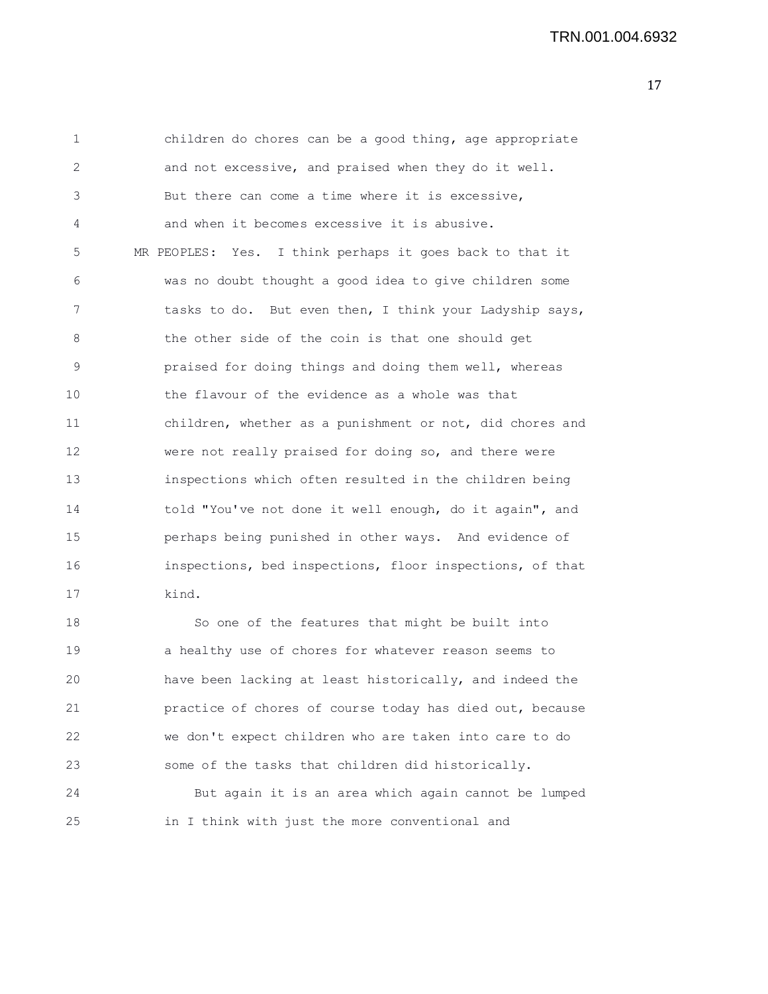| $\mathbf{1}$ | children do chores can be a good thing, age appropriate  |
|--------------|----------------------------------------------------------|
| 2            | and not excessive, and praised when they do it well.     |
| 3            | But there can come a time where it is excessive,         |
| 4            | and when it becomes excessive it is abusive.             |
| 5            | MR PEOPLES: Yes. I think perhaps it goes back to that it |
| 6            | was no doubt thought a good idea to give children some   |
| 7            | tasks to do. But even then, I think your Ladyship says,  |
| 8            | the other side of the coin is that one should get        |
| 9            | praised for doing things and doing them well, whereas    |
| 10           | the flavour of the evidence as a whole was that          |
| 11           | children, whether as a punishment or not, did chores and |
| 12           | were not really praised for doing so, and there were     |
| 13           | inspections which often resulted in the children being   |
| 14           | told "You've not done it well enough, do it again", and  |
| 15           | perhaps being punished in other ways. And evidence of    |
| 16           | inspections, bed inspections, floor inspections, of that |
| 17           | kind.                                                    |
| 18           | So one of the features that might be built into          |
| 19           | a healthy use of chores for whatever reason seems to     |
| 20           | have been lacking at least historically, and indeed the  |
| 21           | practice of chores of course today has died out, because |
| 22           | we don't expect children who are taken into care to do   |
| 23           | some of the tasks that children did historically.        |
| 24           | But again it is an area which again cannot be lumped     |
| 25           | in I think with just the more conventional and           |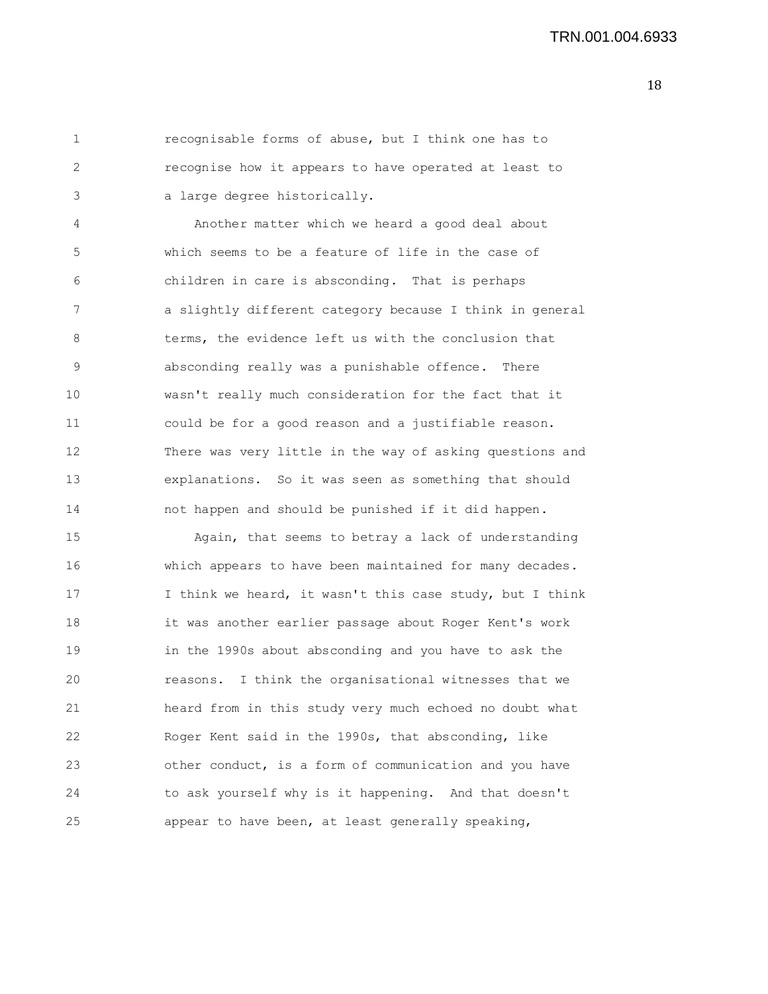1 recognisable forms of abuse, but I think one has to 2 recognise how it appears to have operated at least to 3 a large degree historically.

4 Another matter which we heard a good deal about 5 which seems to be a feature of life in the case of 6 children in care is absconding. That is perhaps 7 a slightly different category because I think in general 8 terms, the evidence left us with the conclusion that 9 absconding really was a punishable offence. There 10 wasn't really much consideration for the fact that it 11 could be for a good reason and a justifiable reason. 12 There was very little in the way of asking questions and 13 explanations. So it was seen as something that should 14 not happen and should be punished if it did happen.

15 Again, that seems to betray a lack of understanding 16 which appears to have been maintained for many decades. 17 I think we heard, it wasn't this case study, but I think 18 it was another earlier passage about Roger Kent's work 19 in the 1990s about absconding and you have to ask the 20 reasons. I think the organisational witnesses that we 21 heard from in this study very much echoed no doubt what 22 Roger Kent said in the 1990s, that absconding, like 23 other conduct, is a form of communication and you have 24 to ask yourself why is it happening. And that doesn't 25 appear to have been, at least generally speaking,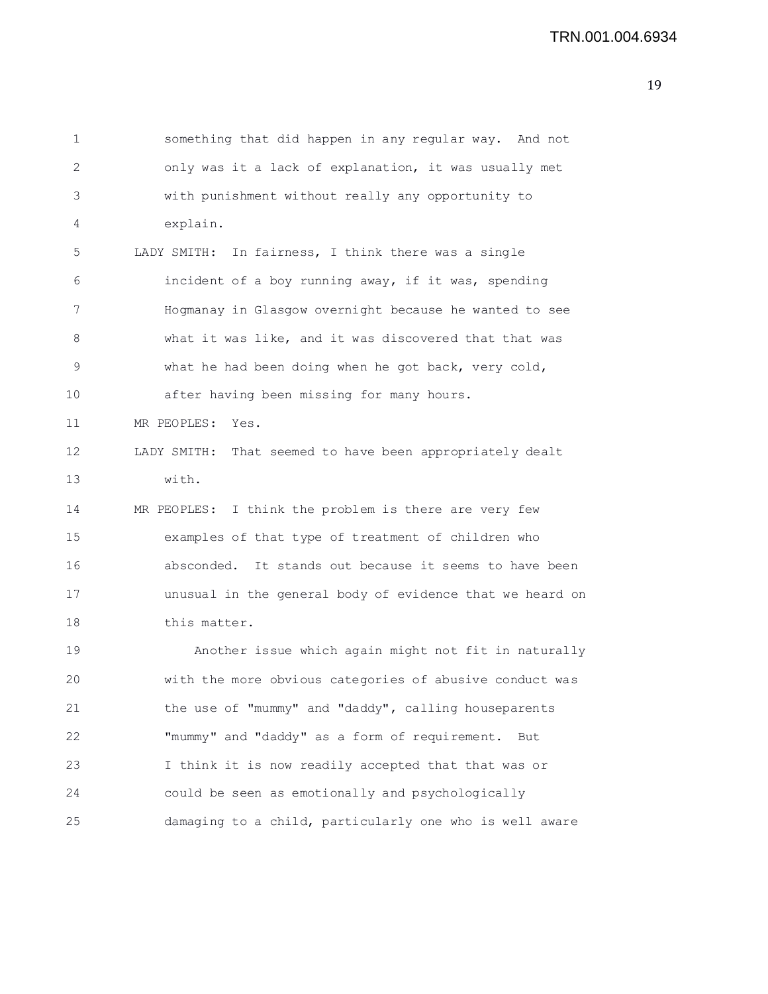1 something that did happen in any regular way. And not 2 only was it a lack of explanation, it was usually met 3 with punishment without really any opportunity to 4 explain. 5 LADY SMITH: In fairness, I think there was a single 6 incident of a boy running away, if it was, spending 7 Hogmanay in Glasgow overnight because he wanted to see 8 what it was like, and it was discovered that that was 9 what he had been doing when he got back, very cold, 10 after having been missing for many hours. 11 MR PEOPLES: Yes. 12 LADY SMITH: That seemed to have been appropriately dealt 13 with. 14 MR PEOPLES: I think the problem is there are very few 15 examples of that type of treatment of children who 16 absconded. It stands out because it seems to have been 17 unusual in the general body of evidence that we heard on 18 this matter. 19 Another issue which again might not fit in naturally 20 with the more obvious categories of abusive conduct was 21 the use of "mummy" and "daddy", calling houseparents 22 "mummy" and "daddy" as a form of requirement. But

23 I think it is now readily accepted that that was or 24 could be seen as emotionally and psychologically 25 damaging to a child, particularly one who is well aware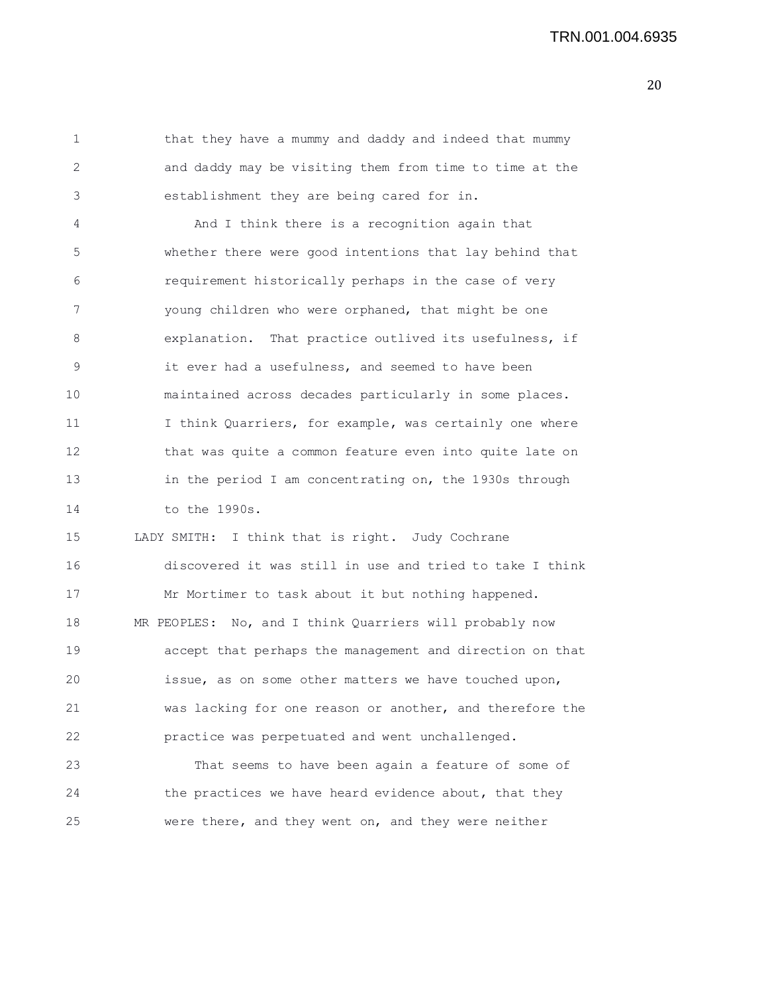1 that they have a mummy and daddy and indeed that mummy 2 and daddy may be visiting them from time to time at the 3 establishment they are being cared for in. 4 And I think there is a recognition again that 5 whether there were good intentions that lay behind that 6 requirement historically perhaps in the case of very 7 young children who were orphaned, that might be one 8 explanation. That practice outlived its usefulness, if 9 it ever had a usefulness, and seemed to have been 10 maintained across decades particularly in some places. 11 11 I think Quarriers, for example, was certainly one where 12 that was quite a common feature even into quite late on 13 in the period I am concentrating on, the 1930s through 14 to the 1990s. 15 LADY SMITH: I think that is right. Judy Cochrane 16 discovered it was still in use and tried to take I think 17 Mr Mortimer to task about it but nothing happened. 18 MR PEOPLES: No, and I think Quarriers will probably now 19 accept that perhaps the management and direction on that 20 issue, as on some other matters we have touched upon, 21 was lacking for one reason or another, and therefore the 22 practice was perpetuated and went unchallenged. 23 That seems to have been again a feature of some of 24 the practices we have heard evidence about, that they 25 were there, and they went on, and they were neither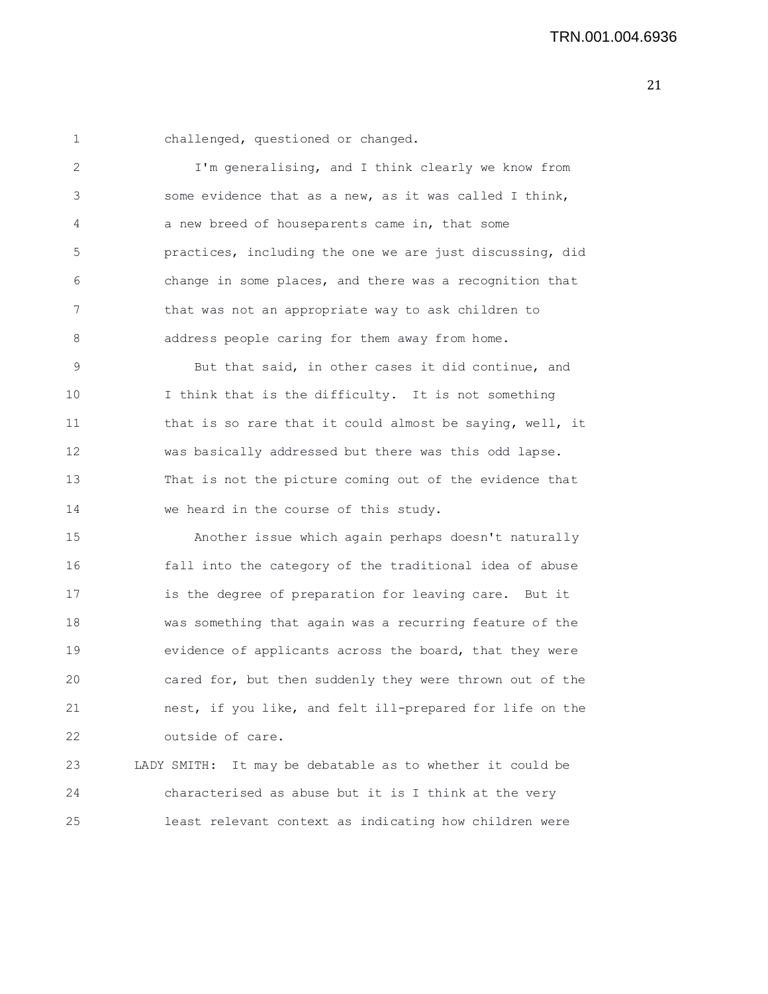1 challenged, questioned or changed.

2 I'm generalising, and I think clearly we know from 3 some evidence that as a new, as it was called I think, 4 a new breed of houseparents came in, that some 5 practices, including the one we are just discussing, did 6 change in some places, and there was a recognition that 7 that was not an appropriate way to ask children to 8 address people caring for them away from home.

9 But that said, in other cases it did continue, and 10 I think that is the difficulty. It is not something 11 that is so rare that it could almost be saying, well, it 12 was basically addressed but there was this odd lapse. 13 That is not the picture coming out of the evidence that 14 we heard in the course of this study.

15 Another issue which again perhaps doesn't naturally 16 fall into the category of the traditional idea of abuse 17 is the degree of preparation for leaving care. But it 18 was something that again was a recurring feature of the 19 evidence of applicants across the board, that they were 20 cared for, but then suddenly they were thrown out of the 21 nest, if you like, and felt ill-prepared for life on the 22 outside of care.

23 LADY SMITH: It may be debatable as to whether it could be 24 characterised as abuse but it is I think at the very 25 least relevant context as indicating how children were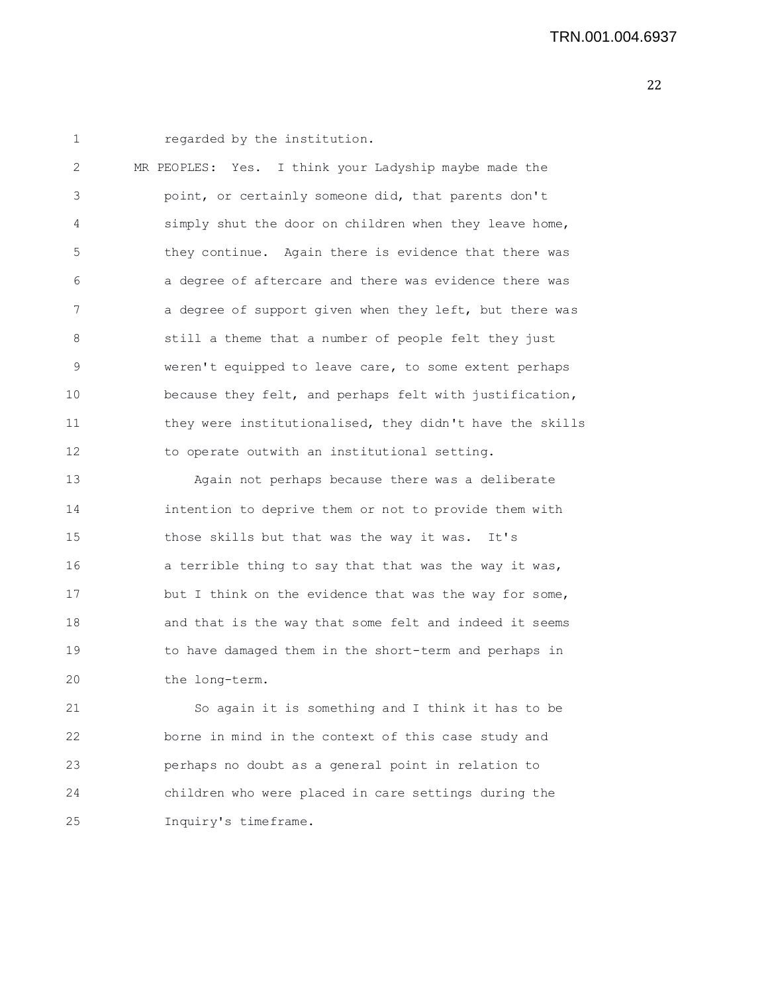1 regarded by the institution. 2 MR PEOPLES: Yes. I think your Ladyship maybe made the 3 point, or certainly someone did, that parents don't 4 simply shut the door on children when they leave home, 5 they continue. Again there is evidence that there was 6 a degree of aftercare and there was evidence there was 7 a degree of support given when they left, but there was 8 still a theme that a number of people felt they just 9 weren't equipped to leave care, to some extent perhaps 10 because they felt, and perhaps felt with justification, 11 they were institutionalised, they didn't have the skills 12 to operate outwith an institutional setting. 13 Again not perhaps because there was a deliberate 14 intention to deprive them or not to provide them with 15 those skills but that was the way it was. It's

16 a terrible thing to say that that was the way it was, 17 but I think on the evidence that was the way for some, 18 and that is the way that some felt and indeed it seems 19 to have damaged them in the short-term and perhaps in 20 the long-term.

21 So again it is something and I think it has to be 22 borne in mind in the context of this case study and 23 perhaps no doubt as a general point in relation to 24 children who were placed in care settings during the 25 Inquiry's timeframe.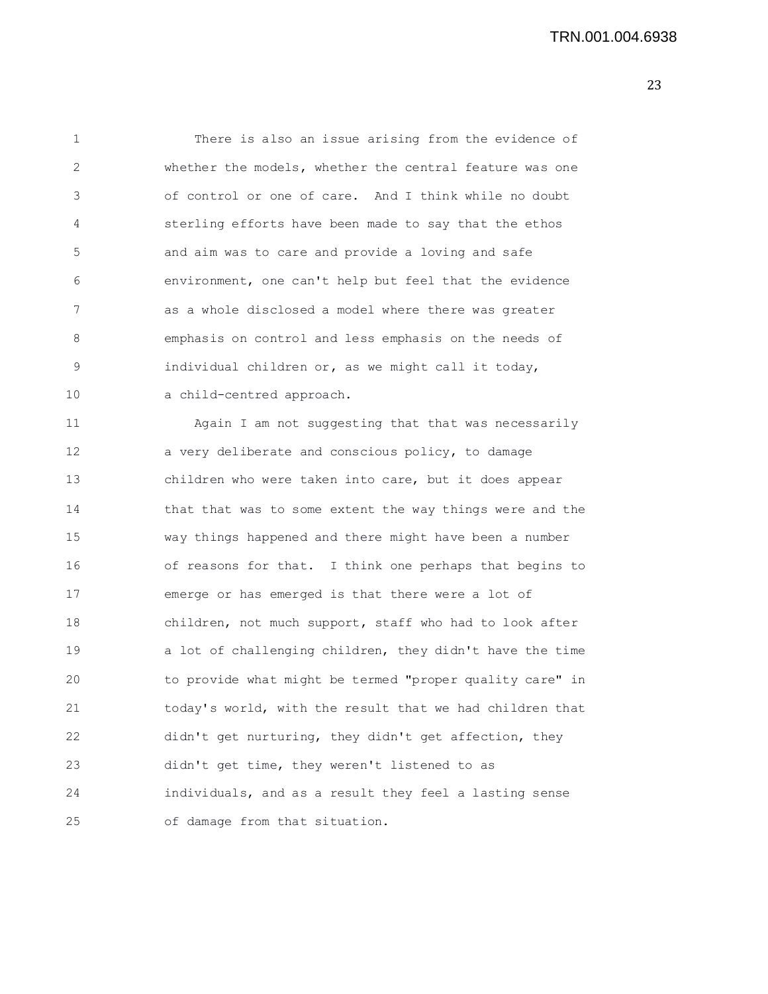| 1  | There is also an issue arising from the evidence of      |
|----|----------------------------------------------------------|
| 2  | whether the models, whether the central feature was one  |
| 3  | of control or one of care. And I think while no doubt    |
| 4  | sterling efforts have been made to say that the ethos    |
| 5  | and aim was to care and provide a loving and safe        |
| 6  | environment, one can't help but feel that the evidence   |
| 7  | as a whole disclosed a model where there was greater     |
| 8  | emphasis on control and less emphasis on the needs of    |
| 9  | individual children or, as we might call it today,       |
| 10 | a child-centred approach.                                |
| 11 | Again I am not suggesting that that was necessarily      |
| 12 | a very deliberate and conscious policy, to damage        |
| 13 | children who were taken into care, but it does appear    |
| 14 | that that was to some extent the way things were and the |
| 15 | way things happened and there might have been a number   |
| 16 | of reasons for that. I think one perhaps that begins to  |
| 17 | emerge or has emerged is that there were a lot of        |
| 18 | children, not much support, staff who had to look after  |
| 19 | a lot of challenging children, they didn't have the time |
| 20 | to provide what might be termed "proper quality care" in |
| 21 | today's world, with the result that we had children that |
| 22 | didn't get nurturing, they didn't get affection, they    |
| 23 | didn't get time, they weren't listened to as             |
| 24 | individuals, and as a result they feel a lasting sense   |
| 25 | of damage from that situation.                           |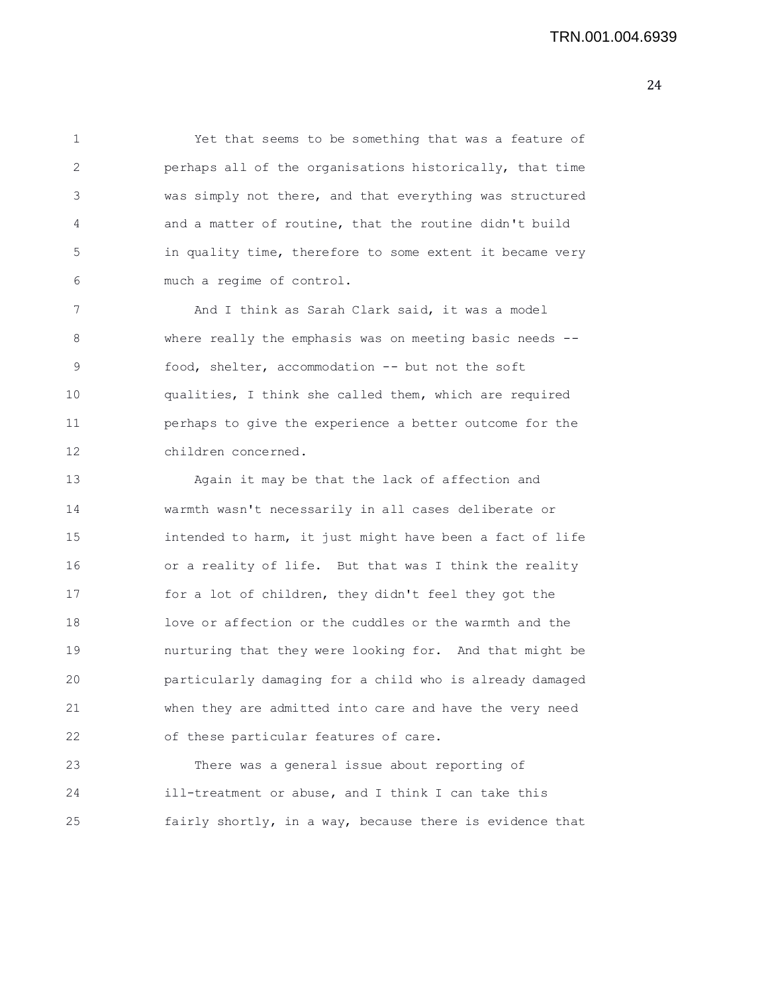1 Yet that seems to be something that was a feature of 2 perhaps all of the organisations historically, that time 3 was simply not there, and that everything was structured 4 and a matter of routine, that the routine didn't build 5 in quality time, therefore to some extent it became very 6 much a regime of control.

7 And I think as Sarah Clark said, it was a model 8 where really the emphasis was on meeting basic needs -- 9 food, shelter, accommodation -- but not the soft 10 qualities, I think she called them, which are required 11 perhaps to give the experience a better outcome for the 12 children concerned.

13 Again it may be that the lack of affection and 14 warmth wasn't necessarily in all cases deliberate or 15 intended to harm, it just might have been a fact of life 16 or a reality of life. But that was I think the reality 17 for a lot of children, they didn't feel they got the 18 love or affection or the cuddles or the warmth and the 19 nurturing that they were looking for. And that might be 20 particularly damaging for a child who is already damaged 21 when they are admitted into care and have the very need 22 of these particular features of care.

23 There was a general issue about reporting of 24 ill-treatment or abuse, and I think I can take this 25 fairly shortly, in a way, because there is evidence that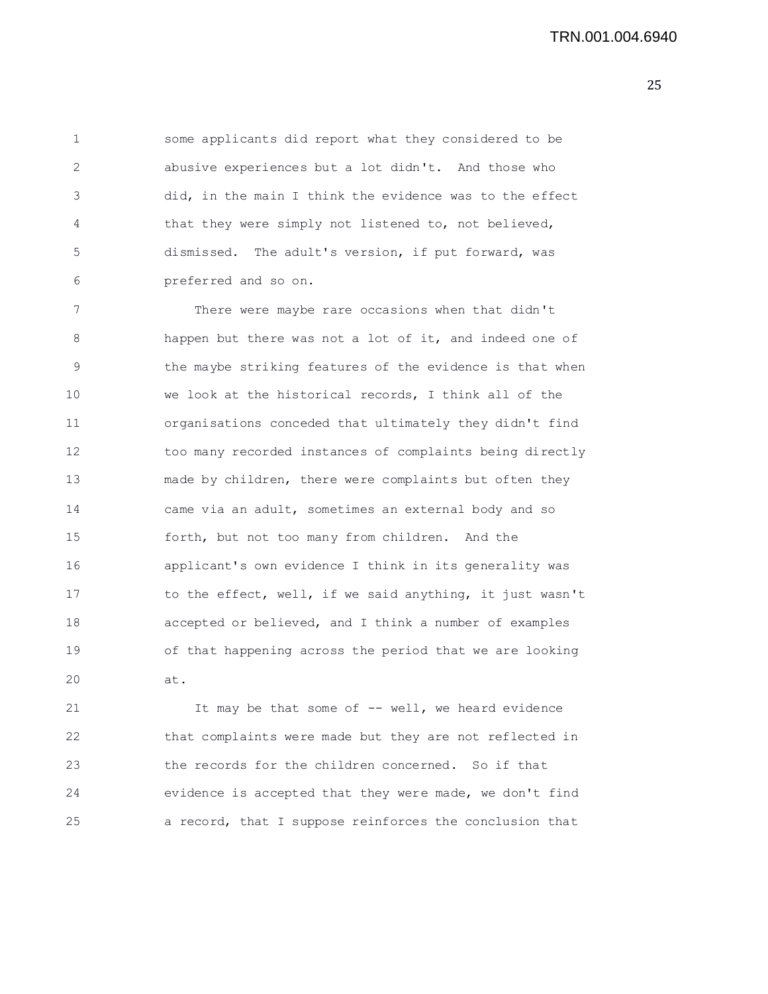1 some applicants did report what they considered to be 2 abusive experiences but a lot didn't. And those who 3 did, in the main I think the evidence was to the effect 4 that they were simply not listened to, not believed, 5 dismissed. The adult's version, if put forward, was 6 preferred and so on.

7 There were maybe rare occasions when that didn't 8 happen but there was not a lot of it, and indeed one of 9 the maybe striking features of the evidence is that when 10 we look at the historical records, I think all of the 11 organisations conceded that ultimately they didn't find 12 too many recorded instances of complaints being directly 13 made by children, there were complaints but often they 14 came via an adult, sometimes an external body and so 15 forth, but not too many from children. And the 16 applicant's own evidence I think in its generality was 17 to the effect, well, if we said anything, it just wasn't 18 accepted or believed, and I think a number of examples 19 of that happening across the period that we are looking 20 at.

21 It may be that some of -- well, we heard evidence 22 that complaints were made but they are not reflected in 23 the records for the children concerned. So if that 24 evidence is accepted that they were made, we don't find 25 a record, that I suppose reinforces the conclusion that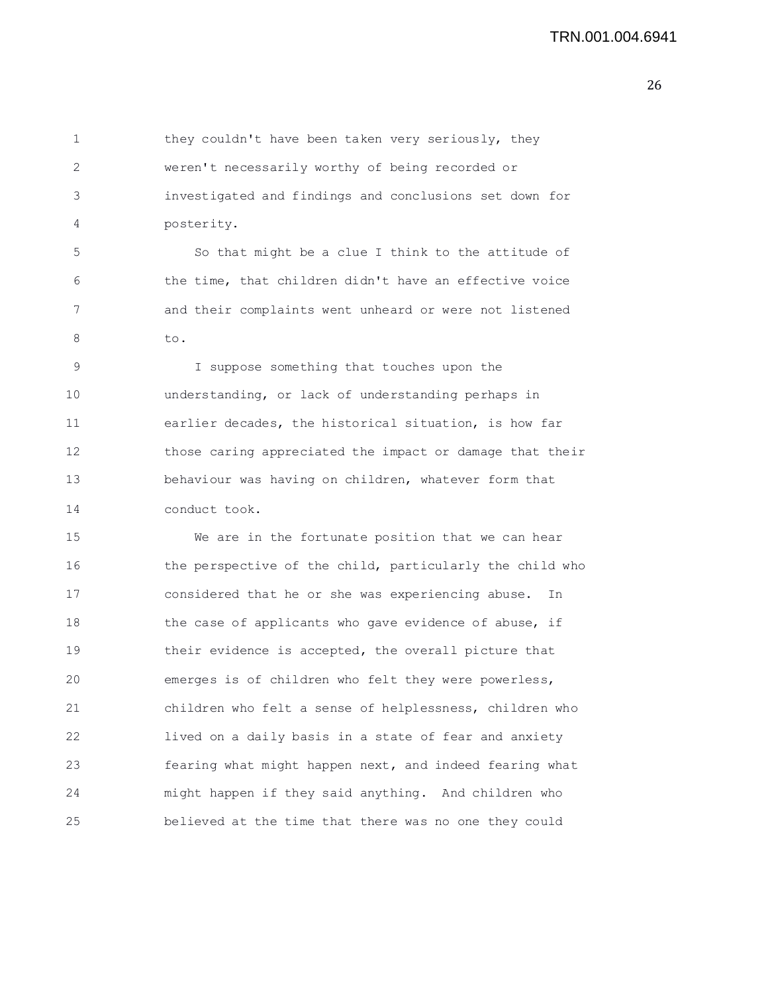1 they couldn't have been taken very seriously, they 2 weren't necessarily worthy of being recorded or 3 investigated and findings and conclusions set down for 4 posterity. 5 So that might be a clue I think to the attitude of

6 the time, that children didn't have an effective voice 7 and their complaints went unheard or were not listened 8 to.

9 I suppose something that touches upon the 10 understanding, or lack of understanding perhaps in 11 earlier decades, the historical situation, is how far 12 those caring appreciated the impact or damage that their 13 behaviour was having on children, whatever form that 14 conduct took.

15 We are in the fortunate position that we can hear 16 the perspective of the child, particularly the child who 17 considered that he or she was experiencing abuse. In 18 the case of applicants who gave evidence of abuse, if 19 their evidence is accepted, the overall picture that 20 emerges is of children who felt they were powerless, 21 children who felt a sense of helplessness, children who 22 lived on a daily basis in a state of fear and anxiety 23 fearing what might happen next, and indeed fearing what 24 might happen if they said anything. And children who 25 believed at the time that there was no one they could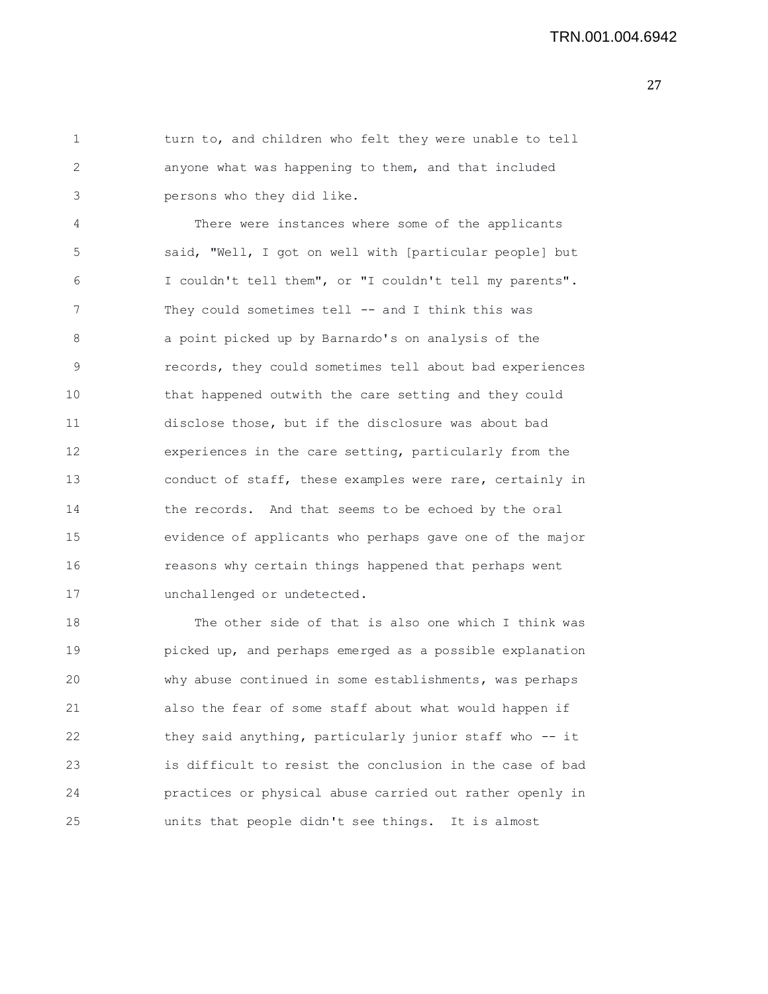1 turn to, and children who felt they were unable to tell 2 anyone what was happening to them, and that included 3 persons who they did like.

4 There were instances where some of the applicants 5 said, "Well, I got on well with [particular people] but 6 I couldn't tell them", or "I couldn't tell my parents". 7 They could sometimes tell -- and I think this was 8 a point picked up by Barnardo's on analysis of the 9 records, they could sometimes tell about bad experiences 10 that happened outwith the care setting and they could 11 disclose those, but if the disclosure was about bad 12 experiences in the care setting, particularly from the 13 conduct of staff, these examples were rare, certainly in 14 the records. And that seems to be echoed by the oral 15 evidence of applicants who perhaps gave one of the major 16 reasons why certain things happened that perhaps went 17 unchallenged or undetected.

18 The other side of that is also one which I think was 19 picked up, and perhaps emerged as a possible explanation 20 why abuse continued in some establishments, was perhaps 21 also the fear of some staff about what would happen if 22 they said anything, particularly junior staff who -- it 23 is difficult to resist the conclusion in the case of bad 24 practices or physical abuse carried out rather openly in 25 units that people didn't see things. It is almost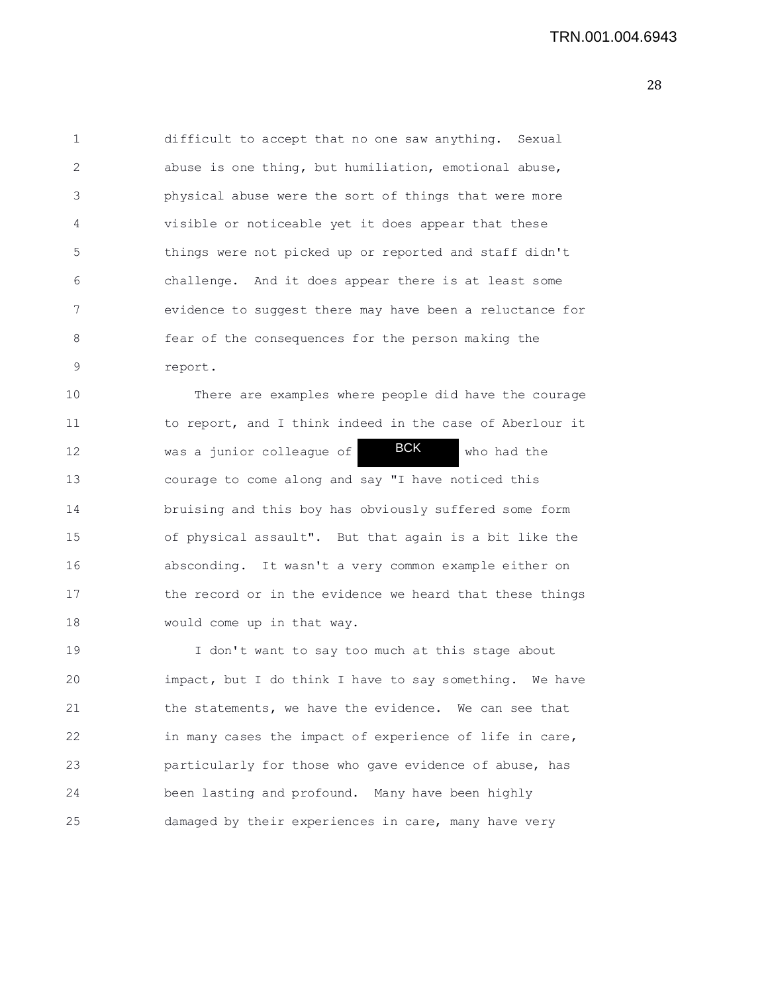1 difficult to accept that no one saw anything. Sexual 2 abuse is one thing, but humiliation, emotional abuse, 3 physical abuse were the sort of things that were more 4 visible or noticeable yet it does appear that these 5 things were not picked up or reported and staff didn't 6 challenge. And it does appear there is at least some 7 evidence to suggest there may have been a reluctance for 8 fear of the consequences for the person making the 9 report.

10 There are examples where people did have the courage 11 to report, and I think indeed in the case of Aberlour it 12 was a junior colleague of **BCK** who had the 13 courage to come along and say "I have noticed this 14 bruising and this boy has obviously suffered some form 15 of physical assault". But that again is a bit like the 16 absconding. It wasn't a very common example either on 17 the record or in the evidence we heard that these things 18 would come up in that way. BCK

19 I don't want to say too much at this stage about 20 impact, but I do think I have to say something. We have 21 the statements, we have the evidence. We can see that 22 in many cases the impact of experience of life in care, 23 particularly for those who gave evidence of abuse, has 24 been lasting and profound. Many have been highly 25 damaged by their experiences in care, many have very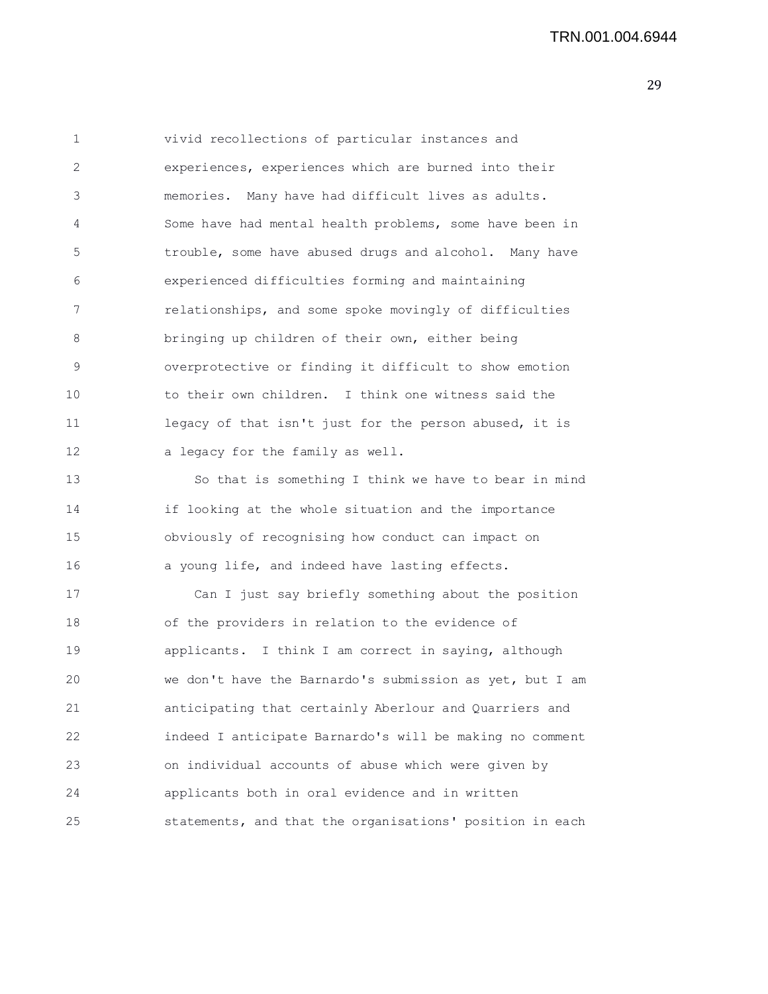1 vivid recollections of particular instances and 2 experiences, experiences which are burned into their 3 memories. Many have had difficult lives as adults. 4 Some have had mental health problems, some have been in 5 trouble, some have abused drugs and alcohol. Many have 6 experienced difficulties forming and maintaining 7 relationships, and some spoke movingly of difficulties 8 bringing up children of their own, either being 9 overprotective or finding it difficult to show emotion 10 to their own children. I think one witness said the 11 legacy of that isn't just for the person abused, it is 12 a legacy for the family as well. 13 So that is something I think we have to bear in mind

14 if looking at the whole situation and the importance 15 obviously of recognising how conduct can impact on 16 a young life, and indeed have lasting effects.

17 Can I just say briefly something about the position 18 of the providers in relation to the evidence of 19 applicants. I think I am correct in saying, although 20 we don't have the Barnardo's submission as yet, but I am 21 anticipating that certainly Aberlour and Quarriers and 22 indeed I anticipate Barnardo's will be making no comment 23 on individual accounts of abuse which were given by 24 applicants both in oral evidence and in written 25 statements, and that the organisations' position in each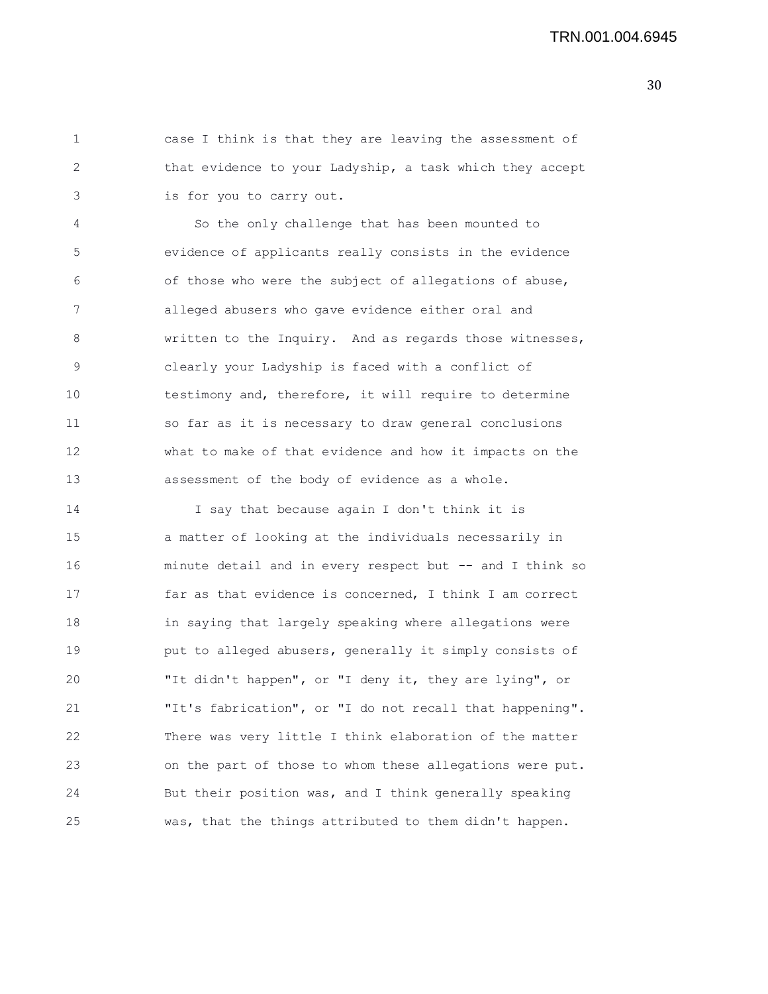1 case I think is that they are leaving the assessment of 2 that evidence to your Ladyship, a task which they accept 3 is for you to carry out.

4 So the only challenge that has been mounted to 5 evidence of applicants really consists in the evidence 6 of those who were the subject of allegations of abuse, 7 alleged abusers who gave evidence either oral and 8 written to the Inquiry. And as regards those witnesses, 9 clearly your Ladyship is faced with a conflict of 10 testimony and, therefore, it will require to determine 11 so far as it is necessary to draw general conclusions 12 what to make of that evidence and how it impacts on the 13 assessment of the body of evidence as a whole.

14 I say that because again I don't think it is 15 a matter of looking at the individuals necessarily in 16 minute detail and in every respect but -- and I think so 17 far as that evidence is concerned, I think I am correct 18 in saying that largely speaking where allegations were 19 put to alleged abusers, generally it simply consists of 20 "It didn't happen", or "I deny it, they are lying", or 21 "It's fabrication", or "I do not recall that happening". 22 There was very little I think elaboration of the matter 23 on the part of those to whom these allegations were put. 24 But their position was, and I think generally speaking 25 was, that the things attributed to them didn't happen.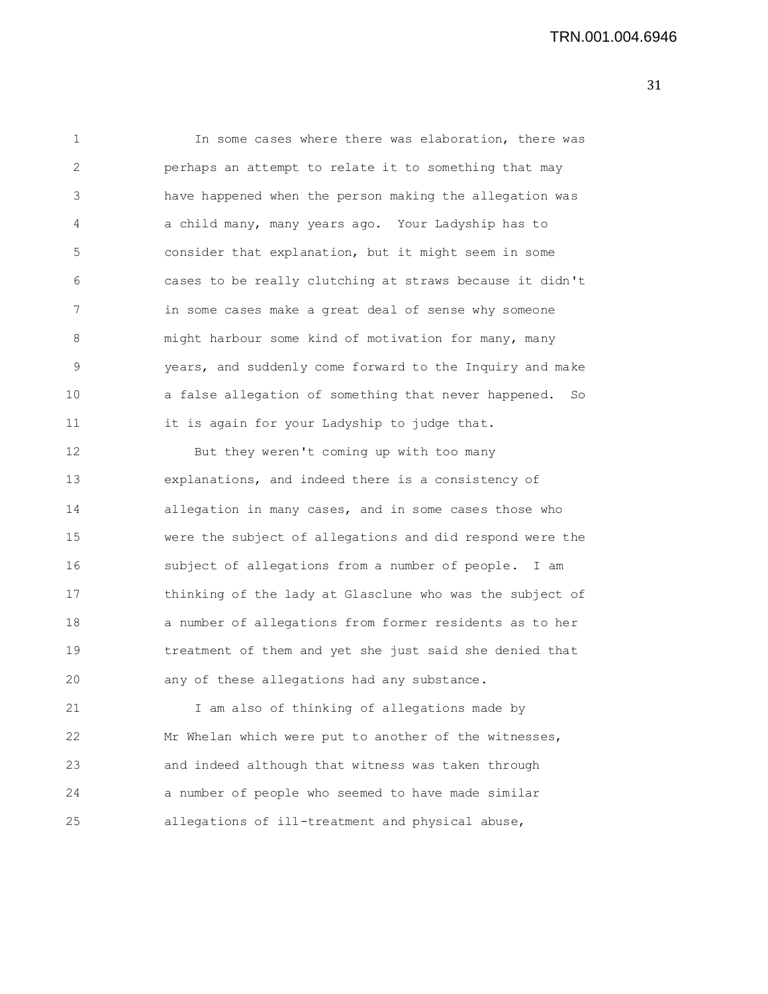1 In some cases where there was elaboration, there was 2 perhaps an attempt to relate it to something that may 3 have happened when the person making the allegation was 4 a child many, many years ago. Your Ladyship has to 5 consider that explanation, but it might seem in some 6 cases to be really clutching at straws because it didn't 7 in some cases make a great deal of sense why someone 8 might harbour some kind of motivation for many, many 9 years, and suddenly come forward to the Inquiry and make 10 a false allegation of something that never happened. So 11 it is again for your Ladyship to judge that. 12 But they weren't coming up with too many 13 explanations, and indeed there is a consistency of 14 allegation in many cases, and in some cases those who 15 were the subject of allegations and did respond were the 16 subject of allegations from a number of people. I am 17 thinking of the lady at Glasclune who was the subject of 18 a number of allegations from former residents as to her 19 treatment of them and yet she just said she denied that 20 any of these allegations had any substance. 21 I am also of thinking of allegations made by 22 Mr Whelan which were put to another of the witnesses, 23 and indeed although that witness was taken through 24 a number of people who seemed to have made similar

25 allegations of ill-treatment and physical abuse,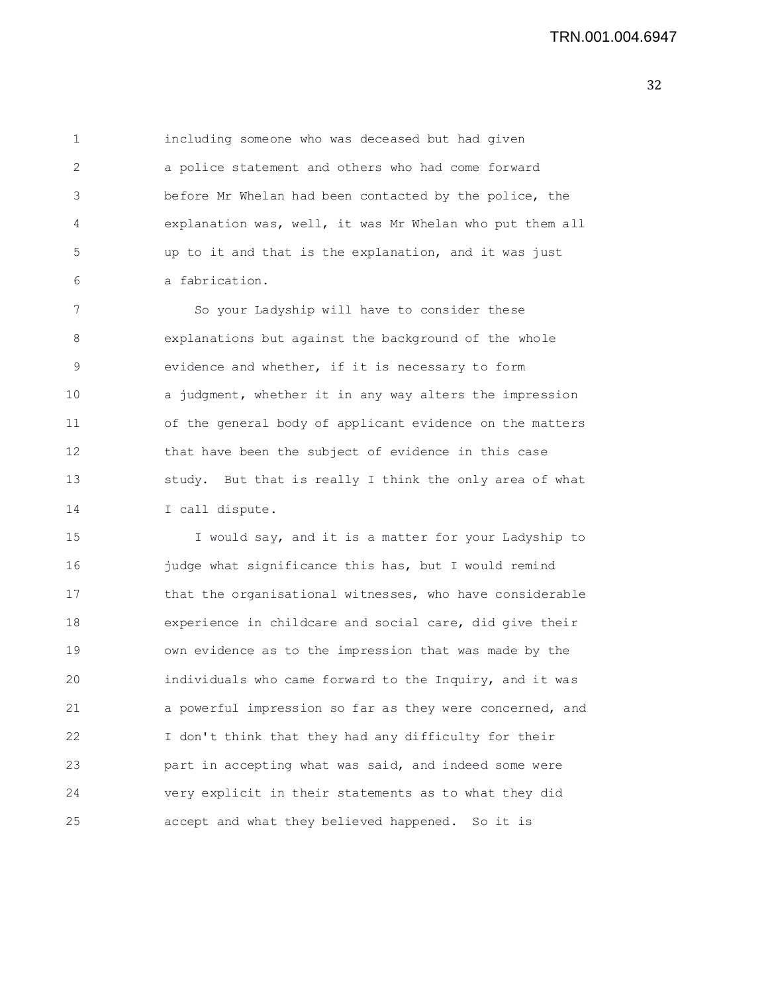1 including someone who was deceased but had given 2 a police statement and others who had come forward 3 before Mr Whelan had been contacted by the police, the 4 explanation was, well, it was Mr Whelan who put them all 5 up to it and that is the explanation, and it was just 6 a fabrication.

7 So your Ladyship will have to consider these 8 explanations but against the background of the whole 9 evidence and whether, if it is necessary to form 10 a judgment, whether it in any way alters the impression 11 of the general body of applicant evidence on the matters 12 that have been the subject of evidence in this case 13 study. But that is really I think the only area of what 14 I call dispute.

15 I would say, and it is a matter for your Ladyship to 16 **judge what significance this has, but I would remind** 17 that the organisational witnesses, who have considerable 18 experience in childcare and social care, did give their 19 own evidence as to the impression that was made by the 20 individuals who came forward to the Inquiry, and it was 21 a powerful impression so far as they were concerned, and 22 I don't think that they had any difficulty for their 23 part in accepting what was said, and indeed some were 24 very explicit in their statements as to what they did 25 accept and what they believed happened. So it is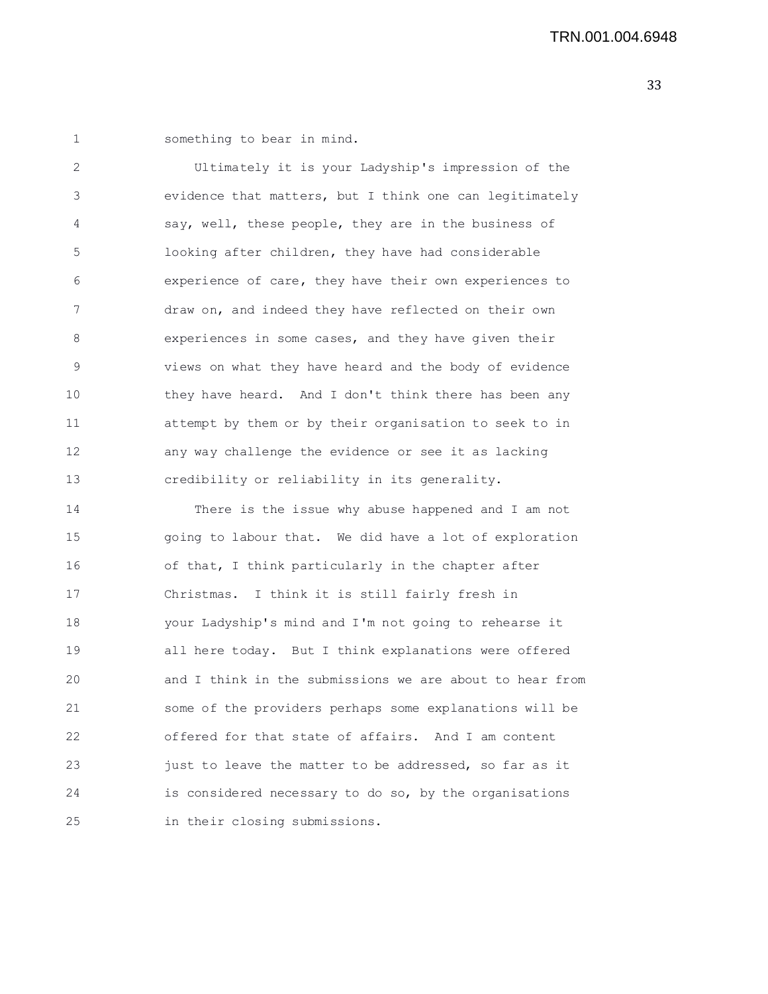1 something to bear in mind.

2 Ultimately it is your Ladyship's impression of the 3 evidence that matters, but I think one can legitimately 4 say, well, these people, they are in the business of 5 looking after children, they have had considerable 6 experience of care, they have their own experiences to 7 draw on, and indeed they have reflected on their own 8 experiences in some cases, and they have given their 9 views on what they have heard and the body of evidence 10 they have heard. And I don't think there has been any 11 attempt by them or by their organisation to seek to in 12 any way challenge the evidence or see it as lacking 13 credibility or reliability in its generality.

14 There is the issue why abuse happened and I am not 15 going to labour that. We did have a lot of exploration 16 of that, I think particularly in the chapter after 17 Christmas. I think it is still fairly fresh in 18 your Ladyship's mind and I'm not going to rehearse it 19 all here today. But I think explanations were offered 20 and I think in the submissions we are about to hear from 21 some of the providers perhaps some explanations will be 22 offered for that state of affairs. And I am content 23 just to leave the matter to be addressed, so far as it 24 is considered necessary to do so, by the organisations 25 in their closing submissions.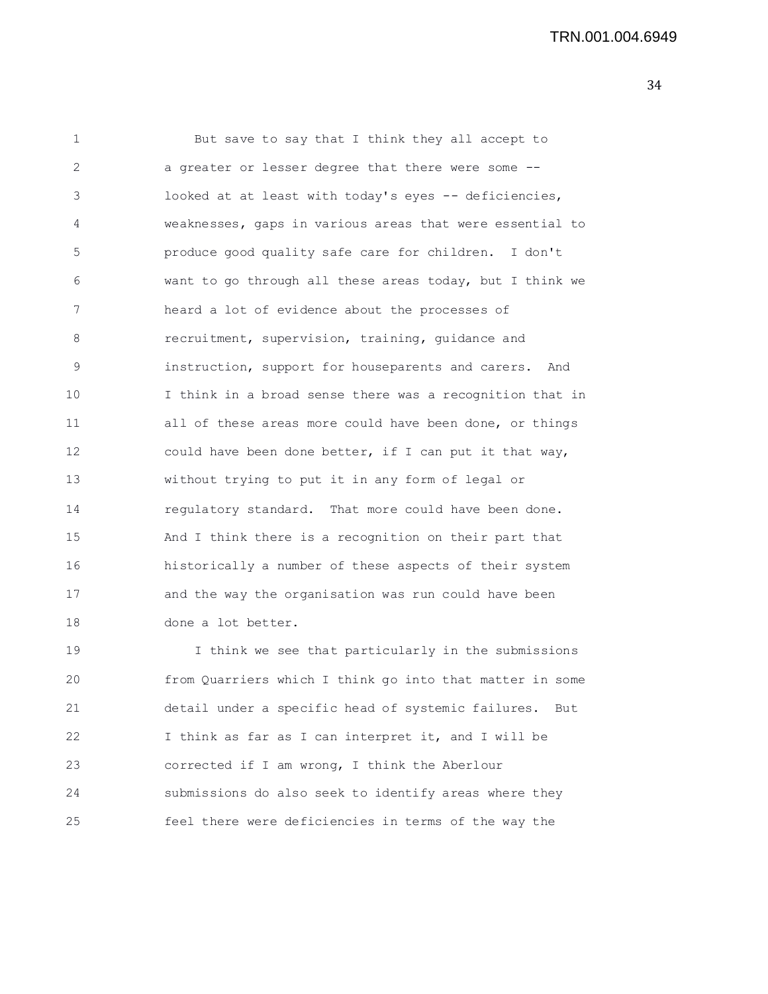| 1  | But save to say that I think they all accept to          |
|----|----------------------------------------------------------|
| 2  | a greater or lesser degree that there were some --       |
| 3  | looked at at least with today's eyes -- deficiencies,    |
| 4  | weaknesses, gaps in various areas that were essential to |
| 5  | produce good quality safe care for children. I don't     |
| 6  | want to go through all these areas today, but I think we |
| 7  | heard a lot of evidence about the processes of           |
| 8  | recruitment, supervision, training, guidance and         |
| 9  | instruction, support for houseparents and carers. And    |
| 10 | I think in a broad sense there was a recognition that in |
| 11 | all of these areas more could have been done, or things  |
| 12 | could have been done better, if I can put it that way,   |
| 13 | without trying to put it in any form of legal or         |
| 14 | regulatory standard. That more could have been done.     |
| 15 | And I think there is a recognition on their part that    |
| 16 | historically a number of these aspects of their system   |
| 17 | and the way the organisation was run could have been     |
| 18 | done a lot better.                                       |
| 19 | I think we see that particularly in the submissions      |
| 20 | from Quarriers which I think go into that matter in some |
| 21 | detail under a specific head of systemic failures. But   |
| 22 | I think as far as I can interpret it, and I will be      |
| 23 | corrected if I am wrong, I think the Aberlour            |
| 24 | submissions do also seek to identify areas where they    |

25 feel there were deficiencies in terms of the way the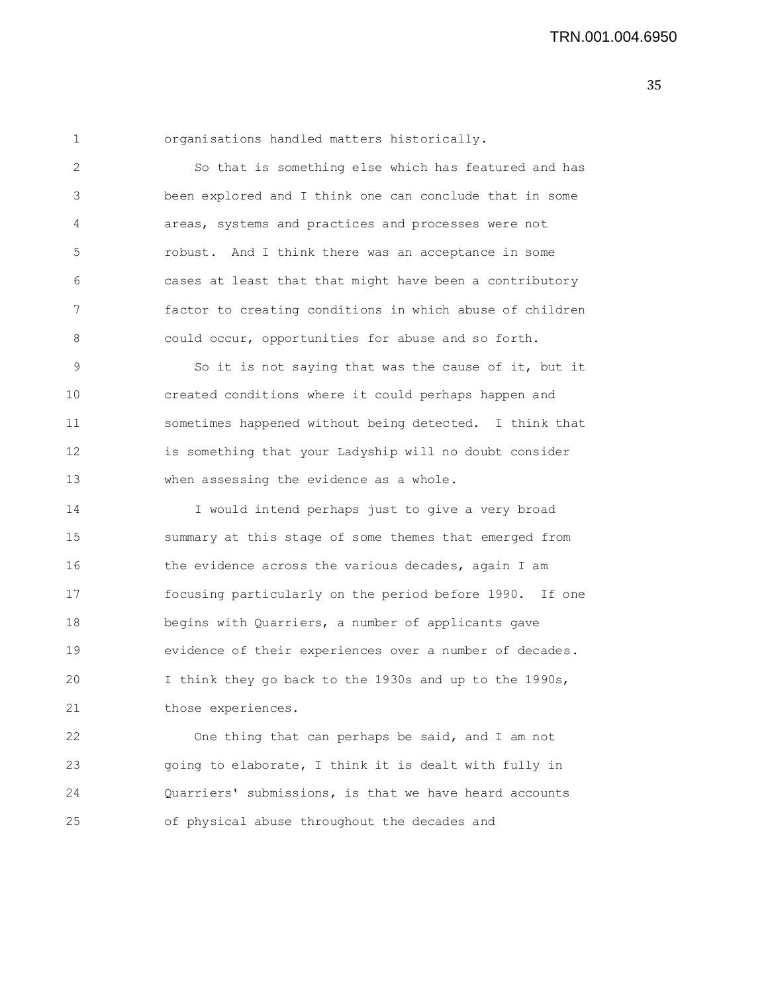1 organisations handled matters historically.

2 So that is something else which has featured and has 3 been explored and I think one can conclude that in some 4 areas, systems and practices and processes were not 5 robust. And I think there was an acceptance in some 6 cases at least that that might have been a contributory 7 factor to creating conditions in which abuse of children 8 could occur, opportunities for abuse and so forth.

9 So it is not saying that was the cause of it, but it 10 created conditions where it could perhaps happen and 11 sometimes happened without being detected. I think that 12 is something that your Ladyship will no doubt consider 13 when assessing the evidence as a whole.

14 I would intend perhaps just to give a very broad 15 summary at this stage of some themes that emerged from 16 the evidence across the various decades, again I am 17 focusing particularly on the period before 1990. If one 18 begins with Quarriers, a number of applicants gave 19 evidence of their experiences over a number of decades. 20 I think they go back to the 1930s and up to the 1990s, 21 those experiences.

22 One thing that can perhaps be said, and I am not 23 going to elaborate, I think it is dealt with fully in 24 Quarriers' submissions, is that we have heard accounts 25 of physical abuse throughout the decades and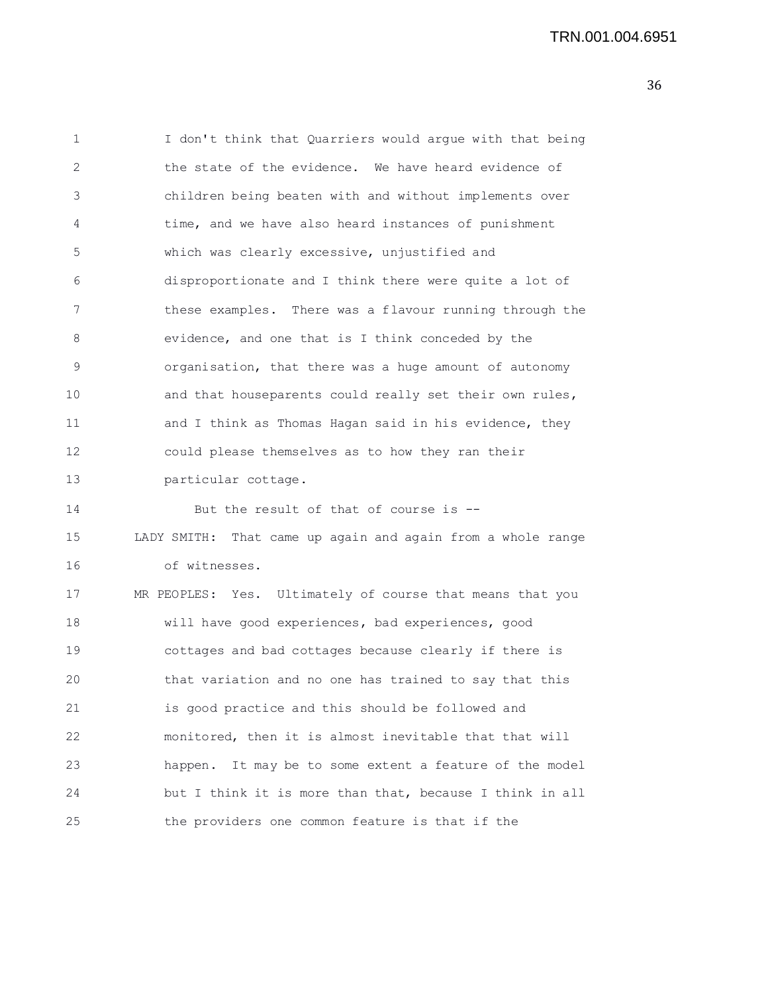| 1  | I don't think that Quarriers would argue with that being    |
|----|-------------------------------------------------------------|
| 2  | the state of the evidence. We have heard evidence of        |
| 3  | children being beaten with and without implements over      |
| 4  | time, and we have also heard instances of punishment        |
| 5  | which was clearly excessive, unjustified and                |
| 6  | disproportionate and I think there were quite a lot of      |
| 7  | these examples. There was a flavour running through the     |
| 8  | evidence, and one that is I think conceded by the           |
| 9  | organisation, that there was a huge amount of autonomy      |
| 10 | and that houseparents could really set their own rules,     |
| 11 | and I think as Thomas Hagan said in his evidence, they      |
| 12 | could please themselves as to how they ran their            |
| 13 | particular cottage.                                         |
| 14 | But the result of that of course is --                      |
| 15 | LADY SMITH: That came up again and again from a whole range |
| 16 | of witnesses.                                               |
| 17 | MR PEOPLES: Yes. Ultimately of course that means that you   |
| 18 | will have good experiences, bad experiences, good           |
| 19 | cottages and bad cottages because clearly if there is       |
| 20 | that variation and no one has trained to say that this      |
| 21 | is good practice and this should be followed and            |
| 22 | monitored, then it is almost inevitable that that will      |
| 23 | It may be to some extent a feature of the model<br>happen.  |
| 24 | but I think it is more than that, because I think in all    |
| 25 | the providers one common feature is that if the             |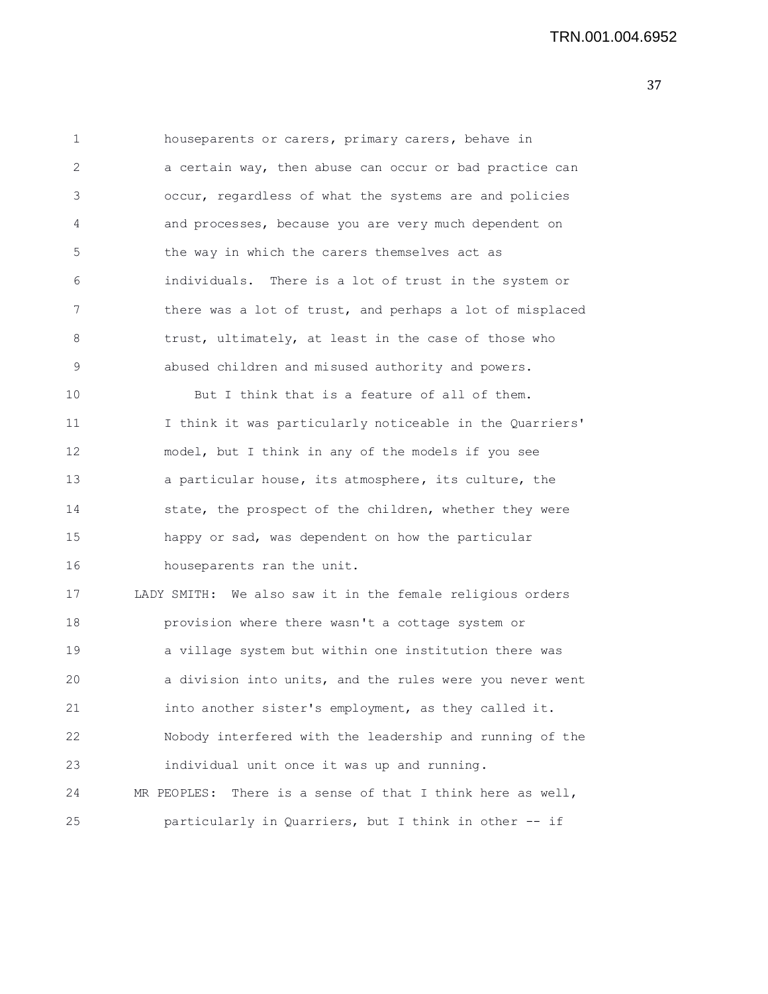TRN.001.004.6952

| $\mathbf{1}$ | houseparents or carers, primary carers, behave in             |
|--------------|---------------------------------------------------------------|
| 2            | a certain way, then abuse can occur or bad practice can       |
| 3            | occur, regardless of what the systems are and policies        |
| 4            | and processes, because you are very much dependent on         |
| 5            | the way in which the carers themselves act as                 |
| 6            | individuals. There is a lot of trust in the system or         |
| 7            | there was a lot of trust, and perhaps a lot of misplaced      |
| 8            | trust, ultimately, at least in the case of those who          |
| 9            | abused children and misused authority and powers.             |
| 10           | But I think that is a feature of all of them.                 |
| 11           | I think it was particularly noticeable in the Quarriers'      |
| 12           | model, but I think in any of the models if you see            |
| 13           | a particular house, its atmosphere, its culture, the          |
| 14           | state, the prospect of the children, whether they were        |
| 15           | happy or sad, was dependent on how the particular             |
| 16           | houseparents ran the unit.                                    |
| 17           | LADY SMITH: We also saw it in the female religious orders     |
| 18           | provision where there wasn't a cottage system or              |
| 19           | a village system but within one institution there was         |
| 20           | a division into units, and the rules were you never went      |
| 21           | into another sister's employment, as they called it.          |
| 22           | Nobody interfered with the leadership and running of the      |
| 23           | individual unit once it was up and running.                   |
| 24           | There is a sense of that I think here as well,<br>MR PEOPLES: |
| 25           | particularly in Quarriers, but I think in other -- if         |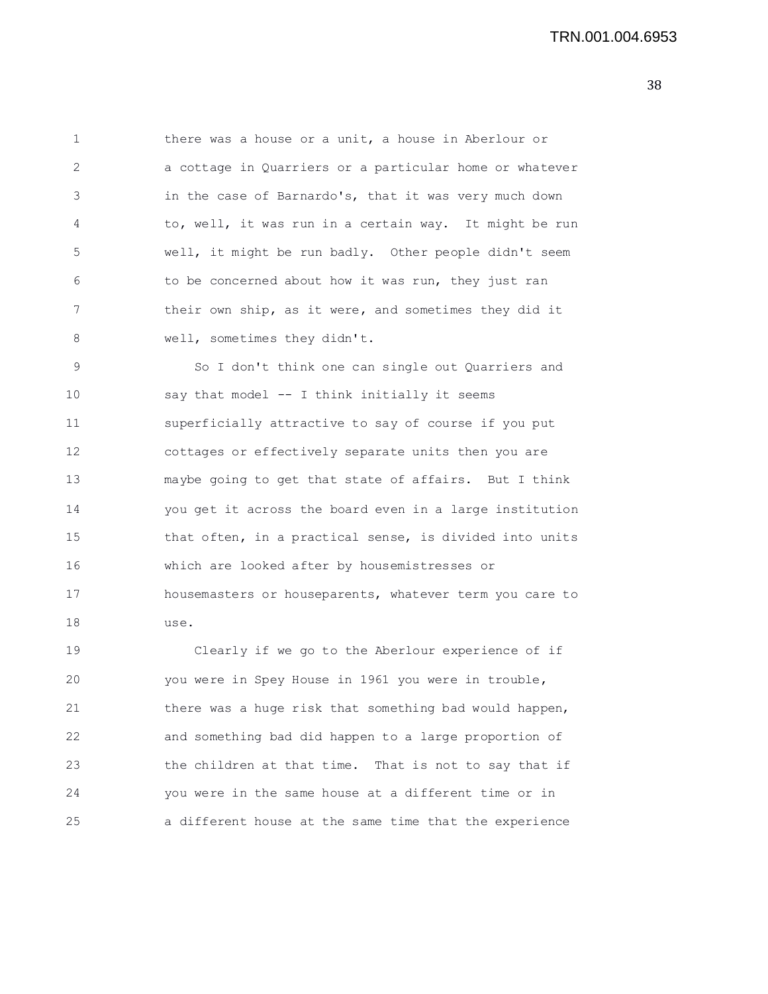1 there was a house or a unit, a house in Aberlour or 2 a cottage in Quarriers or a particular home or whatever 3 in the case of Barnardo's, that it was very much down 4 to, well, it was run in a certain way. It might be run 5 well, it might be run badly. Other people didn't seem 6 to be concerned about how it was run, they just ran 7 their own ship, as it were, and sometimes they did it 8 well, sometimes they didn't.

9 So I don't think one can single out Quarriers and 10 say that model -- I think initially it seems 11 superficially attractive to say of course if you put 12 cottages or effectively separate units then you are 13 maybe going to get that state of affairs. But I think 14 you get it across the board even in a large institution 15 that often, in a practical sense, is divided into units 16 which are looked after by housemistresses or 17 housemasters or houseparents, whatever term you care to 18 use.

19 Clearly if we go to the Aberlour experience of if 20 you were in Spey House in 1961 you were in trouble, 21 there was a huge risk that something bad would happen, 22 and something bad did happen to a large proportion of 23 the children at that time. That is not to say that if 24 you were in the same house at a different time or in 25 a different house at the same time that the experience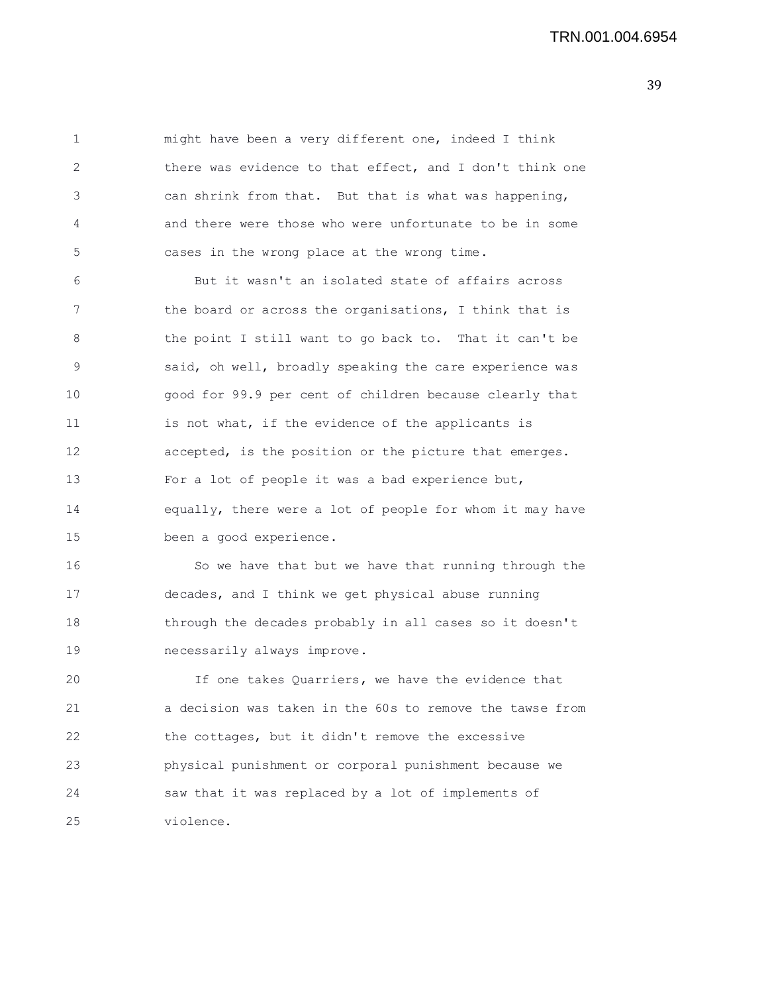1 might have been a very different one, indeed I think 2 there was evidence to that effect, and I don't think one 3 can shrink from that. But that is what was happening, 4 and there were those who were unfortunate to be in some 5 cases in the wrong place at the wrong time.

6 But it wasn't an isolated state of affairs across 7 the board or across the organisations, I think that is 8 the point I still want to go back to. That it can't be 9 said, oh well, broadly speaking the care experience was 10 good for 99.9 per cent of children because clearly that 11 is not what, if the evidence of the applicants is 12 accepted, is the position or the picture that emerges. 13 For a lot of people it was a bad experience but, 14 equally, there were a lot of people for whom it may have 15 been a good experience.

16 So we have that but we have that running through the 17 decades, and I think we get physical abuse running 18 through the decades probably in all cases so it doesn't 19 necessarily always improve.

20 If one takes Quarriers, we have the evidence that 21 a decision was taken in the 60s to remove the tawse from 22 the cottages, but it didn't remove the excessive 23 physical punishment or corporal punishment because we 24 saw that it was replaced by a lot of implements of 25 violence.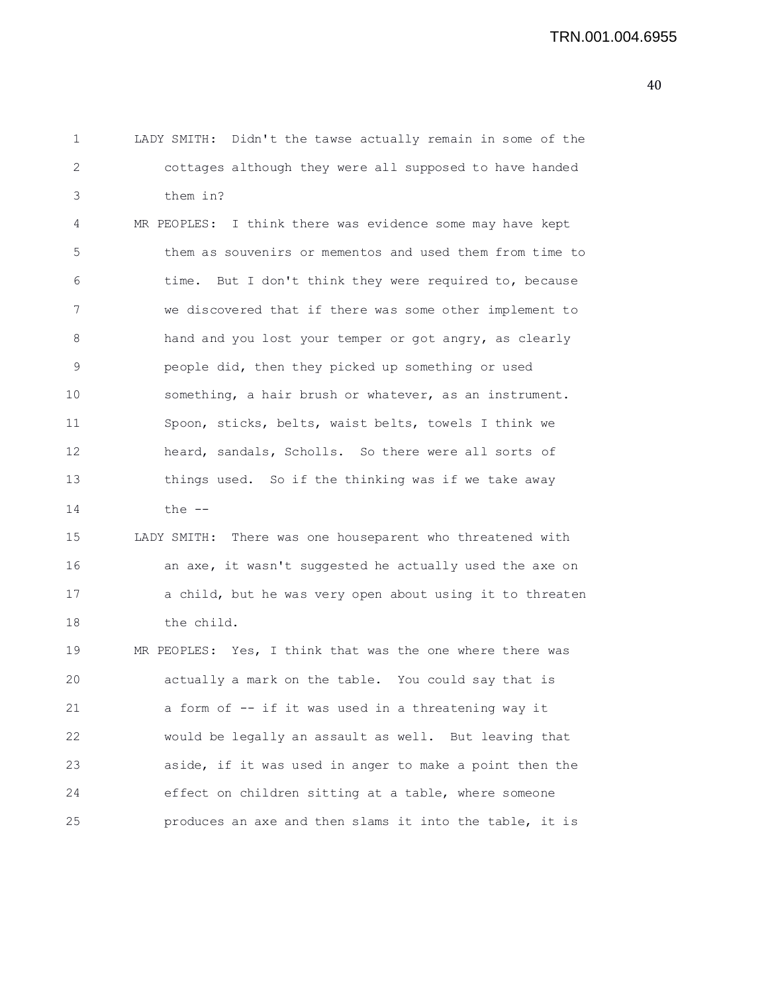1 LADY SMITH: Didn't the tawse actually remain in some of the 2 cottages although they were all supposed to have handed 3 them in? 4 MR PEOPLES: I think there was evidence some may have kept 5 them as souvenirs or mementos and used them from time to 6 time. But I don't think they were required to, because 7 we discovered that if there was some other implement to 8 hand and you lost your temper or got angry, as clearly 9 people did, then they picked up something or used 10 something, a hair brush or whatever, as an instrument. 11 Spoon, sticks, belts, waist belts, towels I think we 12 heard, sandals, Scholls. So there were all sorts of 13 things used. So if the thinking was if we take away 14 the -- 15 LADY SMITH: There was one houseparent who threatened with 16 an axe, it wasn't suggested he actually used the axe on 17 a child, but he was very open about using it to threaten 18 the child. 19 MR PEOPLES: Yes, I think that was the one where there was 20 actually a mark on the table. You could say that is 21 a form of -- if it was used in a threatening way it 22 would be legally an assault as well. But leaving that 23 aside, if it was used in anger to make a point then the 24 effect on children sitting at a table, where someone 25 produces an axe and then slams it into the table, it is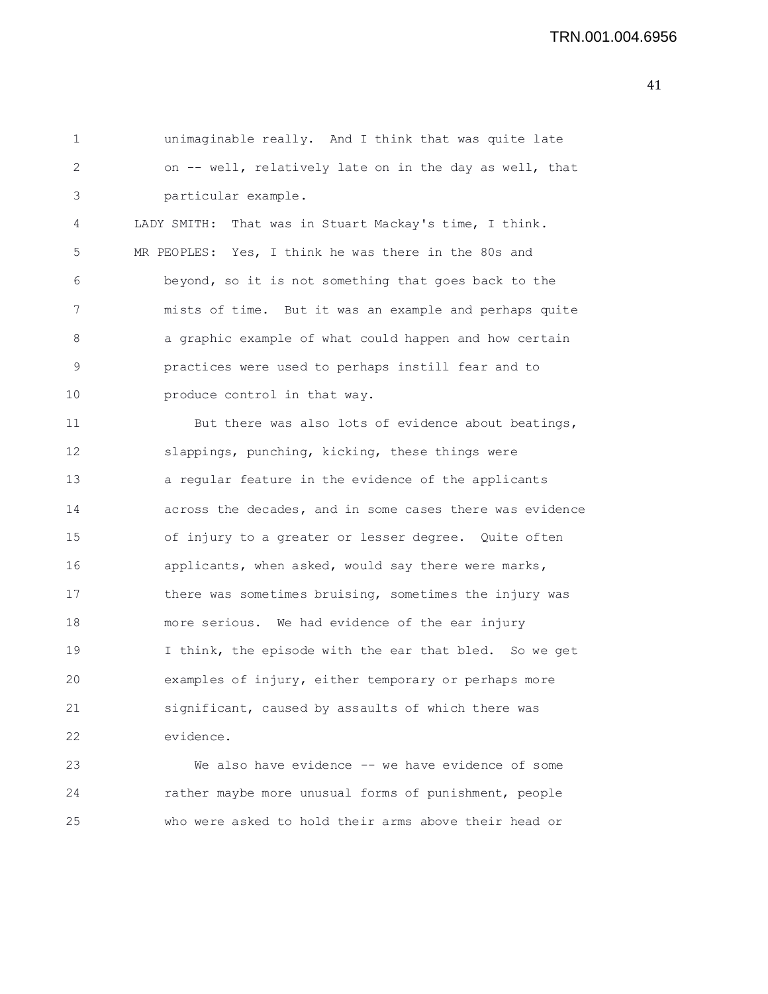```
1 unimaginable really. And I think that was quite late
2 on -- well, relatively late on in the day as well, that
3 particular example.
4 LADY SMITH: That was in Stuart Mackay's time, I think.
5 MR PEOPLES: Yes, I think he was there in the 80s and
6 beyond, so it is not something that goes back to the
7 mists of time. But it was an example and perhaps quite
8 a graphic example of what could happen and how certain
9 practices were used to perhaps instill fear and to
10 produce control in that way.
11 But there was also lots of evidence about beatings,
12 slappings, punching, kicking, these things were
13 a regular feature in the evidence of the applicants
14 across the decades, and in some cases there was evidence
15 of injury to a greater or lesser degree. Quite often
16 applicants, when asked, would say there were marks,
17 there was sometimes bruising, sometimes the injury was
18 more serious. We had evidence of the ear injury
19 I think, the episode with the ear that bled. So we get
20 examples of injury, either temporary or perhaps more
21 significant, caused by assaults of which there was
22 evidence.
23 We also have evidence -- we have evidence of some
24 rather maybe more unusual forms of punishment, people
```
25 who were asked to hold their arms above their head or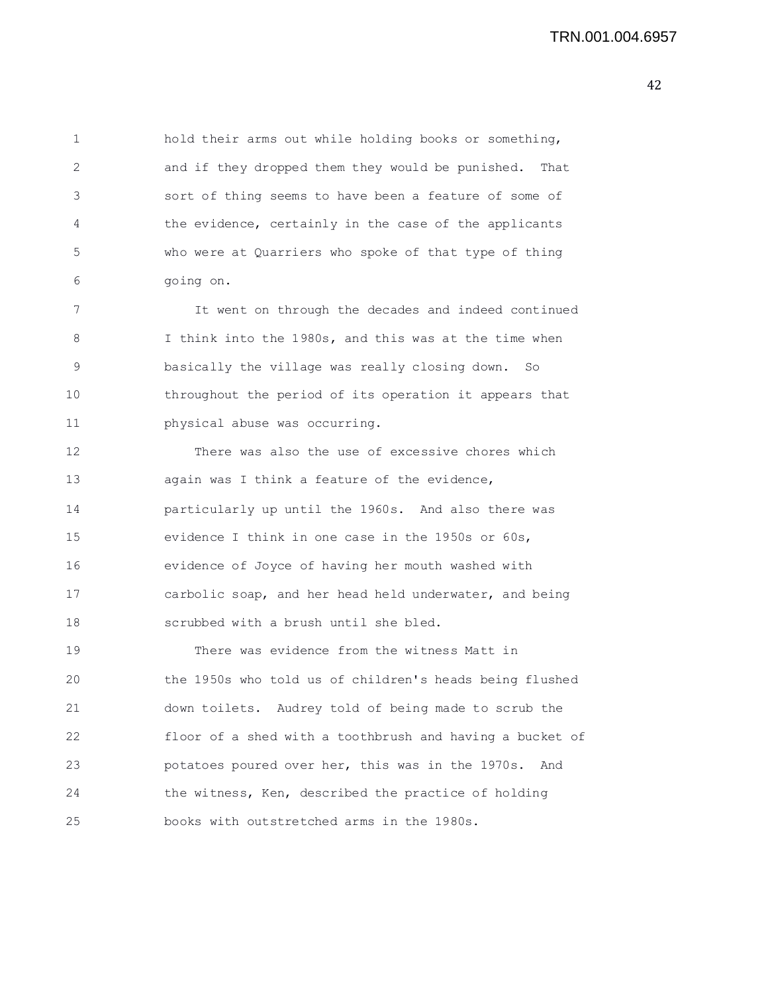1 hold their arms out while holding books or something, 2 and if they dropped them they would be punished. That 3 sort of thing seems to have been a feature of some of 4 the evidence, certainly in the case of the applicants 5 who were at Quarriers who spoke of that type of thing 6 going on.

7 It went on through the decades and indeed continued 8 I think into the 1980s, and this was at the time when 9 basically the village was really closing down. So 10 throughout the period of its operation it appears that 11 physical abuse was occurring.

12 There was also the use of excessive chores which 13 again was I think a feature of the evidence, 14 particularly up until the 1960s. And also there was 15 evidence I think in one case in the 1950s or 60s, 16 evidence of Joyce of having her mouth washed with 17 carbolic soap, and her head held underwater, and being 18 scrubbed with a brush until she bled.

19 There was evidence from the witness Matt in 20 the 1950s who told us of children's heads being flushed 21 down toilets. Audrey told of being made to scrub the 22 floor of a shed with a toothbrush and having a bucket of 23 potatoes poured over her, this was in the 1970s. And 24 the witness, Ken, described the practice of holding 25 books with outstretched arms in the 1980s.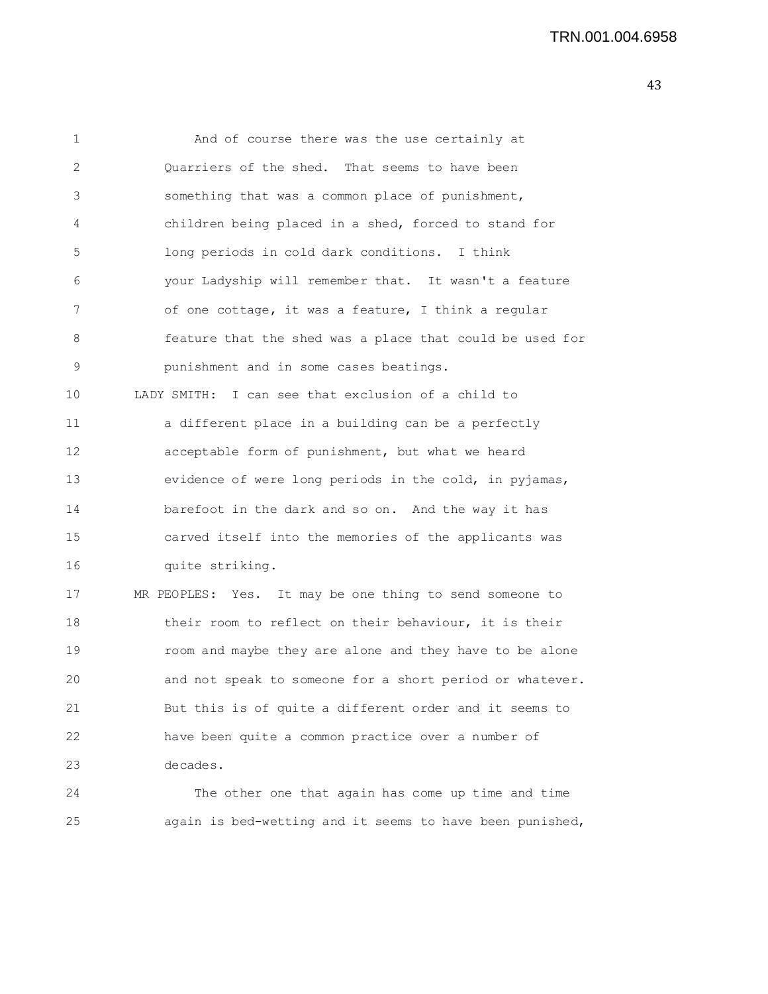43

| $\mathbf 1$  | And of course there was the use certainly at             |
|--------------|----------------------------------------------------------|
| $\mathbf{2}$ | Quarriers of the shed. That seems to have been           |
| 3            | something that was a common place of punishment,         |
| 4            | children being placed in a shed, forced to stand for     |
| 5            | long periods in cold dark conditions. I think            |
| 6            | your Ladyship will remember that. It wasn't a feature    |
| 7            | of one cottage, it was a feature, I think a regular      |
| 8            | feature that the shed was a place that could be used for |
| 9            | punishment and in some cases beatings.                   |
| 10           | LADY SMITH: I can see that exclusion of a child to       |
| 11           | a different place in a building can be a perfectly       |
| 12           | acceptable form of punishment, but what we heard         |
| 13           | evidence of were long periods in the cold, in pyjamas,   |
| 14           | barefoot in the dark and so on. And the way it has       |
| 15           | carved itself into the memories of the applicants was    |
| 16           | quite striking.                                          |
| 17           | MR PEOPLES: Yes. It may be one thing to send someone to  |
| 18           | their room to reflect on their behaviour, it is their    |
| 19           | room and maybe they are alone and they have to be alone  |
| 20           | and not speak to someone for a short period or whatever. |
| 21           | But this is of quite a different order and it seems to   |
| 22           | have been quite a common practice over a number of       |
| 23           | decades.                                                 |
| 24           | The other one that again has come up time and time       |
|              |                                                          |

25 again is bed-wetting and it seems to have been punished,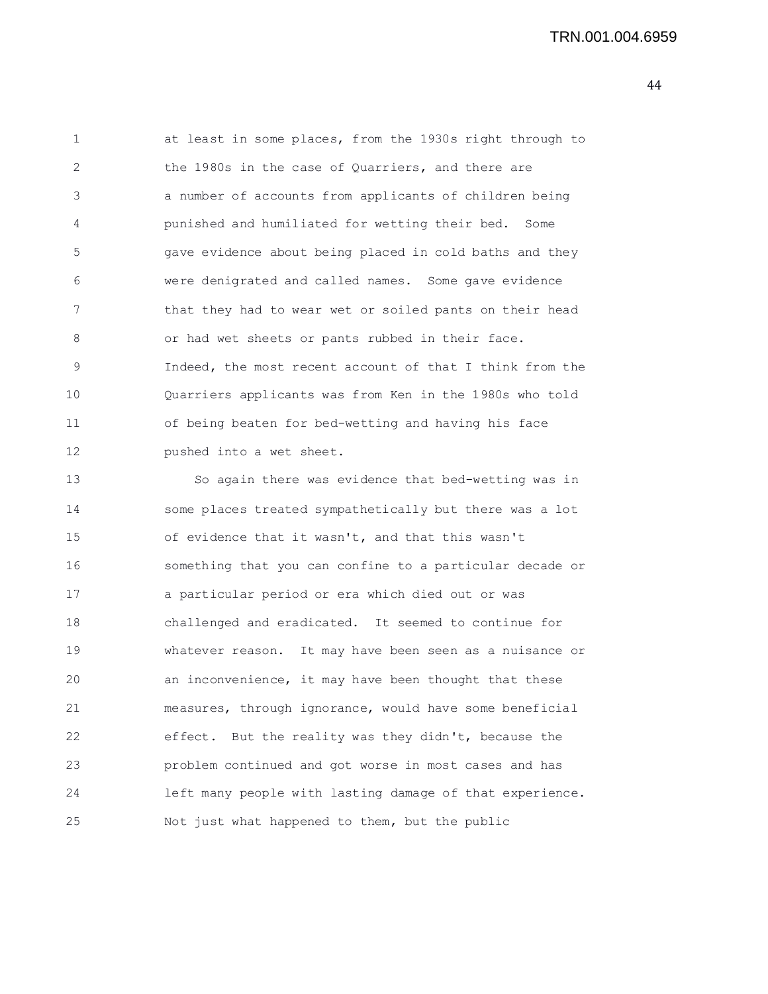| 1  | at least in some places, from the 1930s right through to |
|----|----------------------------------------------------------|
| 2  | the 1980s in the case of Quarriers, and there are        |
| 3  | a number of accounts from applicants of children being   |
| 4  | punished and humiliated for wetting their bed. Some      |
| 5  | gave evidence about being placed in cold baths and they  |
| 6  | were denigrated and called names. Some gave evidence     |
| 7  | that they had to wear wet or soiled pants on their head  |
| 8  | or had wet sheets or pants rubbed in their face.         |
| 9  | Indeed, the most recent account of that I think from the |
| 10 | Quarriers applicants was from Ken in the 1980s who told  |
| 11 | of being beaten for bed-wetting and having his face      |
| 12 | pushed into a wet sheet.                                 |
| 13 | So again there was evidence that bed-wetting was in      |
| 14 | some places treated sympathetically but there was a lot  |
| 15 | of evidence that it wasn't, and that this wasn't         |
| 16 | something that you can confine to a particular decade or |
| 17 | a particular period or era which died out or was         |
| 18 | challenged and eradicated. It seemed to continue for     |
| 19 | whatever reason. It may have been seen as a nuisance or  |
| 20 | an inconvenience, it may have been thought that these    |
| 21 | measures, through ignorance, would have some beneficial  |
| 22 | effect.<br>But the reality was they didn't, because the  |
| 23 | problem continued and got worse in most cases and has    |
| 24 | left many people with lasting damage of that experience. |
| 25 | Not just what happened to them, but the public           |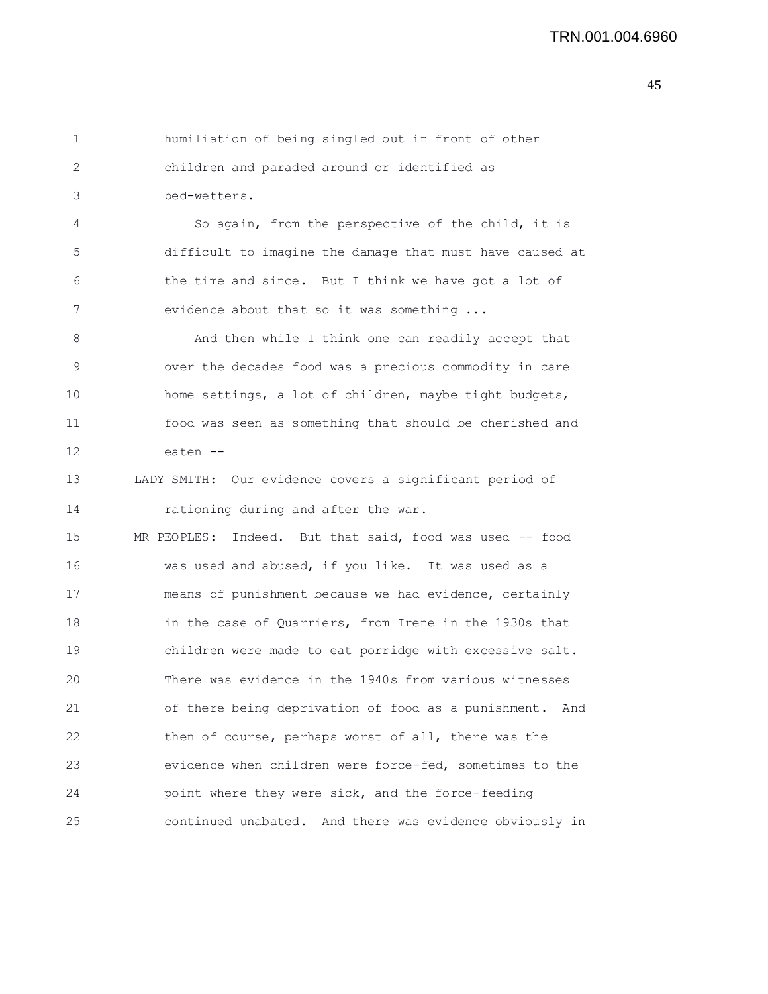1 humiliation of being singled out in front of other 2 children and paraded around or identified as 3 bed-wetters.

4 So again, from the perspective of the child, it is 5 difficult to imagine the damage that must have caused at 6 the time and since. But I think we have got a lot of 7 evidence about that so it was something ...

8 And then while I think one can readily accept that 9 over the decades food was a precious commodity in care 10 home settings, a lot of children, maybe tight budgets, 11 food was seen as something that should be cherished and 12 eaten --

13 LADY SMITH: Our evidence covers a significant period of 14 rationing during and after the war.

15 MR PEOPLES: Indeed. But that said, food was used -- food 16 was used and abused, if you like. It was used as a 17 means of punishment because we had evidence, certainly 18 in the case of Quarriers, from Irene in the 1930s that 19 children were made to eat porridge with excessive salt. 20 There was evidence in the 1940s from various witnesses 21 of there being deprivation of food as a punishment. And 22 then of course, perhaps worst of all, there was the 23 evidence when children were force-fed, sometimes to the 24 point where they were sick, and the force-feeding 25 continued unabated. And there was evidence obviously in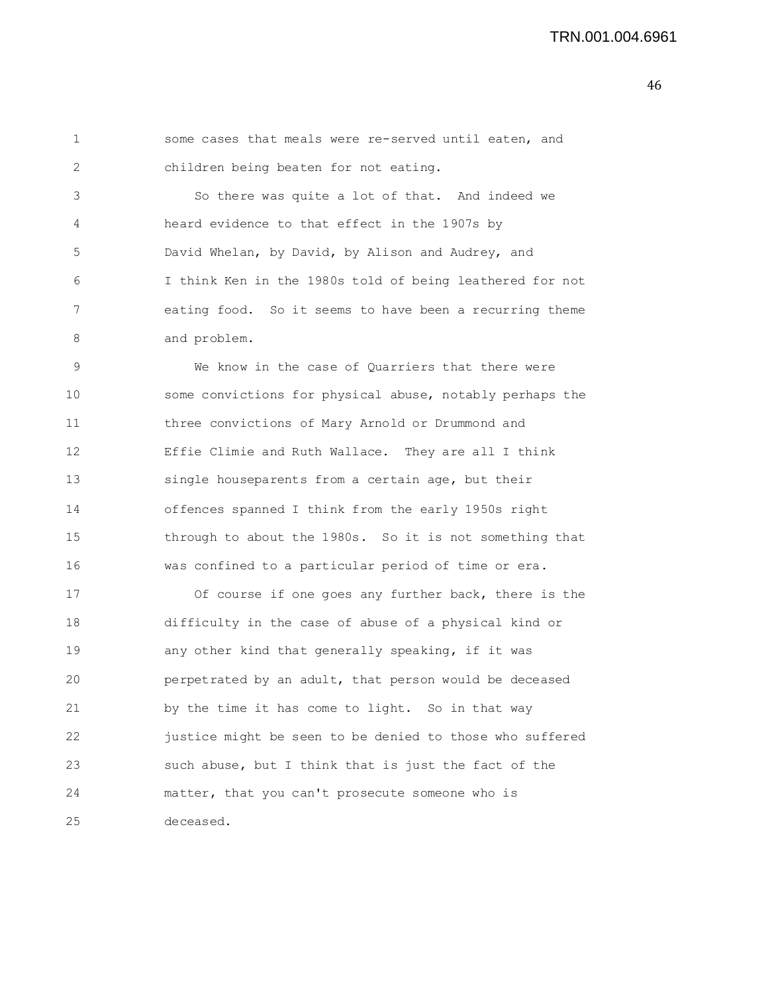```
1 some cases that meals were re-served until eaten, and
2 children being beaten for not eating.
3 So there was quite a lot of that. And indeed we
4 heard evidence to that effect in the 1907s by
5 David Whelan, by David, by Alison and Audrey, and
6 I think Ken in the 1980s told of being leathered for not
7 eating food. So it seems to have been a recurring theme
8 and problem.
9 We know in the case of Quarriers that there were
10 some convictions for physical abuse, notably perhaps the
11 three convictions of Mary Arnold or Drummond and
12 Effie Climie and Ruth Wallace. They are all I think
13 single houseparents from a certain age, but their
```
14 offences spanned I think from the early 1950s right 15 through to about the 1980s. So it is not something that 16 was confined to a particular period of time or era.

17 Of course if one goes any further back, there is the 18 difficulty in the case of abuse of a physical kind or 19 any other kind that generally speaking, if it was 20 perpetrated by an adult, that person would be deceased 21 by the time it has come to light. So in that way 22 justice might be seen to be denied to those who suffered 23 such abuse, but I think that is just the fact of the 24 matter, that you can't prosecute someone who is 25 deceased.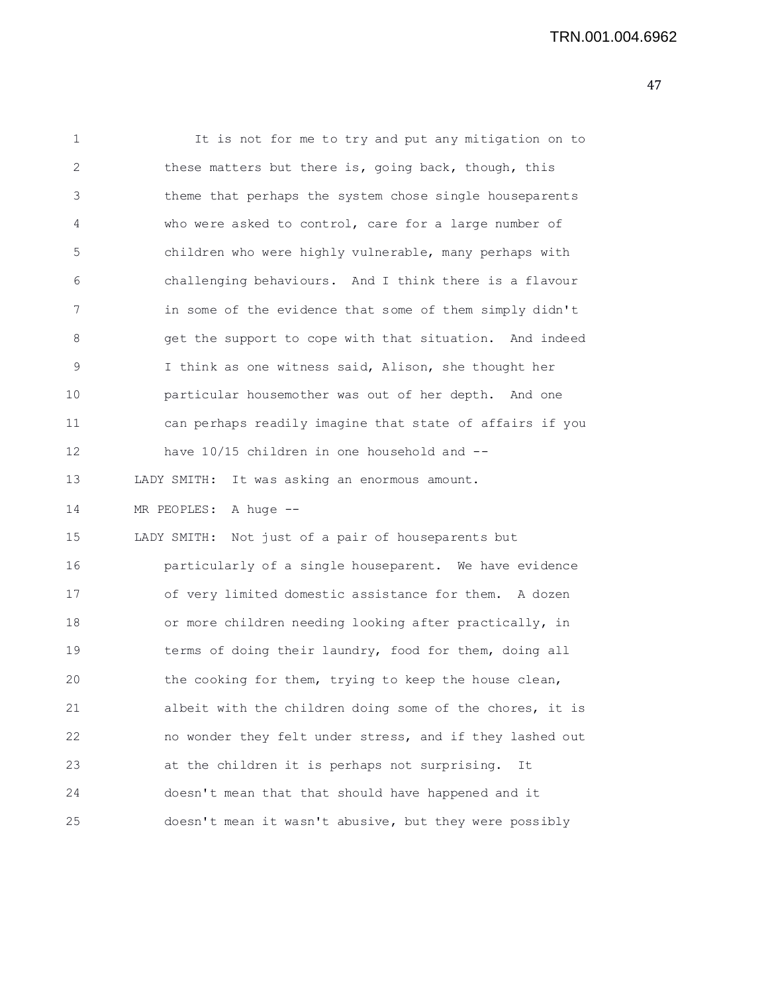| 1  | It is not for me to try and put any mitigation on to     |
|----|----------------------------------------------------------|
| 2  | these matters but there is, going back, though, this     |
| 3  | theme that perhaps the system chose single houseparents  |
| 4  | who were asked to control, care for a large number of    |
| 5  | children who were highly vulnerable, many perhaps with   |
| 6  | challenging behaviours. And I think there is a flavour   |
| 7  | in some of the evidence that some of them simply didn't  |
| 8  | get the support to cope with that situation. And indeed  |
| 9  | I think as one witness said, Alison, she thought her     |
| 10 | particular housemother was out of her depth. And one     |
| 11 | can perhaps readily imagine that state of affairs if you |
| 12 | have 10/15 children in one household and --              |
| 13 | LADY SMITH:<br>It was asking an enormous amount.         |
| 14 | MR PEOPLES: A huge --                                    |
| 15 | LADY SMITH: Not just of a pair of houseparents but       |
| 16 | particularly of a single houseparent. We have evidence   |
| 17 | of very limited domestic assistance for them. A dozen    |
| 18 | or more children needing looking after practically, in   |
| 19 | terms of doing their laundry, food for them, doing all   |
| 20 | the cooking for them, trying to keep the house clean,    |
| 21 | albeit with the children doing some of the chores, it is |
| 22 | no wonder they felt under stress, and if they lashed out |
| 23 | at the children it is perhaps not surprising.<br>It      |
| 24 | doesn't mean that that should have happened and it       |
| 25 | doesn't mean it wasn't abusive, but they were possibly   |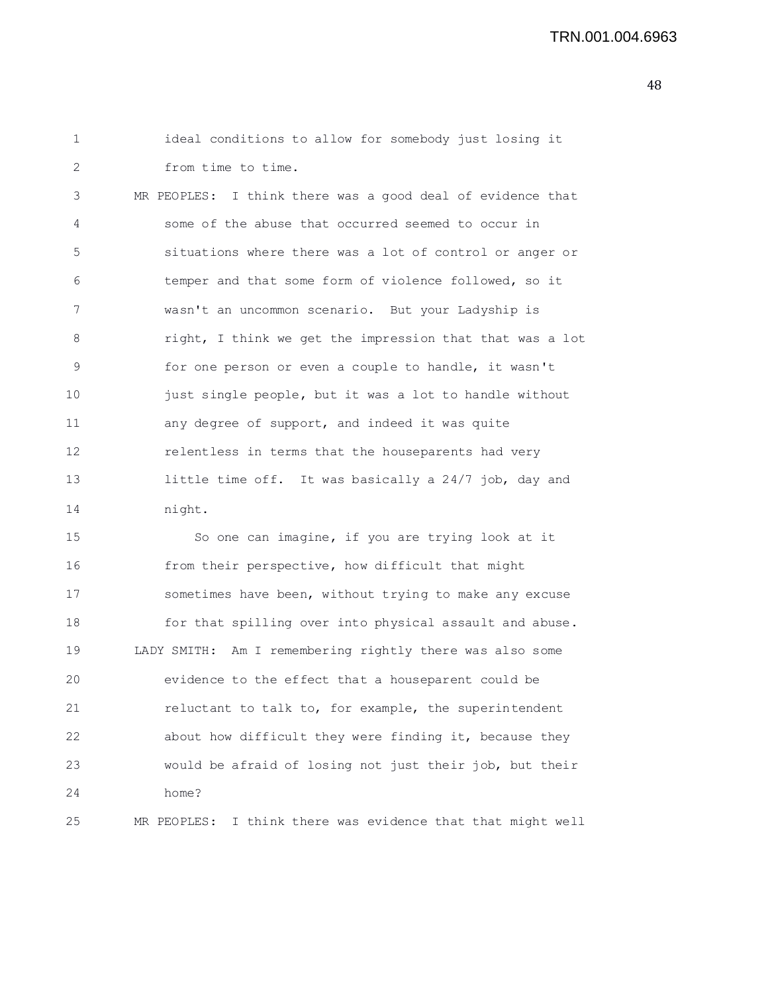1 ideal conditions to allow for somebody just losing it 2 from time to time. 3 MR PEOPLES: I think there was a good deal of evidence that 4 some of the abuse that occurred seemed to occur in 5 situations where there was a lot of control or anger or 6 temper and that some form of violence followed, so it 7 wasn't an uncommon scenario. But your Ladyship is 8 right, I think we get the impression that that was a lot 9 for one person or even a couple to handle, it wasn't 10 just single people, but it was a lot to handle without 11 any degree of support, and indeed it was quite 12 relentless in terms that the houseparents had very 13 little time off. It was basically a 24/7 job, day and 14 night. 15 So one can imagine, if you are trying look at it 16 from their perspective, how difficult that might 17 sometimes have been, without trying to make any excuse 18 for that spilling over into physical assault and abuse.

19 LADY SMITH: Am I remembering rightly there was also some 20 evidence to the effect that a houseparent could be 21 reluctant to talk to, for example, the superintendent 22 about how difficult they were finding it, because they 23 would be afraid of losing not just their job, but their 24 home?

25 MR PEOPLES: I think there was evidence that that might well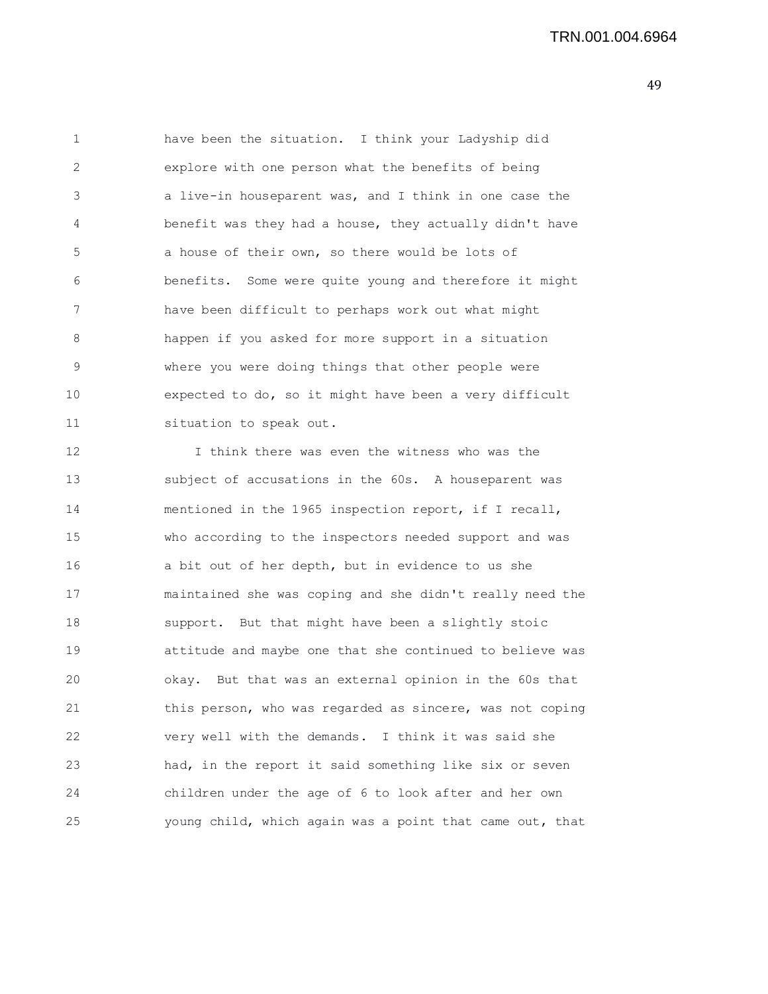TRN.001.004.6964

49

1 have been the situation. I think your Ladyship did 2 explore with one person what the benefits of being 3 a live-in houseparent was, and I think in one case the 4 benefit was they had a house, they actually didn't have 5 a house of their own, so there would be lots of 6 benefits. Some were quite young and therefore it might 7 have been difficult to perhaps work out what might 8 happen if you asked for more support in a situation 9 where you were doing things that other people were 10 expected to do, so it might have been a very difficult 11 situation to speak out. 12 I think there was even the witness who was the 13 subject of accusations in the 60s. A houseparent was 14 mentioned in the 1965 inspection report, if I recall, 15 who according to the inspectors needed support and was 16 a bit out of her depth, but in evidence to us she 17 maintained she was coping and she didn't really need the 18 support. But that might have been a slightly stoic 19 attitude and maybe one that she continued to believe was 20 okay. But that was an external opinion in the 60s that 21 this person, who was regarded as sincere, was not coping 22 very well with the demands. I think it was said she 23 had, in the report it said something like six or seven 24 children under the age of 6 to look after and her own

25 young child, which again was a point that came out, that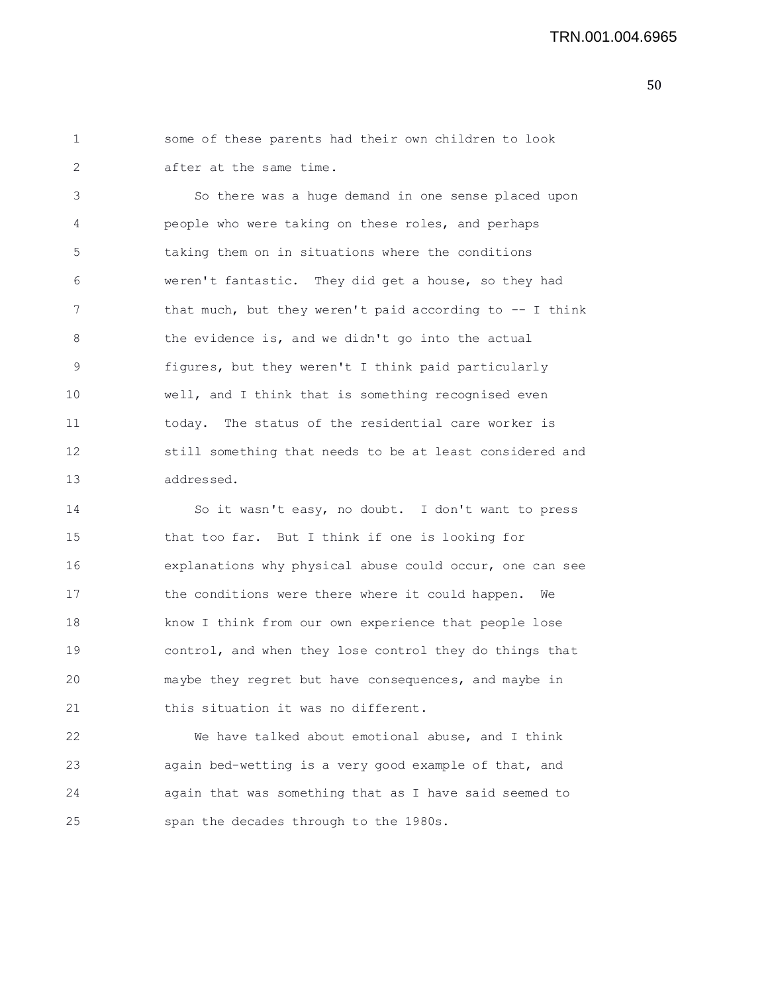1 some of these parents had their own children to look 2 after at the same time.

3 So there was a huge demand in one sense placed upon 4 people who were taking on these roles, and perhaps 5 taking them on in situations where the conditions 6 weren't fantastic. They did get a house, so they had 7 that much, but they weren't paid according to -- I think 8 the evidence is, and we didn't go into the actual 9 figures, but they weren't I think paid particularly 10 well, and I think that is something recognised even 11 today. The status of the residential care worker is 12 still something that needs to be at least considered and 13 addressed.

14 So it wasn't easy, no doubt. I don't want to press 15 that too far. But I think if one is looking for 16 explanations why physical abuse could occur, one can see 17 the conditions were there where it could happen. We 18 know I think from our own experience that people lose 19 control, and when they lose control they do things that 20 maybe they regret but have consequences, and maybe in 21 this situation it was no different.

22 We have talked about emotional abuse, and I think 23 again bed-wetting is a very good example of that, and 24 again that was something that as I have said seemed to 25 span the decades through to the 1980s.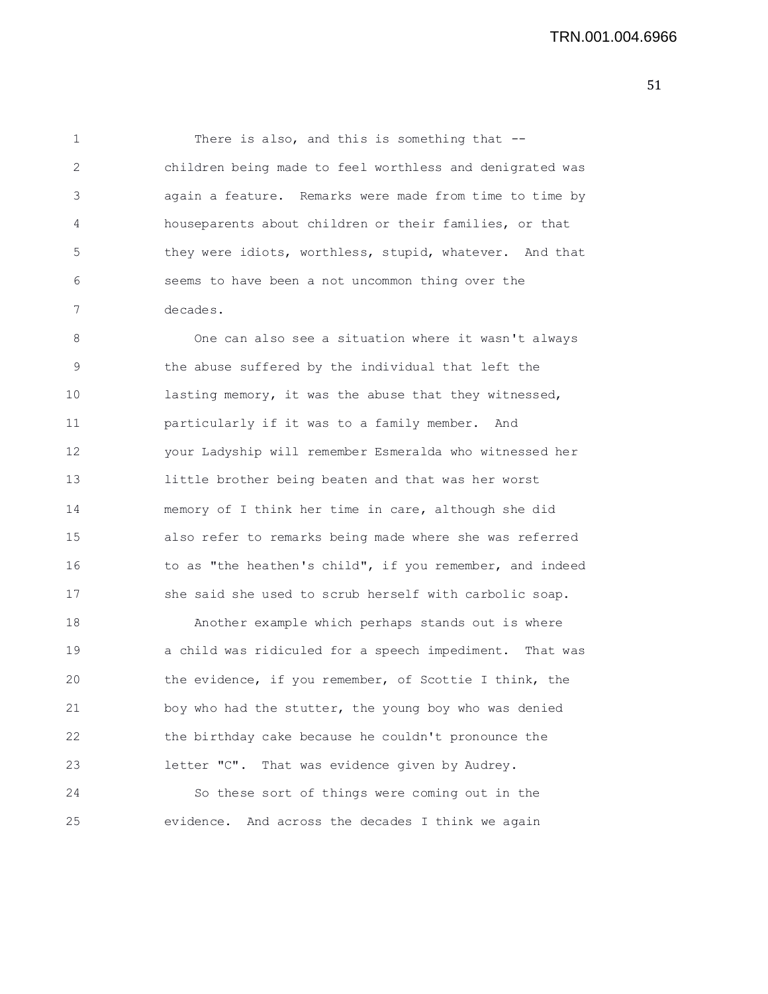1 There is also, and this is something that --2 children being made to feel worthless and denigrated was 3 again a feature. Remarks were made from time to time by 4 houseparents about children or their families, or that 5 they were idiots, worthless, stupid, whatever. And that 6 seems to have been a not uncommon thing over the 7 decades.

8 One can also see a situation where it wasn't always 9 the abuse suffered by the individual that left the 10 lasting memory, it was the abuse that they witnessed, 11 particularly if it was to a family member. And 12 your Ladyship will remember Esmeralda who witnessed her 13 little brother being beaten and that was her worst 14 memory of I think her time in care, although she did 15 also refer to remarks being made where she was referred 16 to as "the heathen's child", if you remember, and indeed 17 she said she used to scrub herself with carbolic soap.

18 Another example which perhaps stands out is where 19 a child was ridiculed for a speech impediment. That was 20 the evidence, if you remember, of Scottie I think, the 21 boy who had the stutter, the young boy who was denied 22 the birthday cake because he couldn't pronounce the 23 letter "C". That was evidence given by Audrey. 24 So these sort of things were coming out in the

25 evidence. And across the decades I think we again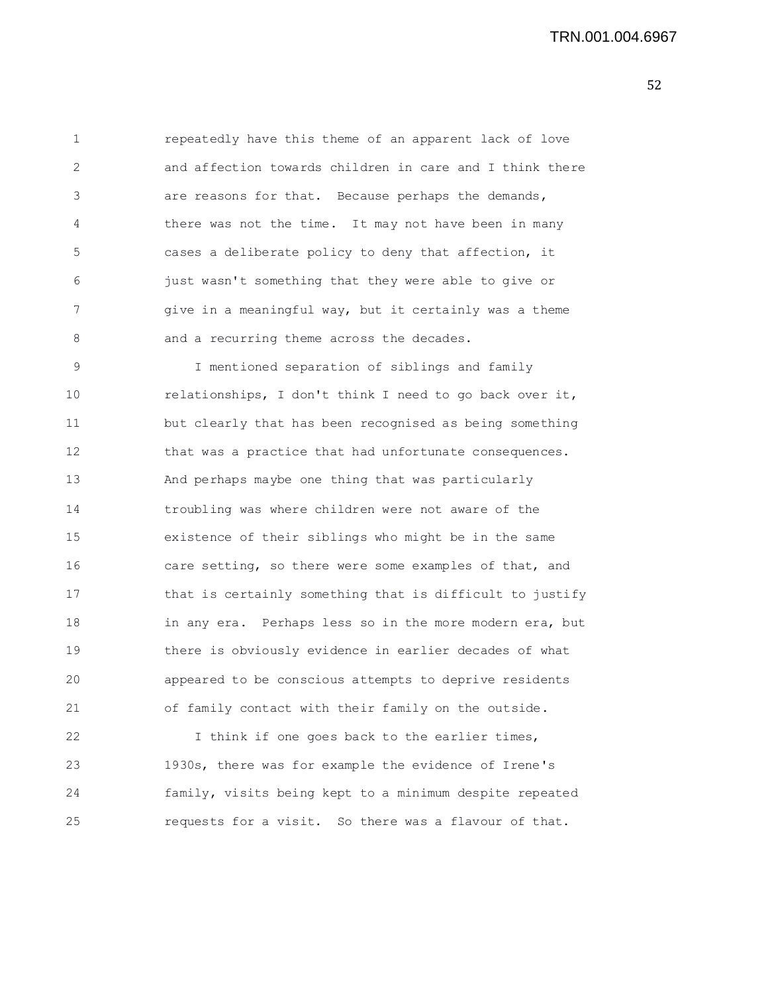1 repeatedly have this theme of an apparent lack of love 2 and affection towards children in care and I think there 3 are reasons for that. Because perhaps the demands, 4 there was not the time. It may not have been in many 5 cases a deliberate policy to deny that affection, it 6 just wasn't something that they were able to give or 7 give in a meaningful way, but it certainly was a theme 8 and a recurring theme across the decades.

9 I mentioned separation of siblings and family 10 relationships, I don't think I need to go back over it, 11 but clearly that has been recognised as being something 12 that was a practice that had unfortunate consequences. 13 And perhaps maybe one thing that was particularly 14 troubling was where children were not aware of the 15 existence of their siblings who might be in the same 16 care setting, so there were some examples of that, and 17 that is certainly something that is difficult to justify 18 in any era. Perhaps less so in the more modern era, but 19 there is obviously evidence in earlier decades of what 20 appeared to be conscious attempts to deprive residents 21 of family contact with their family on the outside.

22 I think if one goes back to the earlier times, 23 1930s, there was for example the evidence of Irene's 24 family, visits being kept to a minimum despite repeated 25 requests for a visit. So there was a flavour of that.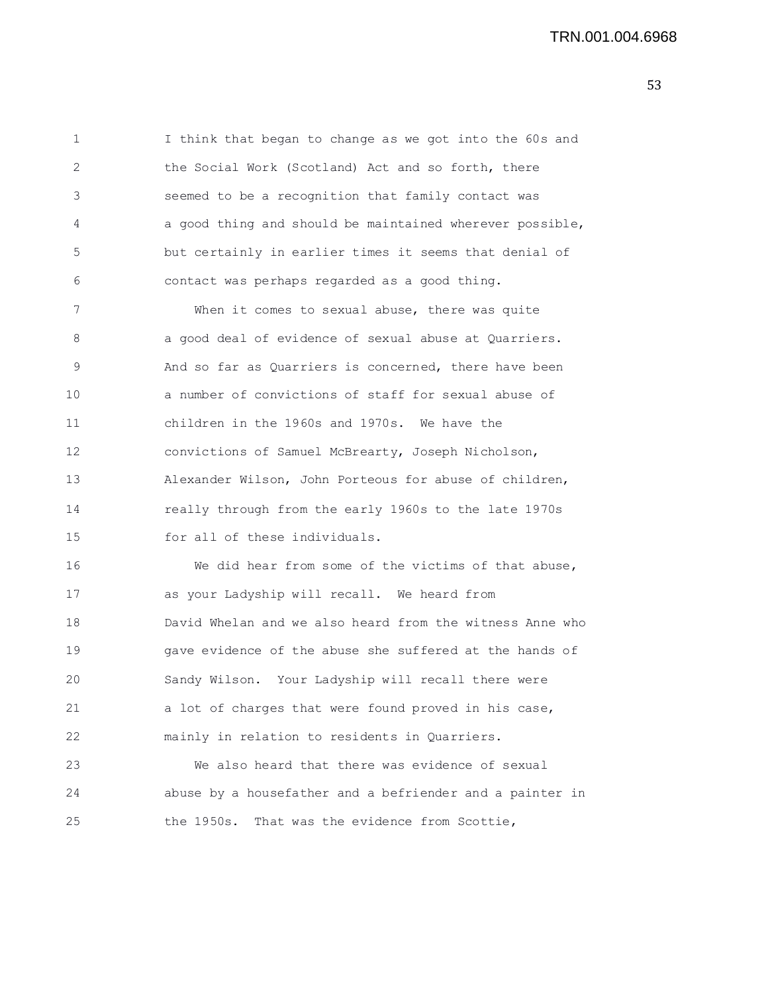1 I think that began to change as we got into the 60s and 2 the Social Work (Scotland) Act and so forth, there 3 seemed to be a recognition that family contact was 4 a good thing and should be maintained wherever possible, 5 but certainly in earlier times it seems that denial of 6 contact was perhaps regarded as a good thing. 7 When it comes to sexual abuse, there was quite 8 a good deal of evidence of sexual abuse at Quarriers. 9 And so far as Quarriers is concerned, there have been 10 a number of convictions of staff for sexual abuse of 11 children in the 1960s and 1970s. We have the 12 convictions of Samuel McBrearty, Joseph Nicholson, 13 Alexander Wilson, John Porteous for abuse of children, 14 really through from the early 1960s to the late 1970s 15 for all of these individuals. 16 We did hear from some of the victims of that abuse, 17 as your Ladyship will recall. We heard from 18 David Whelan and we also heard from the witness Anne who 19 gave evidence of the abuse she suffered at the hands of 20 Sandy Wilson. Your Ladyship will recall there were 21 a lot of charges that were found proved in his case, 22 mainly in relation to residents in Quarriers. 23 We also heard that there was evidence of sexual

24 abuse by a housefather and a befriender and a painter in 25 the 1950s. That was the evidence from Scottie,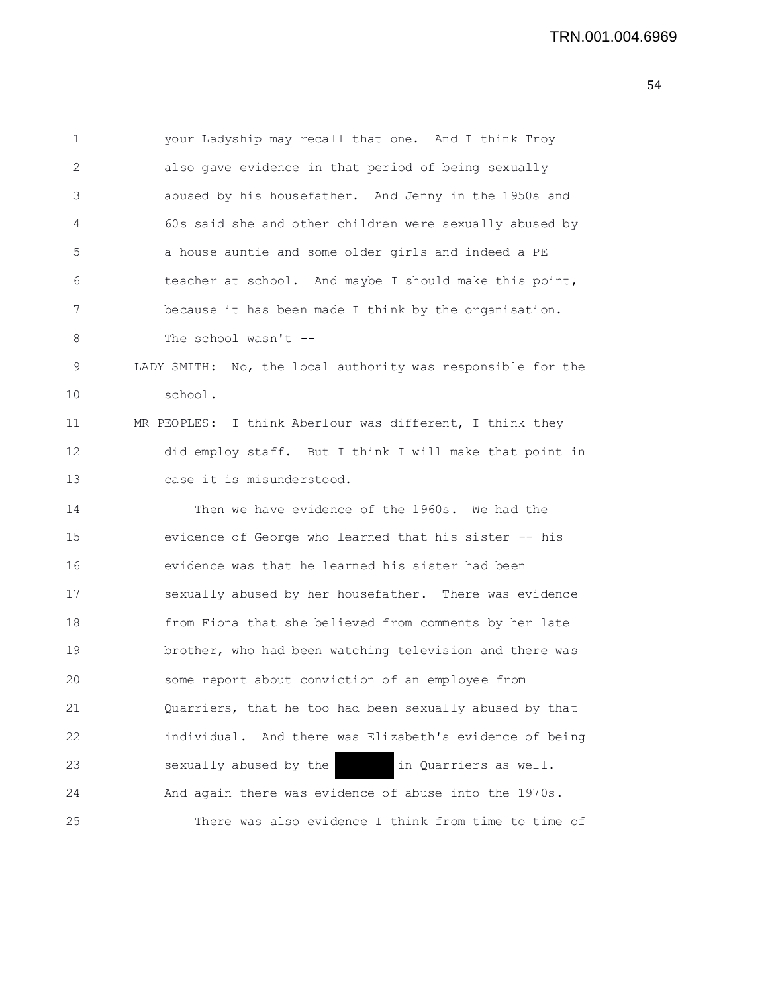1 your Ladyship may recall that one. And I think Troy 2 also gave evidence in that period of being sexually 3 abused by his housefather. And Jenny in the 1950s and 4 60s said she and other children were sexually abused by 5 a house auntie and some older girls and indeed a PE 6 teacher at school. And maybe I should make this point, 7 because it has been made I think by the organisation. 8 The school wasn't --9 LADY SMITH: No, the local authority was responsible for the 10 school. 11 MR PEOPLES: I think Aberlour was different, I think they 12 did employ staff. But I think I will make that point in 13 case it is misunderstood. 14 Then we have evidence of the 1960s. We had the 15 evidence of George who learned that his sister -- his 16 evidence was that he learned his sister had been 17 sexually abused by her housefather. There was evidence 18 from Fiona that she believed from comments by her late 19 brother, who had been watching television and there was 20 some report about conviction of an employee from 21 Quarriers, that he too had been sexually abused by that 22 individual. And there was Elizabeth's evidence of being 23 sexually abused by the in Quarriers as well. 24 And again there was evidence of abuse into the 1970s. 25 There was also evidence I think from time to time of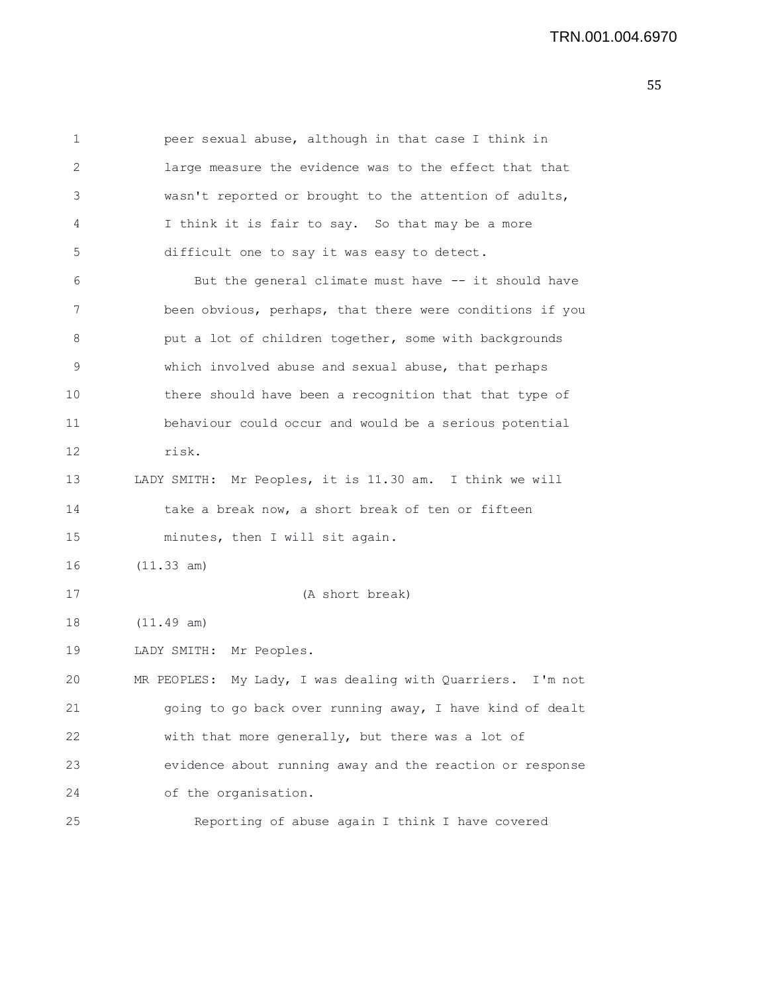1 peer sexual abuse, although in that case I think in 2 large measure the evidence was to the effect that that 3 wasn't reported or brought to the attention of adults, 4 I think it is fair to say. So that may be a more 5 difficult one to say it was easy to detect. 6 But the general climate must have -- it should have 7 been obvious, perhaps, that there were conditions if you 8 **but a lot of children together, some with backgrounds** 9 which involved abuse and sexual abuse, that perhaps 10 there should have been a recognition that that type of 11 behaviour could occur and would be a serious potential 12 risk. 13 LADY SMITH: Mr Peoples, it is 11.30 am. I think we will 14 take a break now, a short break of ten or fifteen 15 minutes, then I will sit again.

16 (11.33 am)

17 (A short break)

18 (11.49 am)

19 LADY SMITH: Mr Peoples.

20 MR PEOPLES: My Lady, I was dealing with Quarriers. I'm not 21 going to go back over running away, I have kind of dealt 22 with that more generally, but there was a lot of 23 evidence about running away and the reaction or response 24 of the organisation.

25 Reporting of abuse again I think I have covered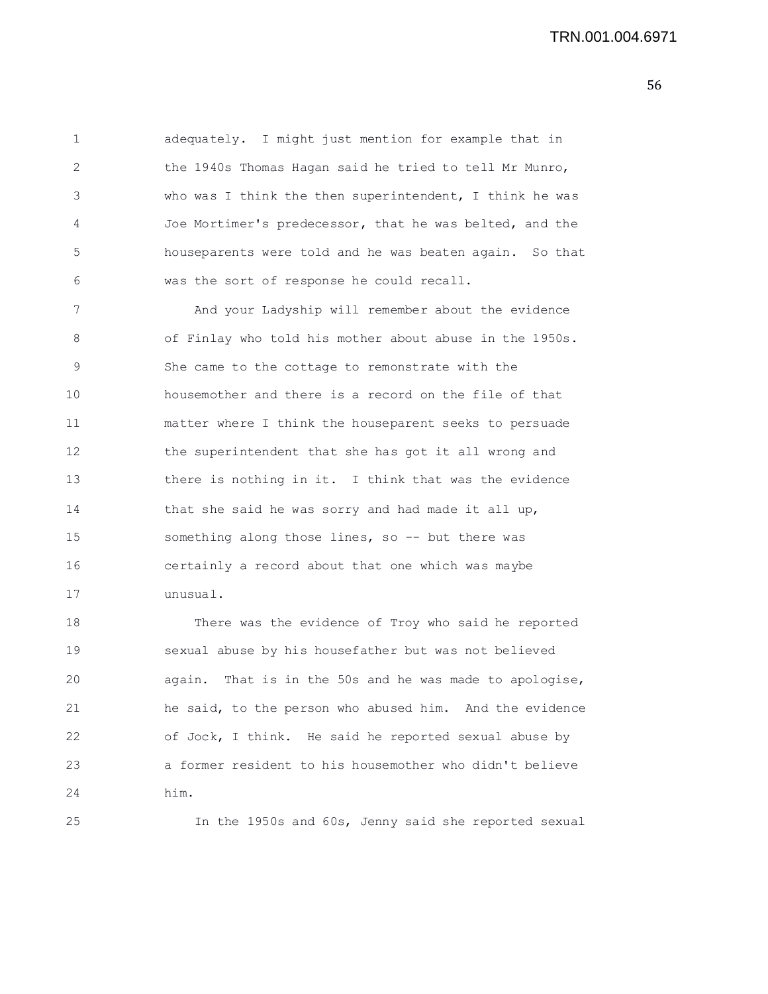1 adequately. I might just mention for example that in 2 the 1940s Thomas Hagan said he tried to tell Mr Munro, 3 who was I think the then superintendent, I think he was 4 Joe Mortimer's predecessor, that he was belted, and the 5 houseparents were told and he was beaten again. So that 6 was the sort of response he could recall.

7 And your Ladyship will remember about the evidence 8 of Finlay who told his mother about abuse in the 1950s. 9 She came to the cottage to remonstrate with the 10 housemother and there is a record on the file of that 11 matter where I think the houseparent seeks to persuade 12 the superintendent that she has got it all wrong and 13 there is nothing in it. I think that was the evidence 14 that she said he was sorry and had made it all up, 15 something along those lines, so -- but there was 16 certainly a record about that one which was maybe 17 unusual.

18 There was the evidence of Troy who said he reported 19 sexual abuse by his housefather but was not believed 20 again. That is in the 50s and he was made to apologise, 21 he said, to the person who abused him. And the evidence 22 of Jock, I think. He said he reported sexual abuse by 23 a former resident to his housemother who didn't believe 24 him.

25 In the 1950s and 60s, Jenny said she reported sexual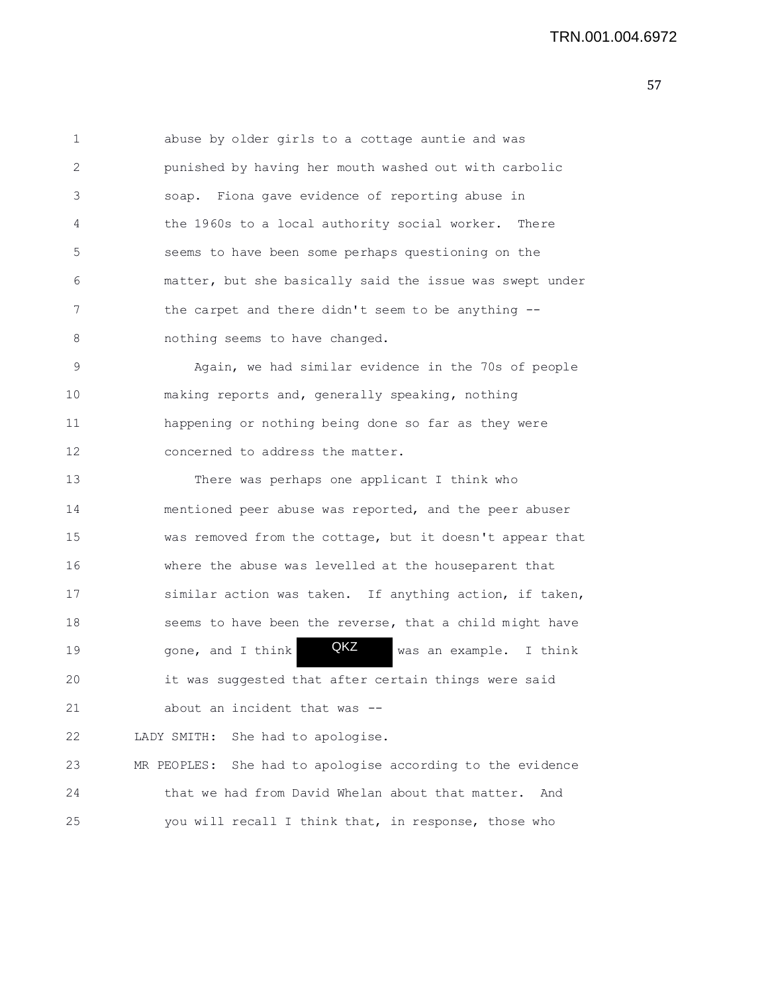| 1            | abuse by older girls to a cottage auntie and was              |
|--------------|---------------------------------------------------------------|
| $\mathbf{2}$ | punished by having her mouth washed out with carbolic         |
| 3            | soap. Fiona gave evidence of reporting abuse in               |
| 4            | the 1960s to a local authority social worker.<br>There        |
| 5            | seems to have been some perhaps questioning on the            |
| 6            | matter, but she basically said the issue was swept under      |
| 7            | the carpet and there didn't seem to be anything --            |
| 8            | nothing seems to have changed.                                |
| 9            | Again, we had similar evidence in the 70s of people           |
| 10           | making reports and, generally speaking, nothing               |
| 11           | happening or nothing being done so far as they were           |
| 12           | concerned to address the matter.                              |
| 13           | There was perhaps one applicant I think who                   |
| 14           | mentioned peer abuse was reported, and the peer abuser        |
| 15           | was removed from the cottage, but it doesn't appear that      |
| 16           | where the abuse was levelled at the houseparent that          |
| 17           | similar action was taken. If anything action, if taken,       |
| 18           | seems to have been the reverse, that a child might have       |
| 19           | QKZ<br>gone, and I think<br>was an example. I think           |
| 20           | it was suggested that after certain things were said          |
| 21           | about an incident that was --                                 |
| 22           | She had to apologise.<br>LADY SMITH:                          |
| 23           | She had to apologise according to the evidence<br>MR PEOPLES: |
| 24           | that we had from David Whelan about that matter.<br>And       |
| 25           | you will recall I think that, in response, those who          |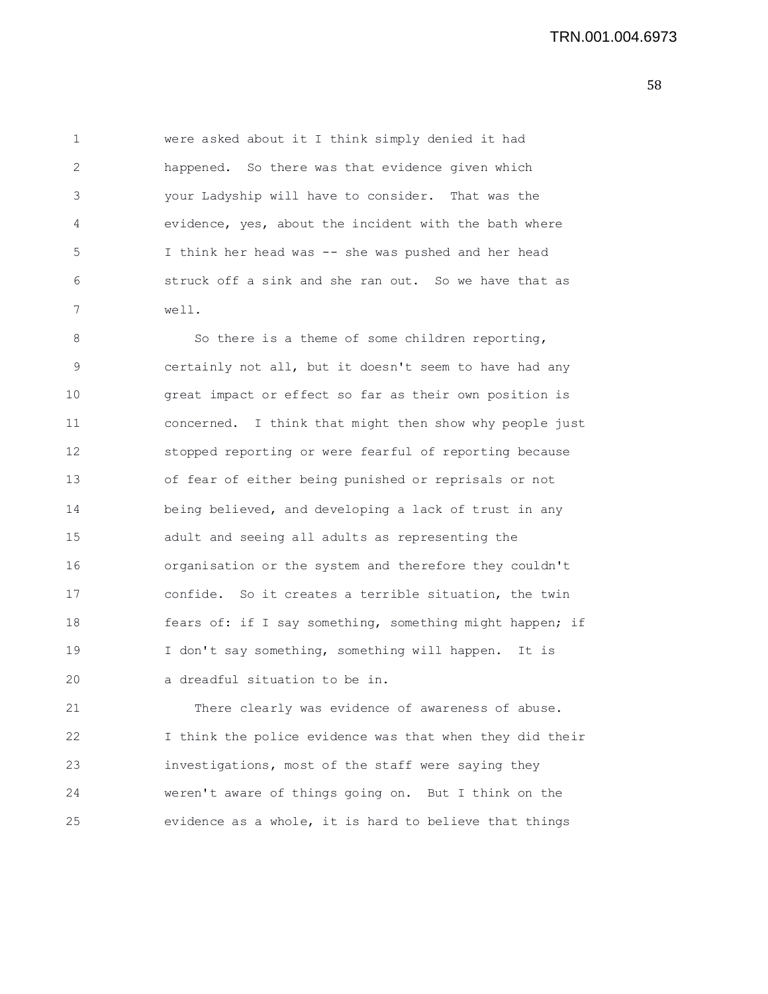1 were asked about it I think simply denied it had 2 happened. So there was that evidence given which 3 your Ladyship will have to consider. That was the 4 evidence, yes, about the incident with the bath where 5 I think her head was -- she was pushed and her head 6 struck off a sink and she ran out. So we have that as 7 well.

8 So there is a theme of some children reporting, 9 certainly not all, but it doesn't seem to have had any 10 great impact or effect so far as their own position is 11 concerned. I think that might then show why people just 12 stopped reporting or were fearful of reporting because 13 of fear of either being punished or reprisals or not 14 being believed, and developing a lack of trust in any 15 adult and seeing all adults as representing the 16 organisation or the system and therefore they couldn't 17 confide. So it creates a terrible situation, the twin 18 fears of: if I say something, something might happen; if 19 I don't say something, something will happen. It is 20 a dreadful situation to be in.

21 There clearly was evidence of awareness of abuse. 22 I think the police evidence was that when they did their 23 investigations, most of the staff were saying they 24 weren't aware of things going on. But I think on the 25 evidence as a whole, it is hard to believe that things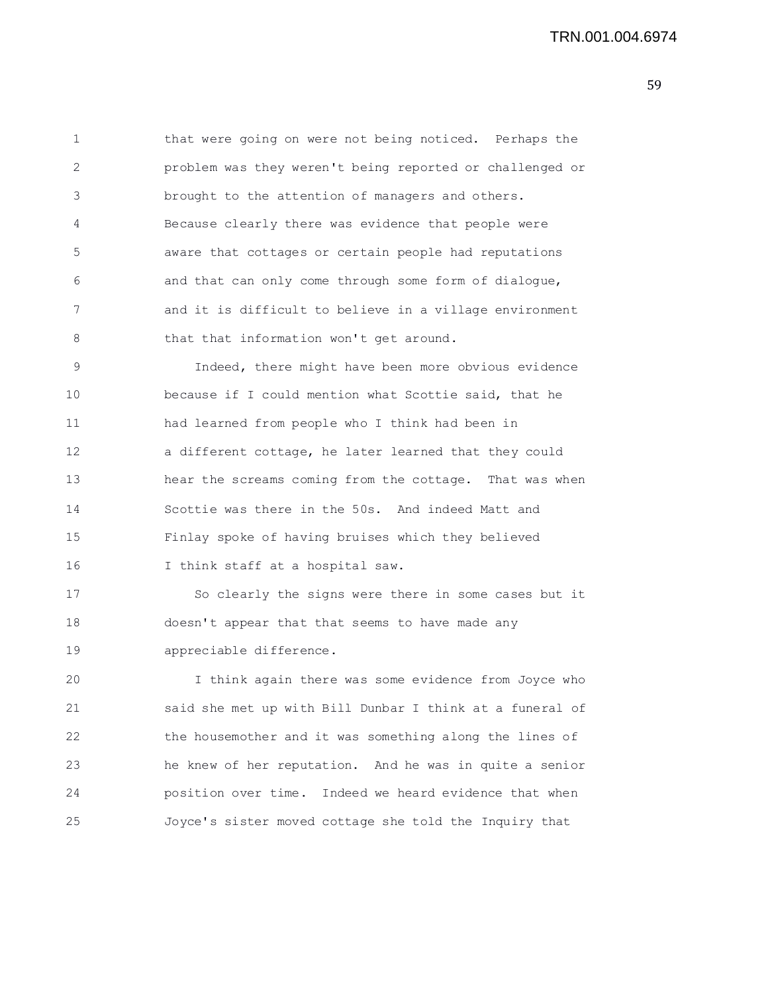1 that were going on were not being noticed. Perhaps the 2 problem was they weren't being reported or challenged or 3 brought to the attention of managers and others. 4 Because clearly there was evidence that people were 5 aware that cottages or certain people had reputations 6 and that can only come through some form of dialogue, 7 and it is difficult to believe in a village environment 8 that that information won't get around. 9 Indeed, there might have been more obvious evidence 10 because if I could mention what Scottie said, that he 11 had learned from people who I think had been in 12 a different cottage, he later learned that they could

13 hear the screams coming from the cottage. That was when 14 Scottie was there in the 50s. And indeed Matt and 15 Finlay spoke of having bruises which they believed 16 I think staff at a hospital saw.

17 So clearly the signs were there in some cases but it 18 doesn't appear that that seems to have made any 19 appreciable difference.

20 I think again there was some evidence from Joyce who 21 said she met up with Bill Dunbar I think at a funeral of 22 the housemother and it was something along the lines of 23 he knew of her reputation. And he was in quite a senior 24 position over time. Indeed we heard evidence that when 25 Joyce's sister moved cottage she told the Inquiry that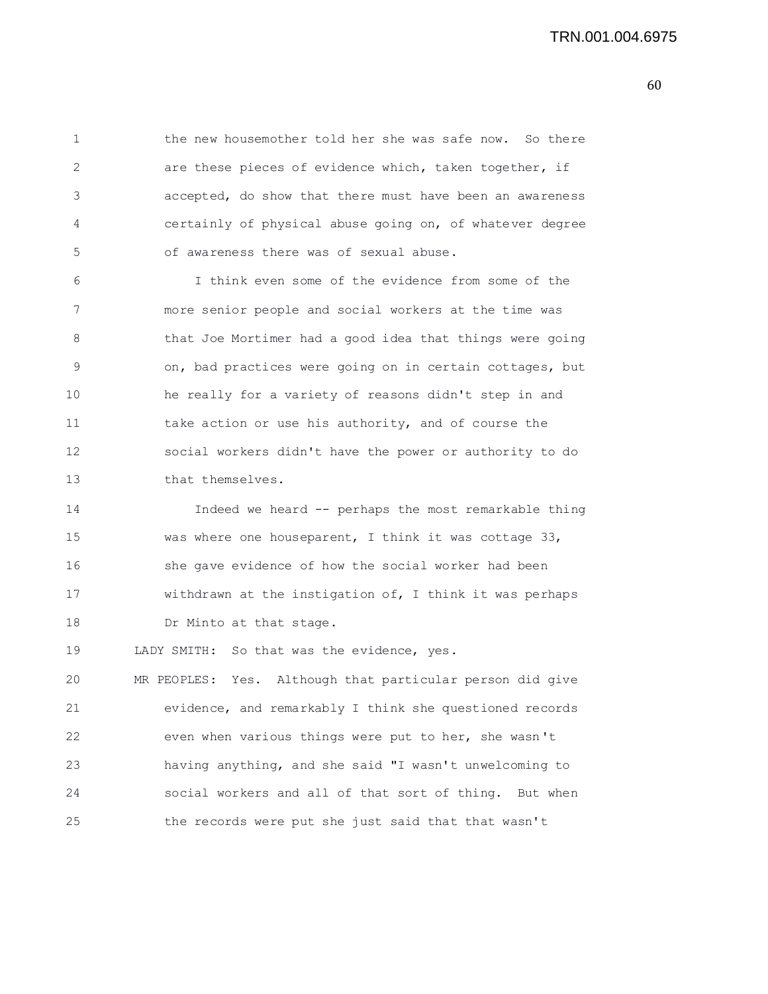1 the new housemother told her she was safe now. So there 2 are these pieces of evidence which, taken together, if 3 accepted, do show that there must have been an awareness 4 certainly of physical abuse going on, of whatever degree 5 of awareness there was of sexual abuse. 6 I think even some of the evidence from some of the 7 more senior people and social workers at the time was 8 that Joe Mortimer had a good idea that things were going 9 on, bad practices were going on in certain cottages, but 10 he really for a variety of reasons didn't step in and 11 take action or use his authority, and of course the 12 social workers didn't have the power or authority to do 13 that themselves. 14 Indeed we heard -- perhaps the most remarkable thing 15 was where one houseparent, I think it was cottage 33, 16 she gave evidence of how the social worker had been 17 withdrawn at the instigation of, I think it was perhaps 18 Dr Minto at that stage. 19 LADY SMITH: So that was the evidence, yes. 20 MR PEOPLES: Yes. Although that particular person did give 21 evidence, and remarkably I think she questioned records 22 even when various things were put to her, she wasn't 23 having anything, and she said "I wasn't unwelcoming to 24 social workers and all of that sort of thing. But when

25 the records were put she just said that that wasn't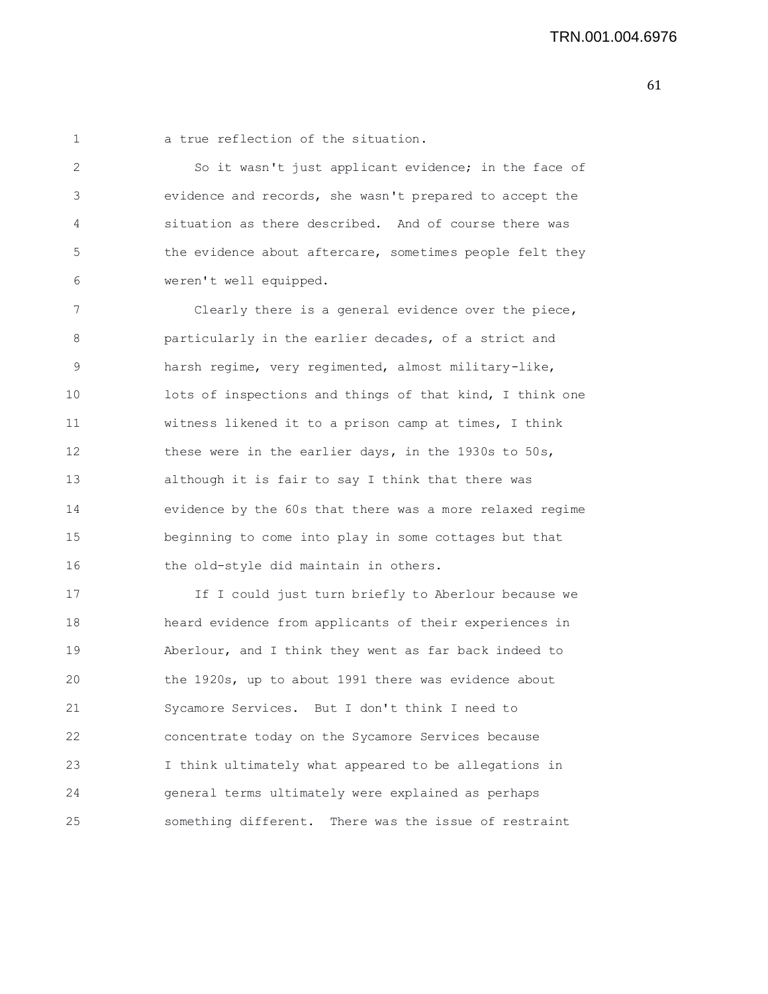1 a true reflection of the situation.

2 So it wasn't just applicant evidence; in the face of 3 evidence and records, she wasn't prepared to accept the 4 situation as there described. And of course there was 5 the evidence about aftercare, sometimes people felt they 6 weren't well equipped.

7 Clearly there is a general evidence over the piece, 8 particularly in the earlier decades, of a strict and 9 harsh regime, very regimented, almost military-like, 10 lots of inspections and things of that kind, I think one 11 witness likened it to a prison camp at times, I think 12 these were in the earlier days, in the 1930s to 50s, 13 although it is fair to say I think that there was 14 evidence by the 60s that there was a more relaxed regime 15 beginning to come into play in some cottages but that 16 the old-style did maintain in others.

17 17 If I could just turn briefly to Aberlour because we 18 heard evidence from applicants of their experiences in 19 Aberlour, and I think they went as far back indeed to 20 the 1920s, up to about 1991 there was evidence about 21 Sycamore Services. But I don't think I need to 22 concentrate today on the Sycamore Services because 23 I think ultimately what appeared to be allegations in 24 general terms ultimately were explained as perhaps 25 something different. There was the issue of restraint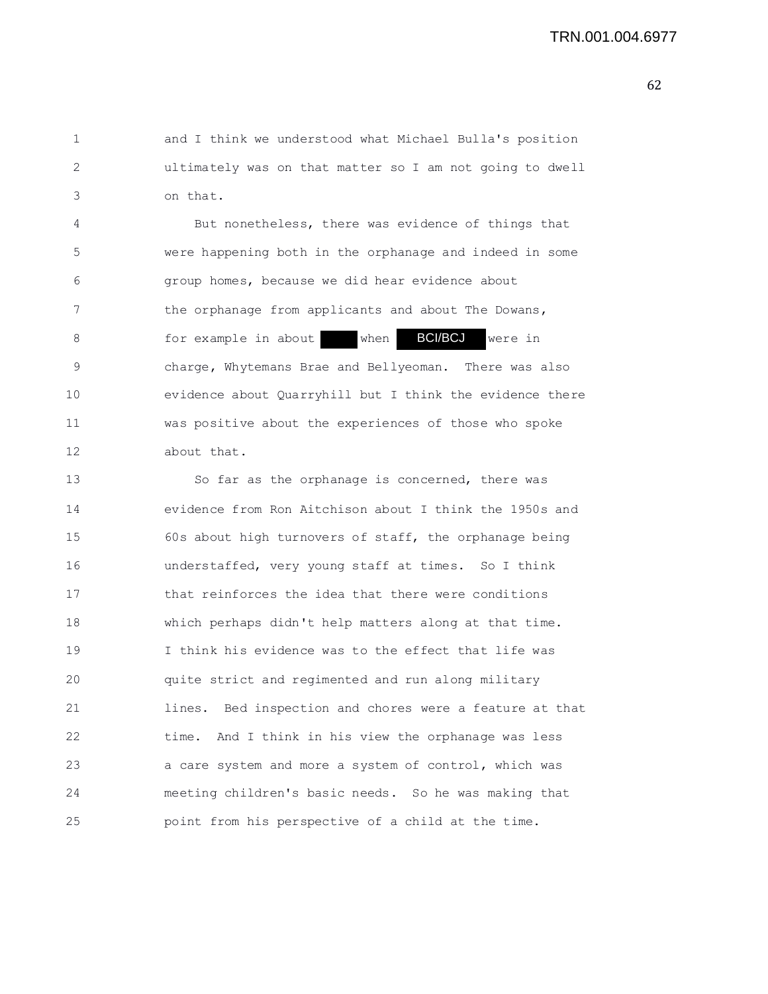1 and I think we understood what Michael Bulla's position 2 ultimately was on that matter so I am not going to dwell 3 on that.

4 But nonetheless, there was evidence of things that 5 were happening both in the orphanage and indeed in some 6 group homes, because we did hear evidence about 7 the orphanage from applicants and about The Dowans, 8 68 for example in about when **BCI/BCJ** were in 9 charge, Whytemans Brae and Bellyeoman. There was also 10 evidence about Quarryhill but I think the evidence there 11 was positive about the experiences of those who spoke 12 about that. BCI/BCJ

13 So far as the orphanage is concerned, there was 14 evidence from Ron Aitchison about I think the 1950s and 15 60s about high turnovers of staff, the orphanage being 16 understaffed, very young staff at times. So I think 17 that reinforces the idea that there were conditions 18 which perhaps didn't help matters along at that time. 19 I think his evidence was to the effect that life was 20 quite strict and regimented and run along military 21 lines. Bed inspection and chores were a feature at that 22 time. And I think in his view the orphanage was less 23 a care system and more a system of control, which was 24 meeting children's basic needs. So he was making that 25 point from his perspective of a child at the time.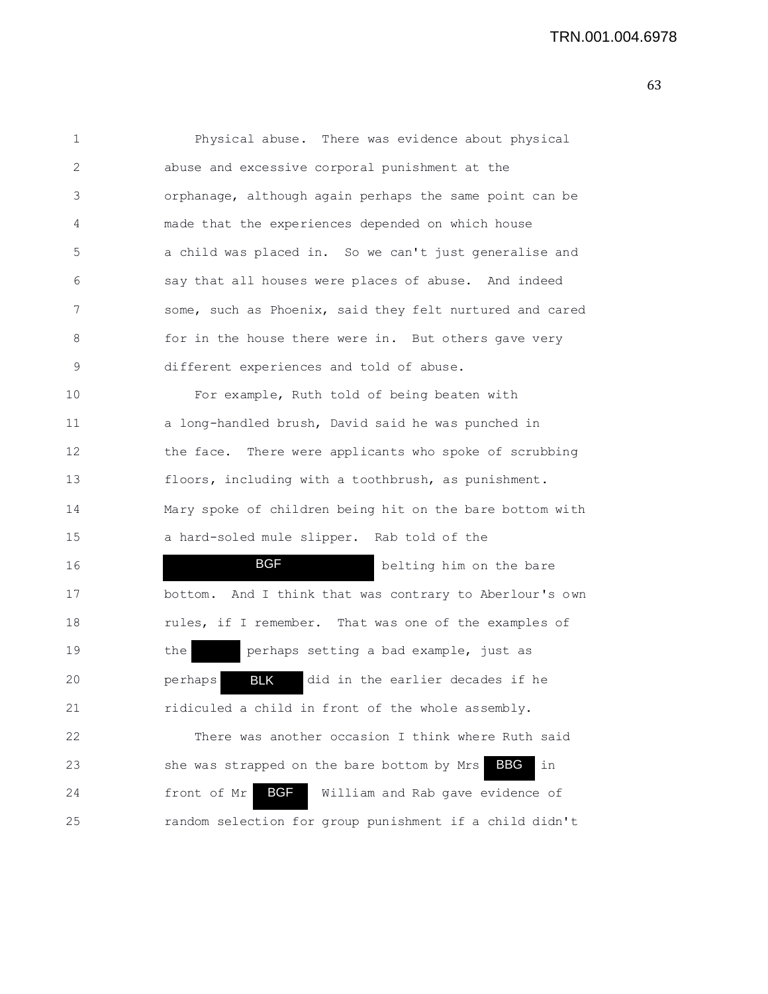| 1  | Physical abuse. There was evidence about physical              |
|----|----------------------------------------------------------------|
| 2  | abuse and excessive corporal punishment at the                 |
| 3  | orphanage, although again perhaps the same point can be        |
| 4  | made that the experiences depended on which house              |
| 5  | a child was placed in. So we can't just generalise and         |
| 6  | say that all houses were places of abuse. And indeed           |
| 7  | some, such as Phoenix, said they felt nurtured and cared       |
| 8  | for in the house there were in. But others gave very           |
| 9  | different experiences and told of abuse.                       |
| 10 | For example, Ruth told of being beaten with                    |
| 11 | a long-handled brush, David said he was punched in             |
| 12 | the face. There were applicants who spoke of scrubbing         |
| 13 | floors, including with a toothbrush, as punishment.            |
| 14 | Mary spoke of children being hit on the bare bottom with       |
| 15 | a hard-soled mule slipper. Rab told of the                     |
| 16 | <b>BGF</b><br>belting him on the bare                          |
| 17 | And I think that was contrary to Aberlour's own<br>bottom.     |
| 18 | rules, if I remember. That was one of the examples of          |
| 19 | perhaps setting a bad example, just as<br>the                  |
| 20 | <b>BLK</b><br>did in the earlier decades if he<br>perhaps      |
| 21 | ridiculed a child in front of the whole assembly.              |
| 22 | There was another occasion I think where Ruth said             |
| 23 | in<br>she was strapped on the bare bottom by Mrs<br><b>BBG</b> |
| 24 | <b>BGF</b><br>front of Mr<br>William and Rab gave evidence of  |
| 25 | random selection for group punishment if a child didn't        |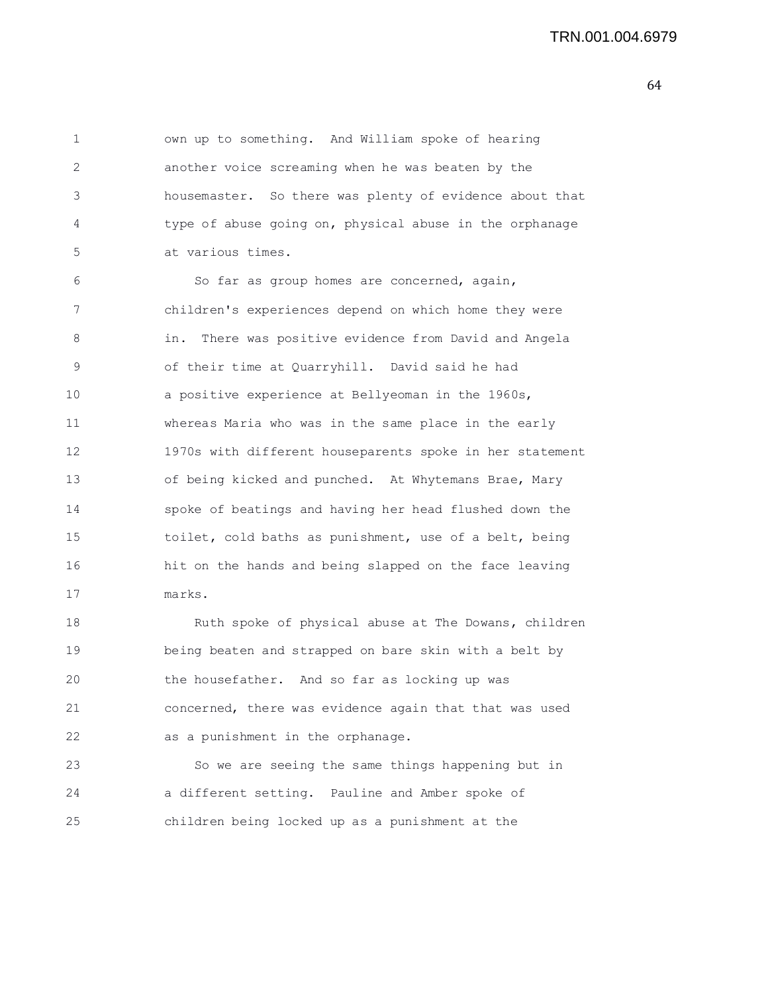1 own up to something. And William spoke of hearing 2 another voice screaming when he was beaten by the 3 housemaster. So there was plenty of evidence about that 4 type of abuse going on, physical abuse in the orphanage 5 at various times. 6 So far as group homes are concerned, again, 7 children's experiences depend on which home they were 8 in. There was positive evidence from David and Angela 9 of their time at Quarryhill. David said he had 10 a positive experience at Bellyeoman in the 1960s, 11 whereas Maria who was in the same place in the early 12 1970s with different houseparents spoke in her statement 13 of being kicked and punched. At Whytemans Brae, Mary

14 spoke of beatings and having her head flushed down the 15 toilet, cold baths as punishment, use of a belt, being 16 hit on the hands and being slapped on the face leaving 17 marks.

18 Ruth spoke of physical abuse at The Dowans, children 19 being beaten and strapped on bare skin with a belt by 20 the housefather. And so far as locking up was 21 concerned, there was evidence again that that was used 22 as a punishment in the orphanage.

23 So we are seeing the same things happening but in 24 a different setting. Pauline and Amber spoke of 25 children being locked up as a punishment at the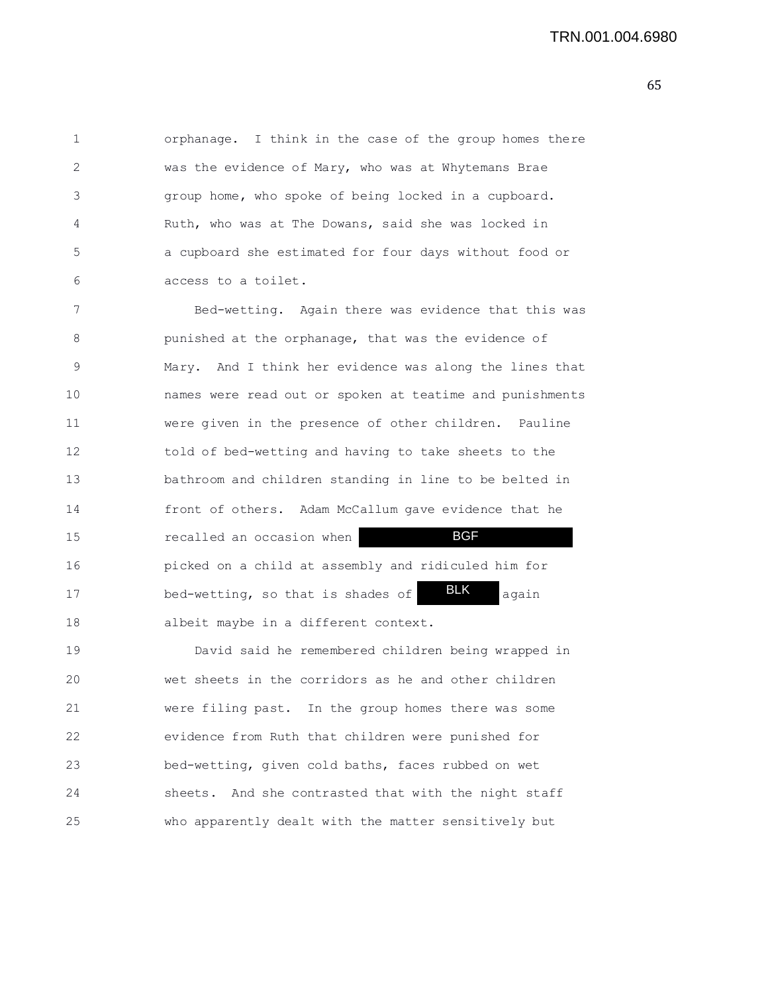1 orphanage. I think in the case of the group homes there 2 was the evidence of Mary, who was at Whytemans Brae 3 group home, who spoke of being locked in a cupboard. 4 Ruth, who was at The Dowans, said she was locked in 5 a cupboard she estimated for four days without food or 6 access to a toilet.

7 Bed-wetting. Again there was evidence that this was 8 punished at the orphanage, that was the evidence of 9 Mary. And I think her evidence was along the lines that 10 names were read out or spoken at teatime and punishments 11 were given in the presence of other children. Pauline 12 told of bed-wetting and having to take sheets to the 13 bathroom and children standing in line to be belted in 14 front of others. Adam McCallum gave evidence that he 15 recalled an occasion when 16 picked on a child at assembly and ridiculed him for 17 bed-wetting, so that is shades of **BLK** again 18 albeit maybe in a different context. BGF BLK

19 David said he remembered children being wrapped in 20 wet sheets in the corridors as he and other children 21 were filing past. In the group homes there was some 22 evidence from Ruth that children were punished for 23 bed-wetting, given cold baths, faces rubbed on wet 24 sheets. And she contrasted that with the night staff 25 who apparently dealt with the matter sensitively but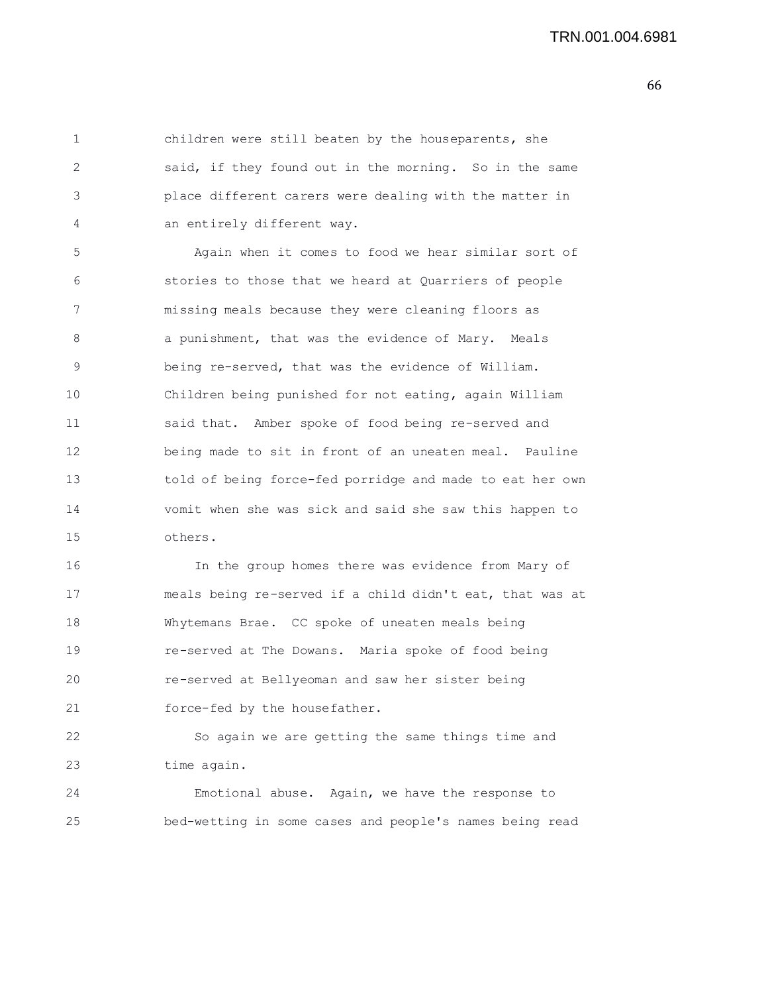1 children were still beaten by the houseparents, she 2 said, if they found out in the morning. So in the same 3 place different carers were dealing with the matter in 4 an entirely different way. 5 Again when it comes to food we hear similar sort of 6 stories to those that we heard at Quarriers of people 7 missing meals because they were cleaning floors as 8 a punishment, that was the evidence of Mary. Meals 9 being re-served, that was the evidence of William. 10 Children being punished for not eating, again William 11 said that. Amber spoke of food being re-served and 12 being made to sit in front of an uneaten meal. Pauline 13 told of being force-fed porridge and made to eat her own 14 vomit when she was sick and said she saw this happen to 15 others. 16 In the group homes there was evidence from Mary of 17 meals being re-served if a child didn't eat, that was at 18 Whytemans Brae. CC spoke of uneaten meals being 19 re-served at The Dowans. Maria spoke of food being 20 re-served at Bellyeoman and saw her sister being 21 force-fed by the housefather.

22 So again we are getting the same things time and 23 time again.

24 Emotional abuse. Again, we have the response to 25 bed-wetting in some cases and people's names being read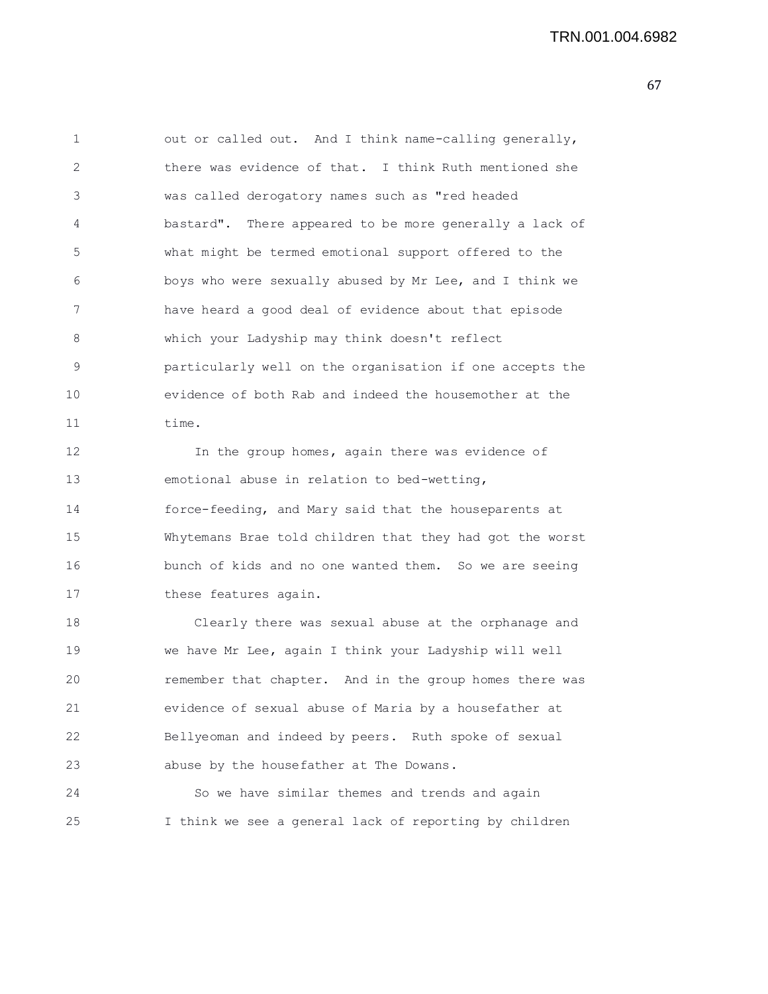67

1 out or called out. And I think name-calling generally, 2 there was evidence of that. I think Ruth mentioned she 3 was called derogatory names such as "red headed 4 bastard". There appeared to be more generally a lack of 5 what might be termed emotional support offered to the 6 boys who were sexually abused by Mr Lee, and I think we 7 have heard a good deal of evidence about that episode 8 which your Ladyship may think doesn't reflect 9 particularly well on the organisation if one accepts the 10 evidence of both Rab and indeed the housemother at the 11 time. 12 In the group homes, again there was evidence of 13 emotional abuse in relation to bed-wetting, 14 force-feeding, and Mary said that the houseparents at 15 Whytemans Brae told children that they had got the worst 16 bunch of kids and no one wanted them. So we are seeing 17 these features again. 18 Clearly there was sexual abuse at the orphanage and 19 we have Mr Lee, again I think your Ladyship will well 20 remember that chapter. And in the group homes there was 21 evidence of sexual abuse of Maria by a housefather at 22 Bellyeoman and indeed by peers. Ruth spoke of sexual 23 abuse by the housefather at The Dowans. 24 So we have similar themes and trends and again

25 I think we see a general lack of reporting by children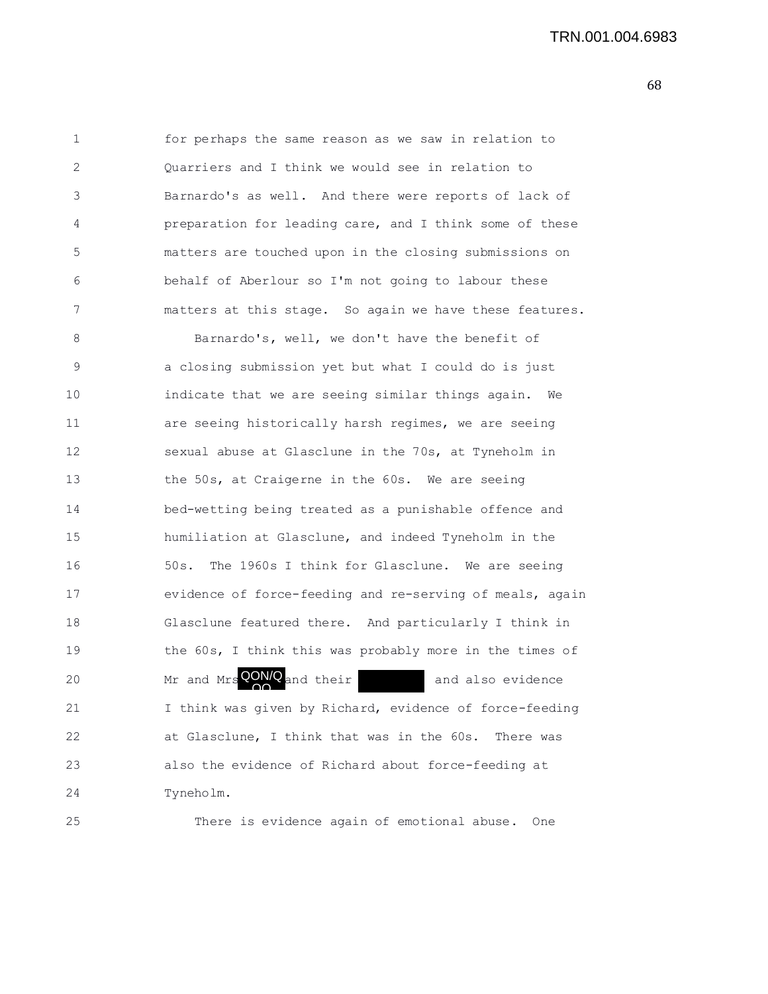TRN.001.004.6983

1 for perhaps the same reason as we saw in relation to 2 Quarriers and I think we would see in relation to 3 Barnardo's as well. And there were reports of lack of 4 preparation for leading care, and I think some of these 5 matters are touched upon in the closing submissions on 6 behalf of Aberlour so I'm not going to labour these 7 matters at this stage. So again we have these features. 8 Barnardo's, well, we don't have the benefit of 9 a closing submission yet but what I could do is just 10 indicate that we are seeing similar things again. We 11 **are seeing historically harsh regimes, we are seeing** 12 sexual abuse at Glasclune in the 70s, at Tyneholm in 13 the 50s, at Craigerne in the 60s. We are seeing 14 bed-wetting being treated as a punishable offence and 15 humiliation at Glasclune, and indeed Tyneholm in the 16 50s. The 1960s I think for Glasclune. We are seeing 17 evidence of force-feeding and re-serving of meals, again 18 Glasclune featured there. And particularly I think in 19 the 60s, I think this was probably more in the times of 20 Mr and Mrs  $QON/Q$  and their and also evidence 21 I think was given by Richard, evidence of force-feeding 22 at Glasclune, I think that was in the 60s. There was 23 also the evidence of Richard about force-feeding at 24 Tyneholm. OQ

25 There is evidence again of emotional abuse. One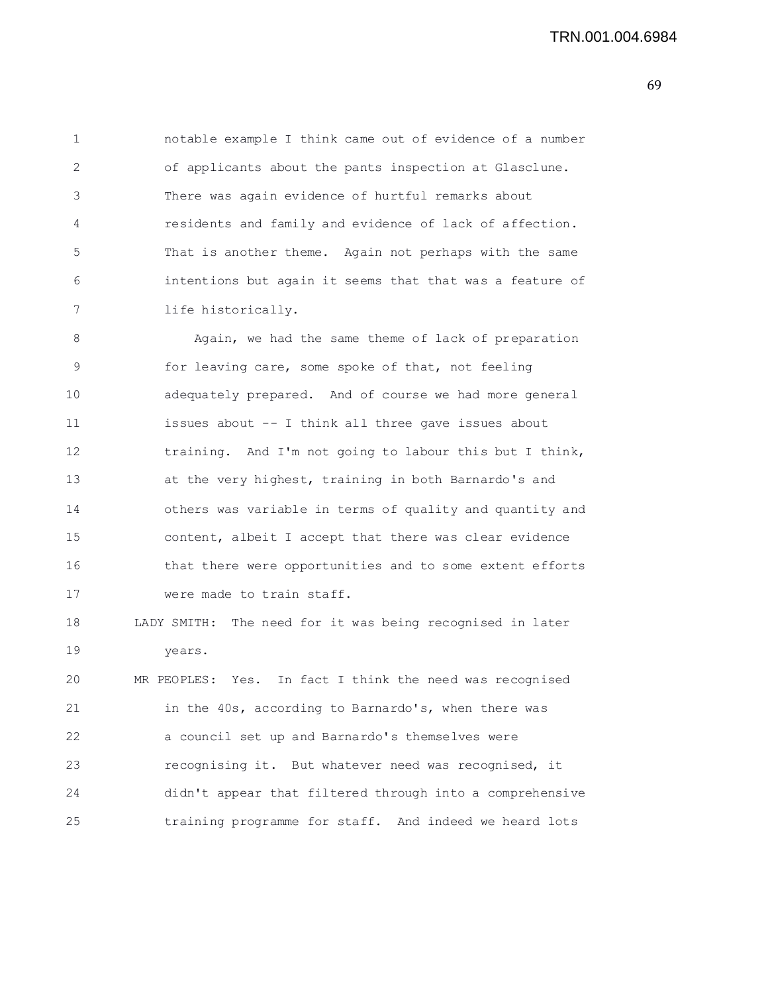1 notable example I think came out of evidence of a number 2 of applicants about the pants inspection at Glasclune. 3 There was again evidence of hurtful remarks about 4 residents and family and evidence of lack of affection. 5 That is another theme. Again not perhaps with the same 6 intentions but again it seems that that was a feature of 7 life historically. 8 Again, we had the same theme of lack of preparation 9 for leaving care, some spoke of that, not feeling 10 adequately prepared. And of course we had more general 11 issues about -- I think all three gave issues about 12 training. And I'm not going to labour this but I think, 13 at the very highest, training in both Barnardo's and 14 others was variable in terms of quality and quantity and 15 content, albeit I accept that there was clear evidence 16 that there were opportunities and to some extent efforts 17 were made to train staff. 18 LADY SMITH: The need for it was being recognised in later 19 years. 20 MR PEOPLES: Yes. In fact I think the need was recognised 21 in the 40s, according to Barnardo's, when there was 22 a council set up and Barnardo's themselves were 23 recognising it. But whatever need was recognised, it 24 didn't appear that filtered through into a comprehensive 25 training programme for staff. And indeed we heard lots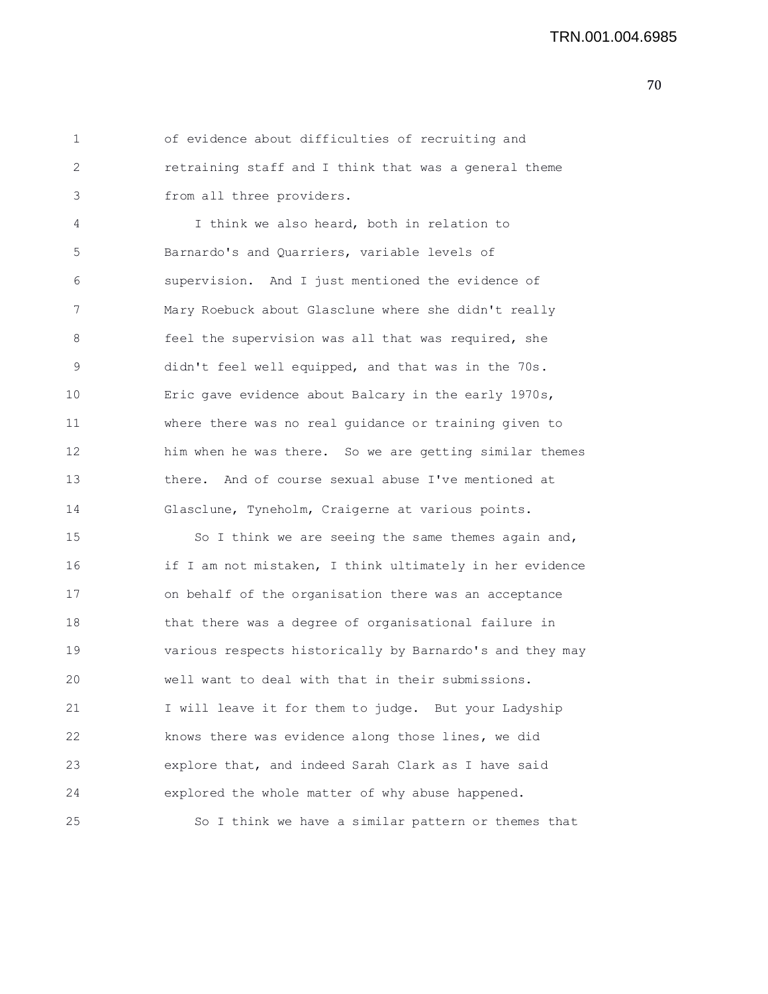1 of evidence about difficulties of recruiting and 2 retraining staff and I think that was a general theme 3 from all three providers.

4 I think we also heard, both in relation to 5 Barnardo's and Quarriers, variable levels of 6 supervision. And I just mentioned the evidence of 7 Mary Roebuck about Glasclune where she didn't really 8 feel the supervision was all that was required, she 9 didn't feel well equipped, and that was in the 70s. 10 Eric gave evidence about Balcary in the early 1970s, 11 where there was no real guidance or training given to 12 him when he was there. So we are getting similar themes 13 there. And of course sexual abuse I've mentioned at 14 Glasclune, Tyneholm, Craigerne at various points.

15 So I think we are seeing the same themes again and, 16 if I am not mistaken, I think ultimately in her evidence 17 on behalf of the organisation there was an acceptance 18 that there was a degree of organisational failure in 19 various respects historically by Barnardo's and they may 20 well want to deal with that in their submissions. 21 I will leave it for them to judge. But your Ladyship 22 knows there was evidence along those lines, we did 23 explore that, and indeed Sarah Clark as I have said 24 explored the whole matter of why abuse happened. 25 So I think we have a similar pattern or themes that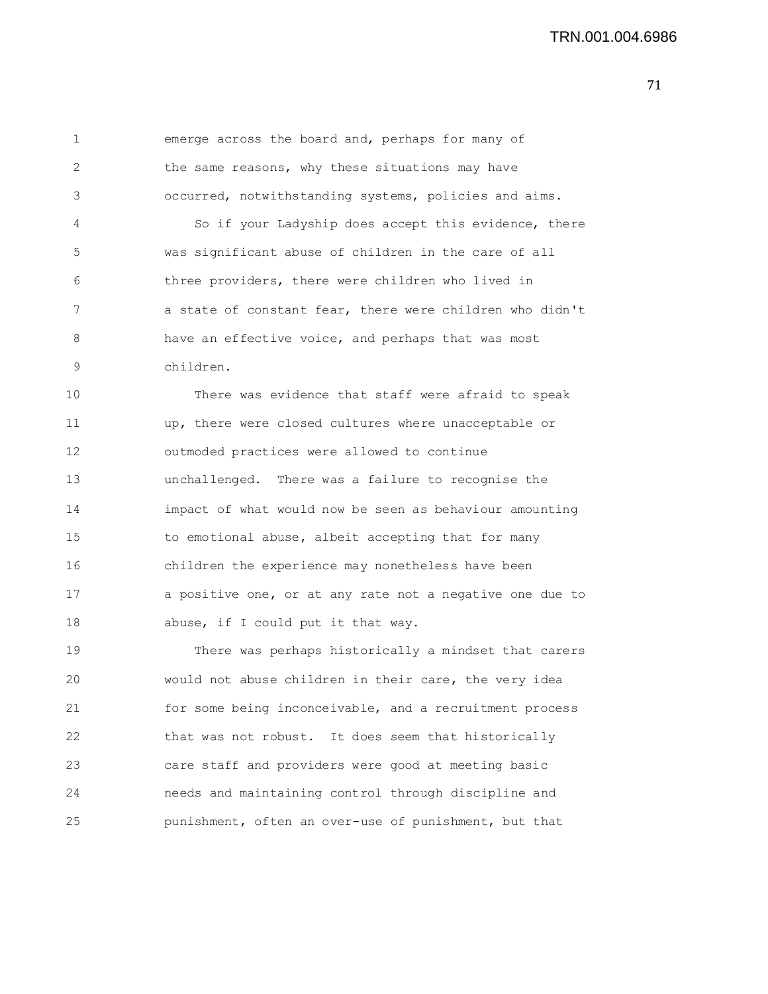1 emerge across the board and, perhaps for many of 2 the same reasons, why these situations may have 3 occurred, notwithstanding systems, policies and aims. 4 So if your Ladyship does accept this evidence, there 5 was significant abuse of children in the care of all 6 three providers, there were children who lived in 7 a state of constant fear, there were children who didn't 8 have an effective voice, and perhaps that was most 9 children.

10 There was evidence that staff were afraid to speak 11 up, there were closed cultures where unacceptable or 12 outmoded practices were allowed to continue 13 unchallenged. There was a failure to recognise the 14 impact of what would now be seen as behaviour amounting 15 to emotional abuse, albeit accepting that for many 16 children the experience may nonetheless have been 17 a positive one, or at any rate not a negative one due to 18 abuse, if I could put it that way.

19 There was perhaps historically a mindset that carers 20 would not abuse children in their care, the very idea 21 for some being inconceivable, and a recruitment process 22 that was not robust. It does seem that historically 23 care staff and providers were good at meeting basic 24 needs and maintaining control through discipline and 25 punishment, often an over-use of punishment, but that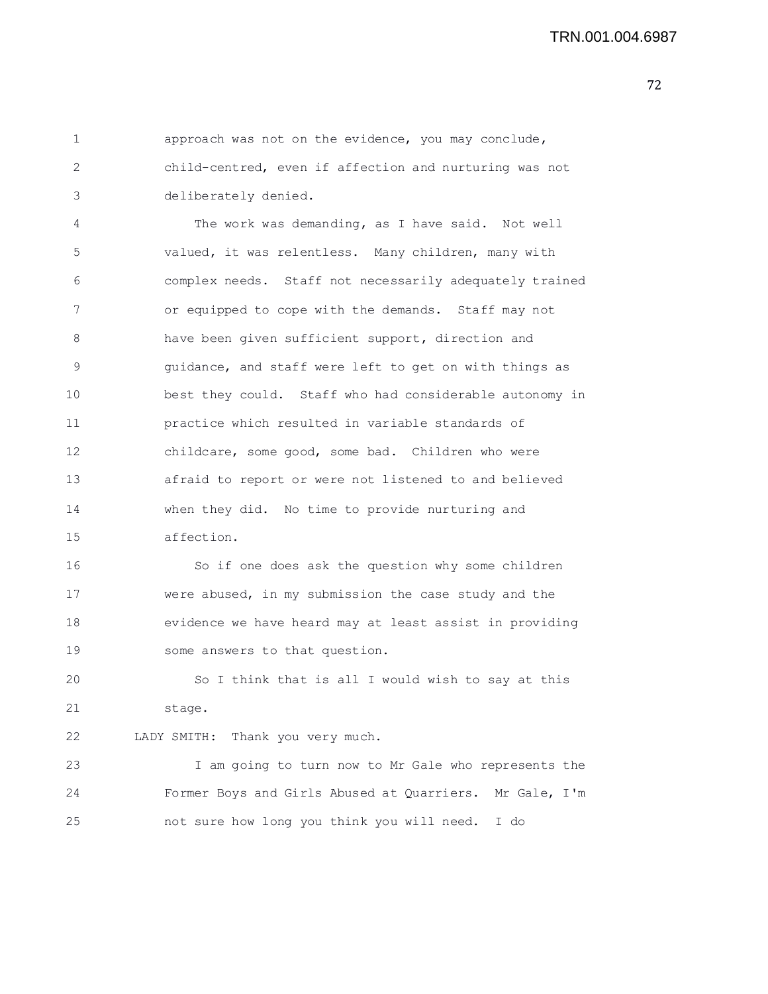## TRN.001.004.6987

| $\mathbf 1$ | approach was not on the evidence, you may conclude,     |
|-------------|---------------------------------------------------------|
| 2           | child-centred, even if affection and nurturing was not  |
| 3           | deliberately denied.                                    |
| 4           | The work was demanding, as I have said. Not well        |
| 5           | valued, it was relentless. Many children, many with     |
| 6           | complex needs. Staff not necessarily adequately trained |
| 7           | or equipped to cope with the demands. Staff may not     |
| 8           | have been given sufficient support, direction and       |
| 9           | quidance, and staff were left to get on with things as  |
| 10          | best they could. Staff who had considerable autonomy in |
| 11          | practice which resulted in variable standards of        |
| 12          | childcare, some good, some bad. Children who were       |
| 13          | afraid to report or were not listened to and believed   |
| 14          | when they did. No time to provide nurturing and         |
| 15          | affection.                                              |
| 16          | So if one does ask the question why some children       |
| 17          | were abused, in my submission the case study and the    |
| 18          | evidence we have heard may at least assist in providing |
| 19          | some answers to that question.                          |
| 20          | So I think that is all I would wish to say at this      |
| 21          | stage.                                                  |

22 LADY SMITH: Thank you very much.

23 I am going to turn now to Mr Gale who represents the 24 Former Boys and Girls Abused at Quarriers. Mr Gale, I'm 25 not sure how long you think you will need. I do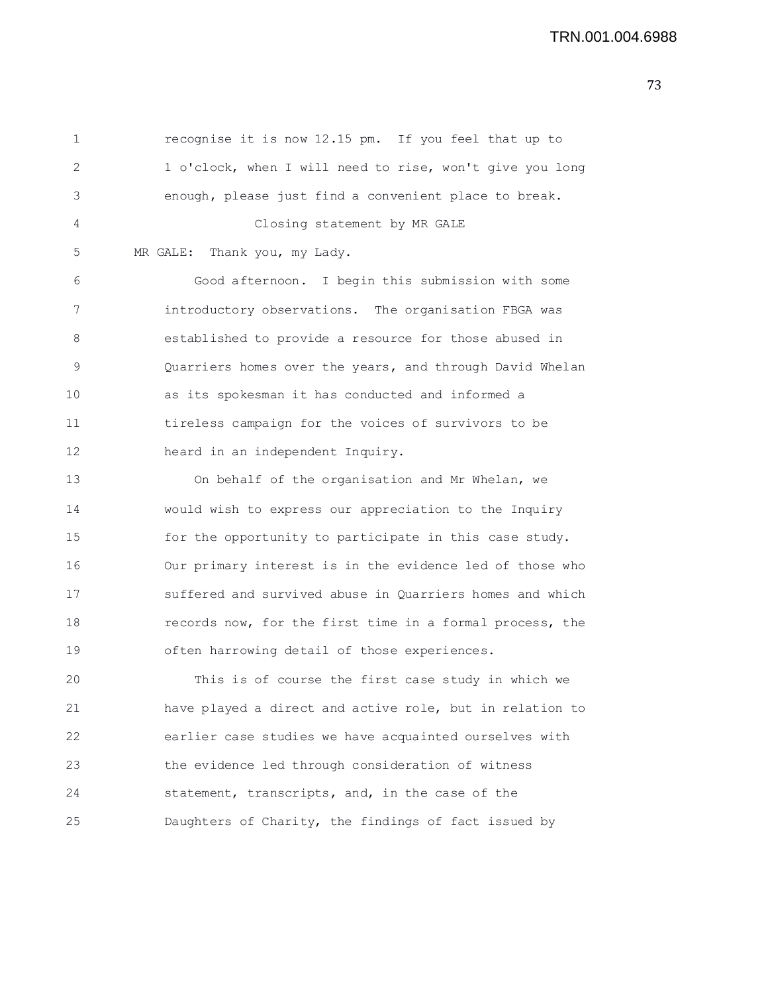1 recognise it is now 12.15 pm. If you feel that up to 2 1 o'clock, when I will need to rise, won't give you long 3 enough, please just find a convenient place to break. 4 Closing statement by MR GALE 5 MR GALE: Thank you, my Lady. 6 Good afternoon. I begin this submission with some 7 introductory observations. The organisation FBGA was 8 established to provide a resource for those abused in 9 Quarriers homes over the years, and through David Whelan 10 as its spokesman it has conducted and informed a 11 tireless campaign for the voices of survivors to be 12 heard in an independent Inquiry. 13 On behalf of the organisation and Mr Whelan, we 14 would wish to express our appreciation to the Inquiry 15 for the opportunity to participate in this case study. 16 Our primary interest is in the evidence led of those who 17 suffered and survived abuse in Quarriers homes and which 18 **records now, for the first time in a formal process, the** 19 often harrowing detail of those experiences. 20 This is of course the first case study in which we

21 have played a direct and active role, but in relation to 22 earlier case studies we have acquainted ourselves with 23 the evidence led through consideration of witness 24 statement, transcripts, and, in the case of the 25 Daughters of Charity, the findings of fact issued by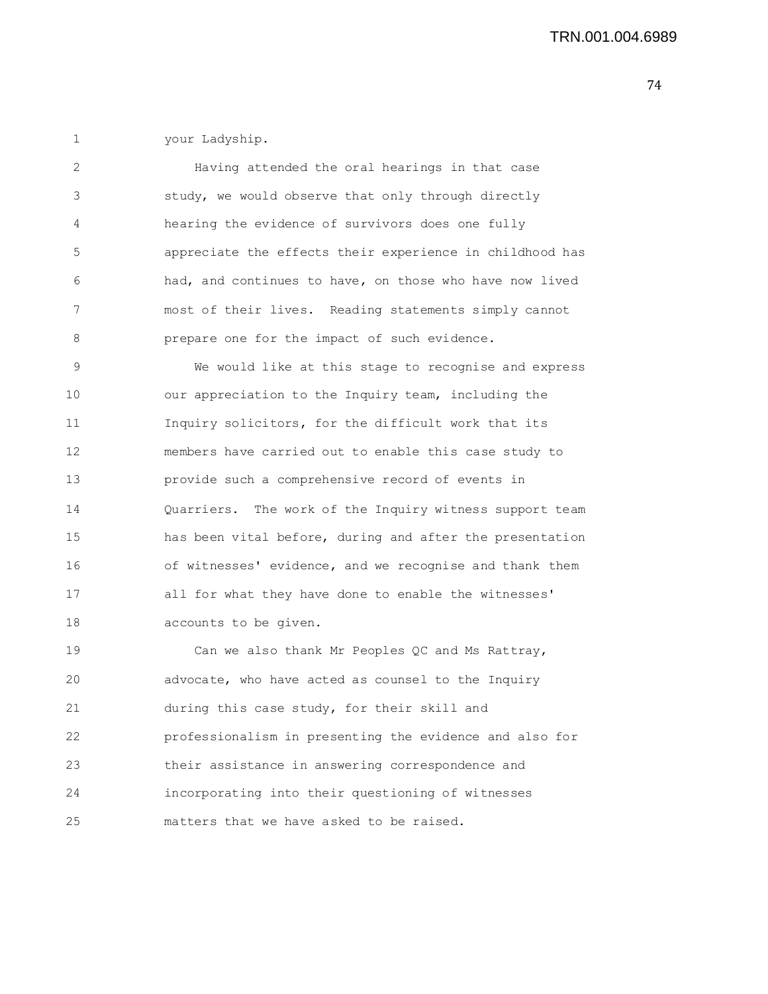1 your Ladyship.

2 Having attended the oral hearings in that case 3 study, we would observe that only through directly 4 hearing the evidence of survivors does one fully 5 appreciate the effects their experience in childhood has 6 had, and continues to have, on those who have now lived 7 most of their lives. Reading statements simply cannot 8 **prepare one for the impact of such evidence.** 9 We would like at this stage to recognise and express 10 our appreciation to the Inquiry team, including the

11 Inquiry solicitors, for the difficult work that its 12 members have carried out to enable this case study to 13 provide such a comprehensive record of events in 14 Quarriers. The work of the Inquiry witness support team 15 has been vital before, during and after the presentation 16 of witnesses' evidence, and we recognise and thank them 17 all for what they have done to enable the witnesses' 18 accounts to be given.

19 Can we also thank Mr Peoples QC and Ms Rattray, 20 advocate, who have acted as counsel to the Inquiry 21 during this case study, for their skill and 22 professionalism in presenting the evidence and also for 23 their assistance in answering correspondence and 24 incorporating into their questioning of witnesses 25 matters that we have asked to be raised.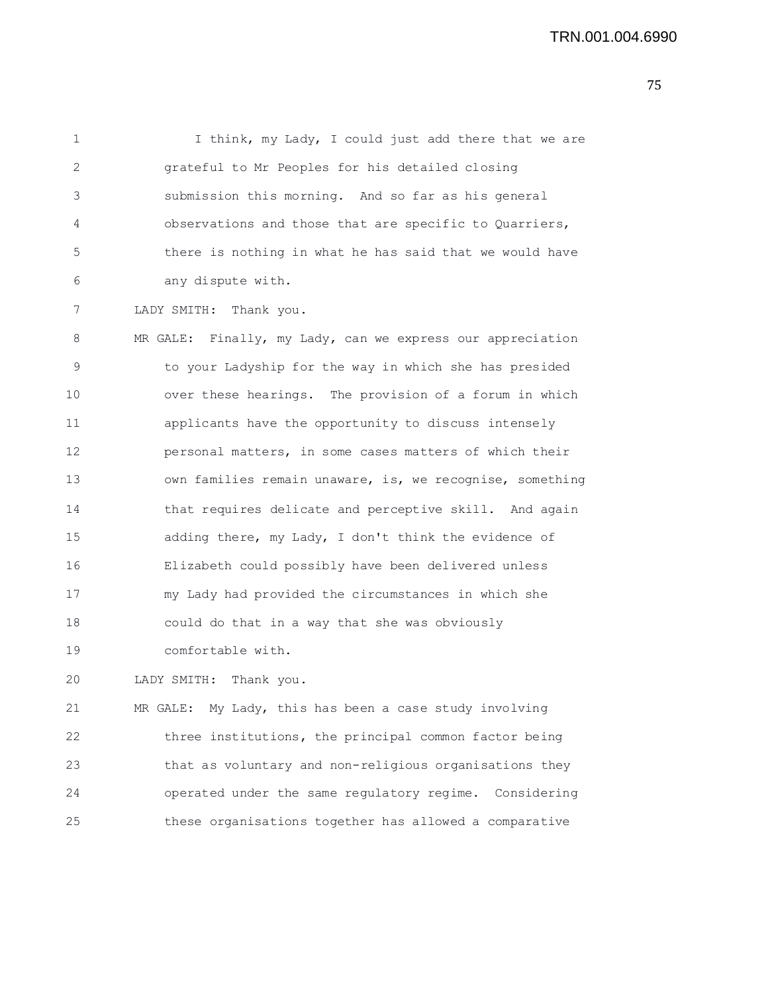| $\mathbf{1}$ | I think, my Lady, I could just add there that we are       |
|--------------|------------------------------------------------------------|
| 2            | grateful to Mr Peoples for his detailed closing            |
| 3            | submission this morning. And so far as his general         |
| 4            | observations and those that are specific to Quarriers,     |
| 5            | there is nothing in what he has said that we would have    |
| 6            | any dispute with.                                          |
| 7            | LADY SMITH: Thank you.                                     |
| 8            | MR GALE: Finally, my Lady, can we express our appreciation |
| 9            | to your Ladyship for the way in which she has presided     |
| 10           | over these hearings. The provision of a forum in which     |
| 11           | applicants have the opportunity to discuss intensely       |
| 12           | personal matters, in some cases matters of which their     |
| 13           | own families remain unaware, is, we recognise, something   |
|              |                                                            |

14 that requires delicate and perceptive skill. And again

15 adding there, my Lady, I don't think the evidence of

16 Elizabeth could possibly have been delivered unless

17 my Lady had provided the circumstances in which she

18 could do that in a way that she was obviously

19 comfortable with.

20 LADY SMITH: Thank you.

21 MR GALE: My Lady, this has been a case study involving 22 three institutions, the principal common factor being 23 that as voluntary and non-religious organisations they 24 operated under the same regulatory regime. Considering 25 these organisations together has allowed a comparative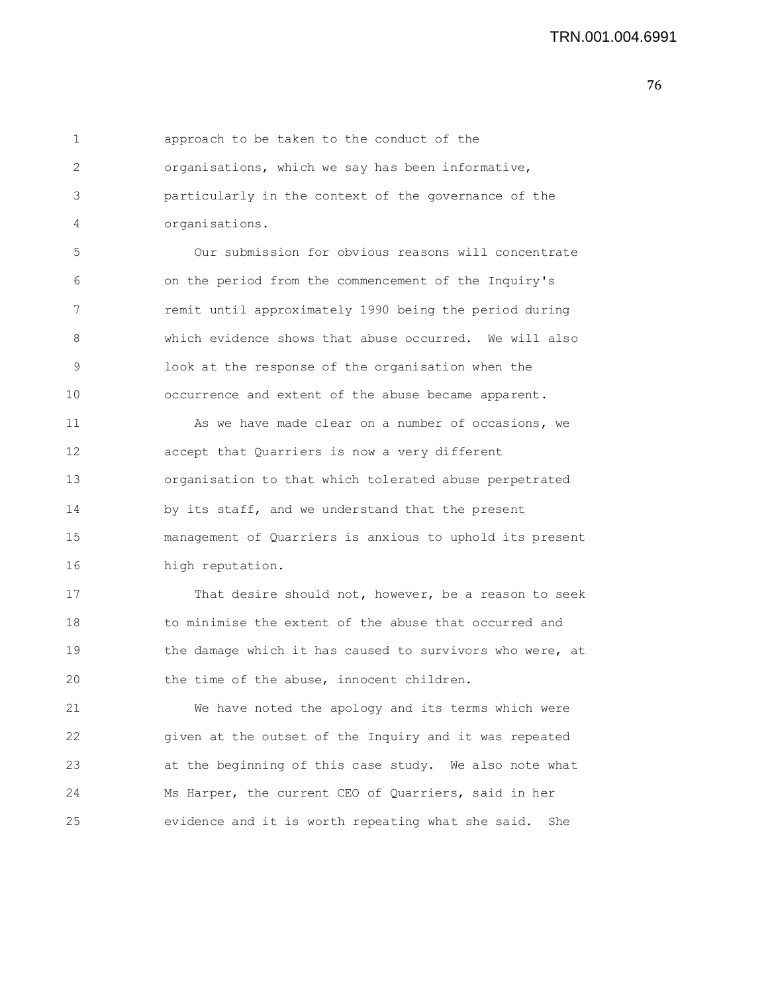1 approach to be taken to the conduct of the 2 organisations, which we say has been informative, 3 particularly in the context of the governance of the 4 organisations. 5 Our submission for obvious reasons will concentrate 6 on the period from the commencement of the Inquiry's 7 remit until approximately 1990 being the period during 8 which evidence shows that abuse occurred. We will also 9 look at the response of the organisation when the 10 occurrence and extent of the abuse became apparent. 11 As we have made clear on a number of occasions, we 12 accept that Quarriers is now a very different 13 organisation to that which tolerated abuse perpetrated 14 by its staff, and we understand that the present 15 management of Quarriers is anxious to uphold its present 16 high reputation. 17 That desire should not, however, be a reason to seek 18 to minimise the extent of the abuse that occurred and 19 the damage which it has caused to survivors who were, at 20 the time of the abuse, innocent children. 21 We have noted the apology and its terms which were 22 given at the outset of the Inquiry and it was repeated 23 at the beginning of this case study. We also note what 24 Ms Harper, the current CEO of Quarriers, said in her 25 evidence and it is worth repeating what she said. She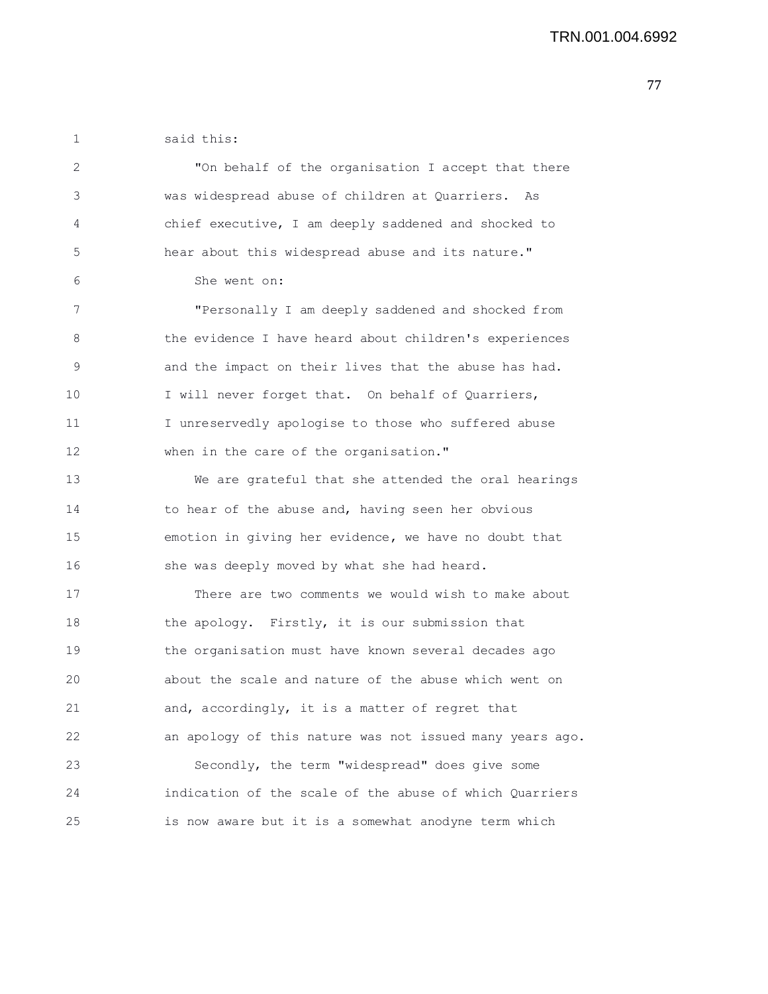1 said this:

| 2  | "On behalf of the organisation I accept that there       |
|----|----------------------------------------------------------|
| 3  | was widespread abuse of children at Quarriers. As        |
| 4  | chief executive, I am deeply saddened and shocked to     |
| 5  | hear about this widespread abuse and its nature."        |
| 6  | She went on:                                             |
| 7  | "Personally I am deeply saddened and shocked from        |
| 8  | the evidence I have heard about children's experiences   |
| 9  | and the impact on their lives that the abuse has had.    |
| 10 | I will never forget that. On behalf of Quarriers,        |
| 11 | I unreservedly apologise to those who suffered abuse     |
| 12 | when in the care of the organisation."                   |
| 13 | We are grateful that she attended the oral hearings      |
| 14 | to hear of the abuse and, having seen her obvious        |
| 15 | emotion in giving her evidence, we have no doubt that    |
| 16 | she was deeply moved by what she had heard.              |
| 17 | There are two comments we would wish to make about       |
| 18 | the apology. Firstly, it is our submission that          |
| 19 | the organisation must have known several decades ago     |
| 20 | about the scale and nature of the abuse which went on    |
| 21 | and, accordingly, it is a matter of regret that          |
| 22 | an apology of this nature was not issued many years ago. |
| 23 | Secondly, the term "widespread" does give some           |
| 24 | indication of the scale of the abuse of which Quarriers  |
| 25 | is now aware but it is a somewhat anodyne term which     |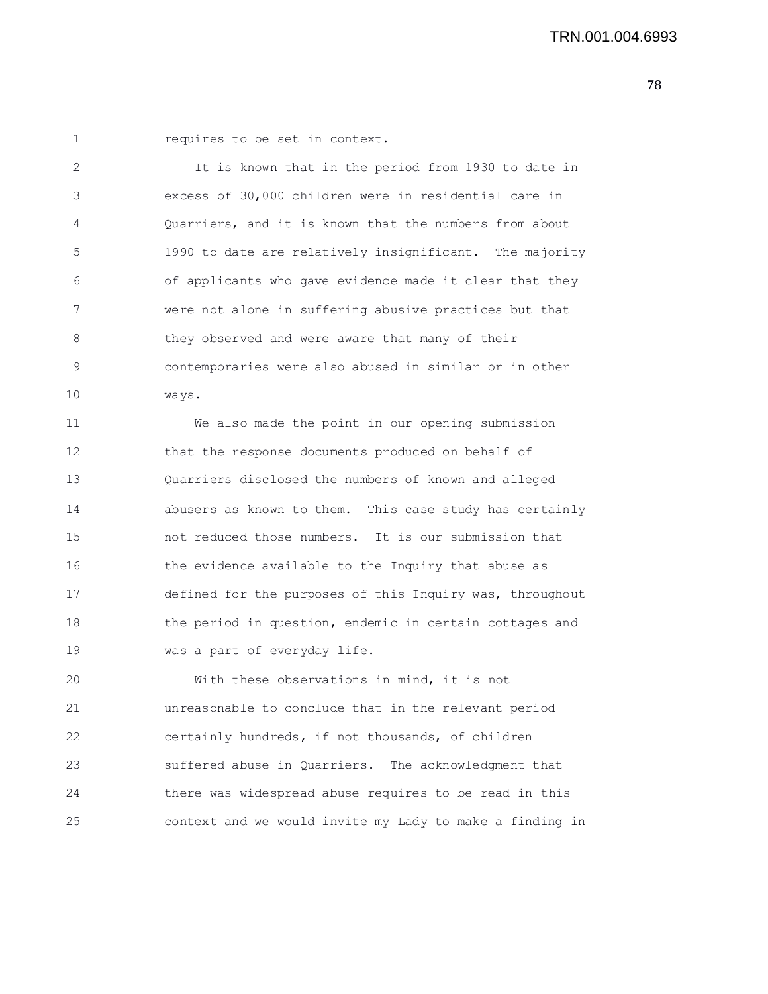1 **requires to be set in context.** 

2 It is known that in the period from 1930 to date in 3 excess of 30,000 children were in residential care in 4 Quarriers, and it is known that the numbers from about 5 1990 to date are relatively insignificant. The majority 6 of applicants who gave evidence made it clear that they 7 were not alone in suffering abusive practices but that 8 they observed and were aware that many of their 9 contemporaries were also abused in similar or in other 10 ways. 11 We also made the point in our opening submission 12 that the response documents produced on behalf of 13 Quarriers disclosed the numbers of known and alleged 14 abusers as known to them. This case study has certainly 15 not reduced those numbers. It is our submission that 16 the evidence available to the Inquiry that abuse as

17 defined for the purposes of this Inquiry was, throughout 18 the period in question, endemic in certain cottages and 19 was a part of everyday life.

20 With these observations in mind, it is not 21 unreasonable to conclude that in the relevant period 22 certainly hundreds, if not thousands, of children 23 suffered abuse in Quarriers. The acknowledgment that 24 there was widespread abuse requires to be read in this 25 context and we would invite my Lady to make a finding in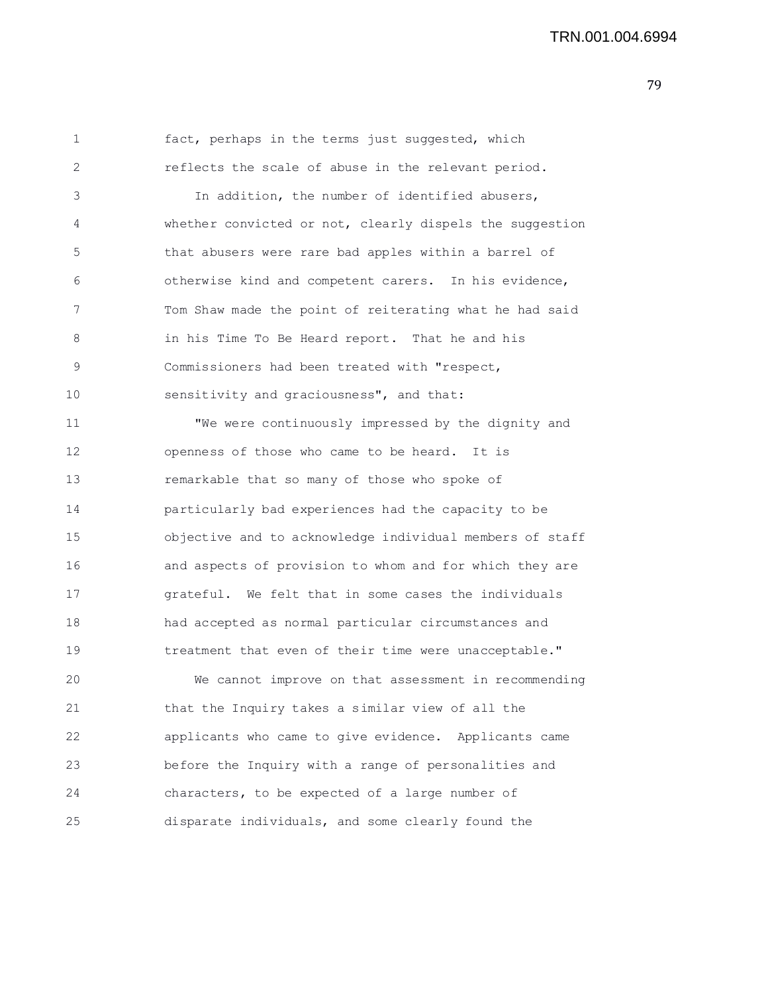```
1 fact, perhaps in the terms just suggested, which
2 reflects the scale of abuse in the relevant period.
3 In addition, the number of identified abusers,
4 whether convicted or not, clearly dispels the suggestion
5 that abusers were rare bad apples within a barrel of
6 otherwise kind and competent carers. In his evidence,
7 Tom Shaw made the point of reiterating what he had said
8 in his Time To Be Heard report. That he and his
9 Commissioners had been treated with "respect,
10 sensitivity and graciousness", and that:
11 "We were continuously impressed by the dignity and
12 openness of those who came to be heard. It is
13 remarkable that so many of those who spoke of
14 particularly bad experiences had the capacity to be
15 objective and to acknowledge individual members of staff
16 and aspects of provision to whom and for which they are
17 grateful. We felt that in some cases the individuals
18 had accepted as normal particular circumstances and
19 treatment that even of their time were unacceptable."
20 We cannot improve on that assessment in recommending
21 that the Inquiry takes a similar view of all the
22 applicants who came to give evidence. Applicants came
23 before the Inquiry with a range of personalities and
24 characters, to be expected of a large number of
25 disparate individuals, and some clearly found the
```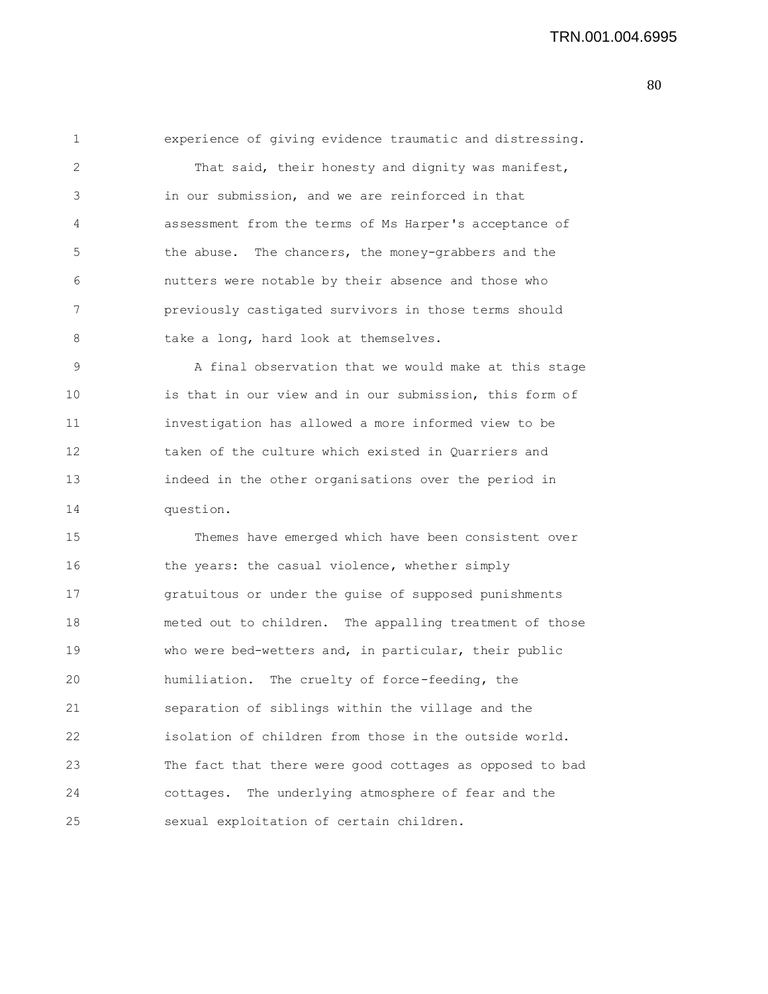1 experience of giving evidence traumatic and distressing. 2 That said, their honesty and dignity was manifest, 3 in our submission, and we are reinforced in that 4 assessment from the terms of Ms Harper's acceptance of 5 the abuse. The chancers, the money-grabbers and the 6 nutters were notable by their absence and those who 7 previously castigated survivors in those terms should 8 take a long, hard look at themselves. 9 A final observation that we would make at this stage 10 is that in our view and in our submission, this form of 11 investigation has allowed a more informed view to be 12 taken of the culture which existed in Quarriers and

13 indeed in the other organisations over the period in 14 question.

15 Themes have emerged which have been consistent over 16 the years: the casual violence, whether simply 17 gratuitous or under the guise of supposed punishments 18 meted out to children. The appalling treatment of those 19 who were bed-wetters and, in particular, their public 20 humiliation. The cruelty of force-feeding, the 21 separation of siblings within the village and the 22 isolation of children from those in the outside world. 23 The fact that there were good cottages as opposed to bad 24 cottages. The underlying atmosphere of fear and the 25 sexual exploitation of certain children.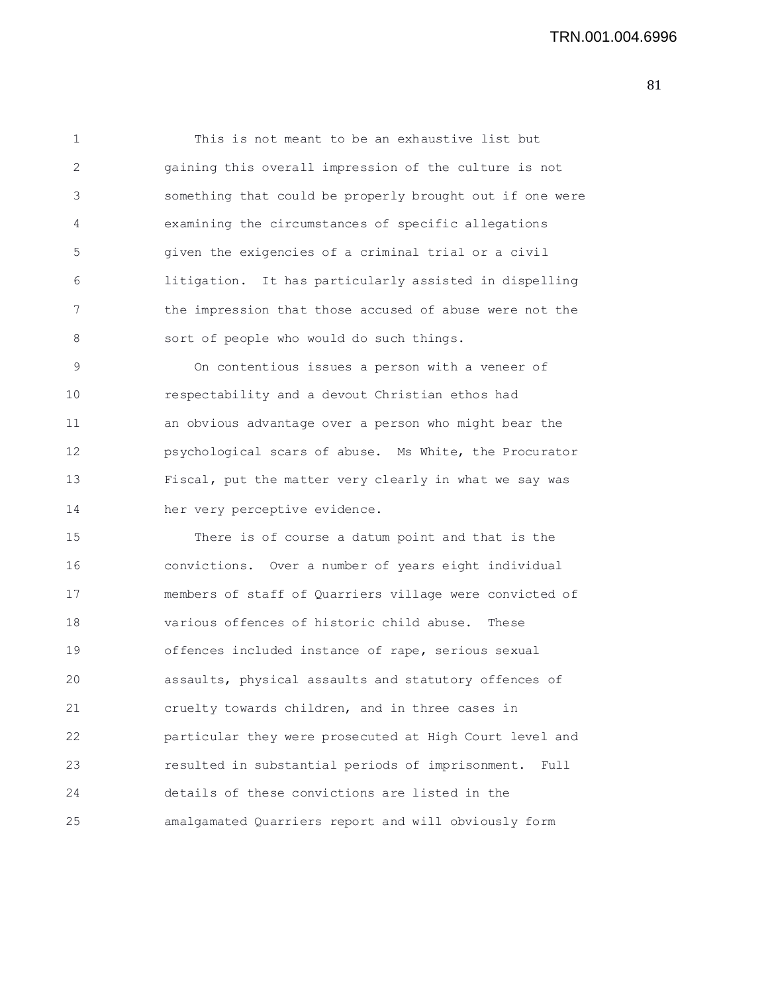1 This is not meant to be an exhaustive list but 2 gaining this overall impression of the culture is not 3 something that could be properly brought out if one were 4 examining the circumstances of specific allegations 5 given the exigencies of a criminal trial or a civil 6 litigation. It has particularly assisted in dispelling 7 the impression that those accused of abuse were not the 8 sort of people who would do such things.

9 On contentious issues a person with a veneer of 10 respectability and a devout Christian ethos had 11 an obvious advantage over a person who might bear the 12 psychological scars of abuse. Ms White, the Procurator 13 Fiscal, put the matter very clearly in what we say was 14 her very perceptive evidence.

15 There is of course a datum point and that is the 16 convictions. Over a number of years eight individual 17 members of staff of Quarriers village were convicted of 18 various offences of historic child abuse. These 19 offences included instance of rape, serious sexual 20 assaults, physical assaults and statutory offences of 21 cruelty towards children, and in three cases in 22 particular they were prosecuted at High Court level and 23 resulted in substantial periods of imprisonment. Full 24 details of these convictions are listed in the 25 amalgamated Quarriers report and will obviously form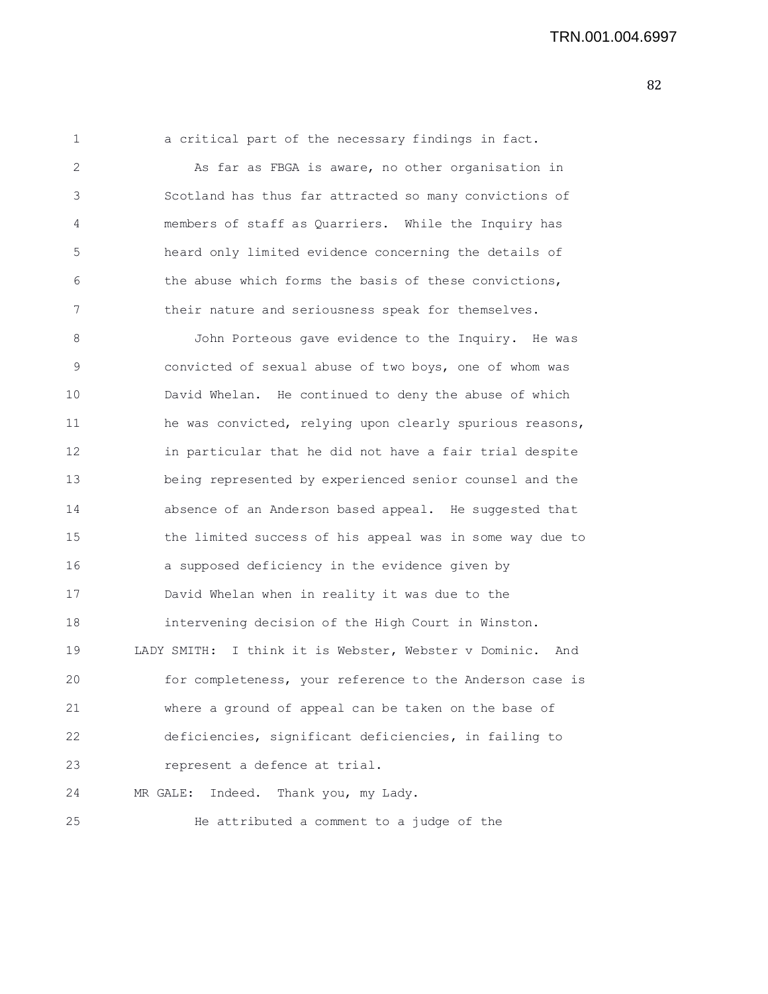1 a critical part of the necessary findings in fact. 2 As far as FBGA is aware, no other organisation in 3 Scotland has thus far attracted so many convictions of 4 members of staff as Quarriers. While the Inquiry has 5 heard only limited evidence concerning the details of 6 the abuse which forms the basis of these convictions, 7 their nature and seriousness speak for themselves.

8 John Porteous gave evidence to the Inquiry. He was 9 convicted of sexual abuse of two boys, one of whom was 10 David Whelan. He continued to deny the abuse of which 11 he was convicted, relying upon clearly spurious reasons, 12 in particular that he did not have a fair trial despite 13 being represented by experienced senior counsel and the 14 absence of an Anderson based appeal. He suggested that 15 the limited success of his appeal was in some way due to 16 a supposed deficiency in the evidence given by 17 David Whelan when in reality it was due to the 18 intervening decision of the High Court in Winston. 19 LADY SMITH: I think it is Webster, Webster v Dominic. And 20 for completeness, your reference to the Anderson case is 21 where a ground of appeal can be taken on the base of 22 deficiencies, significant deficiencies, in failing to 23 represent a defence at trial. 24 MR GALE: Indeed. Thank you, my Lady.

25 He attributed a comment to a judge of the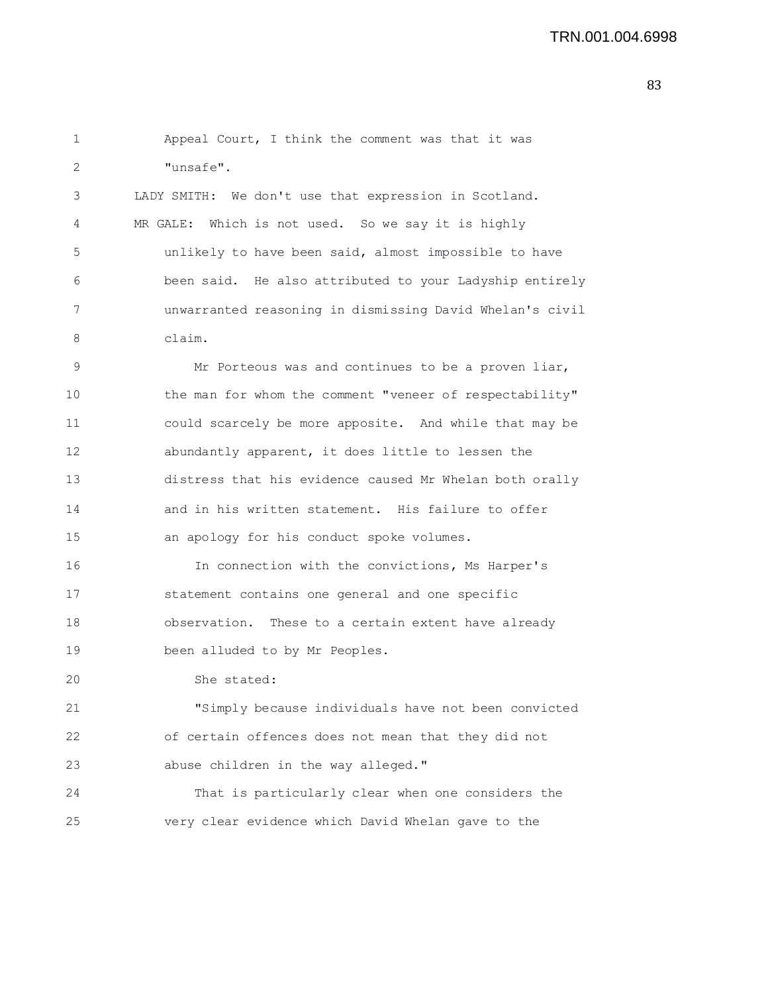| 1  | Appeal Court, I think the comment was that it was        |
|----|----------------------------------------------------------|
| 2  | "unsafe".                                                |
| 3  | LADY SMITH: We don't use that expression in Scotland.    |
| 4  | MR GALE: Which is not used. So we say it is highly       |
| 5  | unlikely to have been said, almost impossible to have    |
| 6  | been said. He also attributed to your Ladyship entirely  |
| 7  | unwarranted reasoning in dismissing David Whelan's civil |
| 8  | claim.                                                   |
| 9  | Mr Porteous was and continues to be a proven liar,       |
| 10 | the man for whom the comment "veneer of respectability"  |
| 11 | could scarcely be more apposite. And while that may be   |
| 12 | abundantly apparent, it does little to lessen the        |
| 13 | distress that his evidence caused Mr Whelan both orally  |
| 14 | and in his written statement. His failure to offer       |
| 15 | an apology for his conduct spoke volumes.                |
| 16 | In connection with the convictions, Ms Harper's          |
| 17 | statement contains one general and one specific          |
| 18 | observation. These to a certain extent have already      |
| 19 | been alluded to by Mr Peoples.                           |
| 20 | She stated:                                              |
| 21 | "Simply because individuals have not been convicted      |
| 22 | of certain offences does not mean that they did not      |
| 23 | abuse children in the way alleged."                      |
| 24 | That is particularly clear when one considers the        |
| 25 | very clear evidence which David Whelan gave to the       |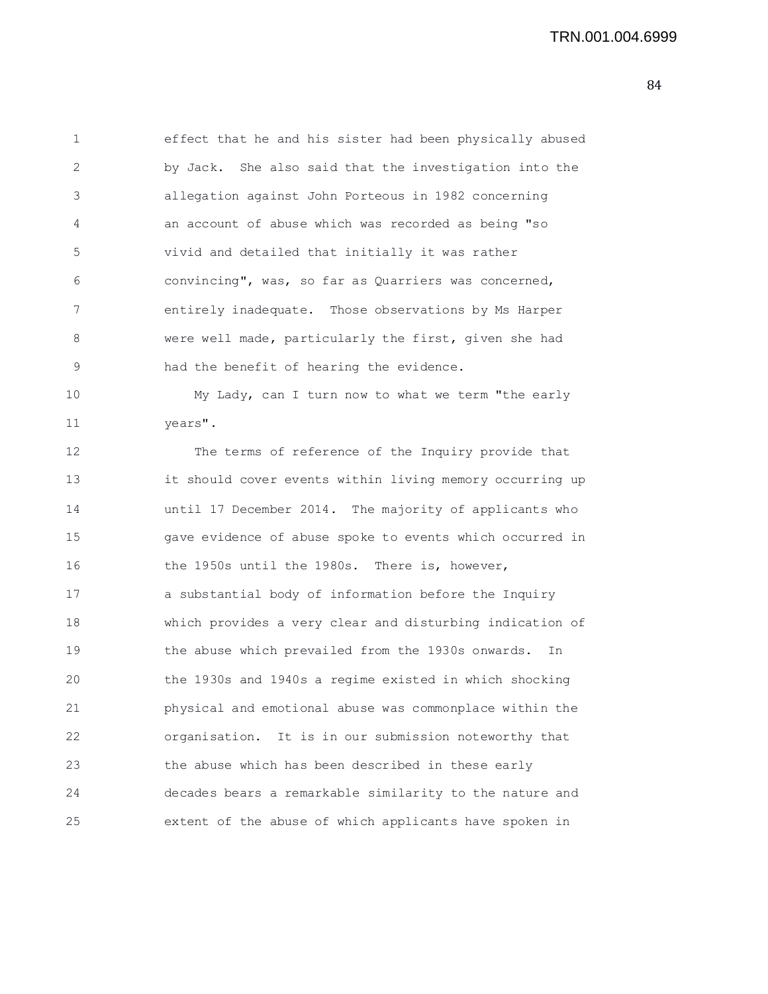1 effect that he and his sister had been physically abused 2 by Jack. She also said that the investigation into the 3 allegation against John Porteous in 1982 concerning 4 an account of abuse which was recorded as being "so 5 vivid and detailed that initially it was rather 6 convincing", was, so far as Quarriers was concerned, 7 entirely inadequate. Those observations by Ms Harper 8 were well made, particularly the first, given she had 9 had the benefit of hearing the evidence.

10 My Lady, can I turn now to what we term "the early 11 years".

12 The terms of reference of the Inquiry provide that 13 it should cover events within living memory occurring up 14 until 17 December 2014. The majority of applicants who 15 gave evidence of abuse spoke to events which occurred in 16 the 1950s until the 1980s. There is, however, 17 a substantial body of information before the Inquiry 18 which provides a very clear and disturbing indication of 19 the abuse which prevailed from the 1930s onwards. In 20 the 1930s and 1940s a regime existed in which shocking 21 physical and emotional abuse was commonplace within the 22 organisation. It is in our submission noteworthy that 23 the abuse which has been described in these early 24 decades bears a remarkable similarity to the nature and 25 extent of the abuse of which applicants have spoken in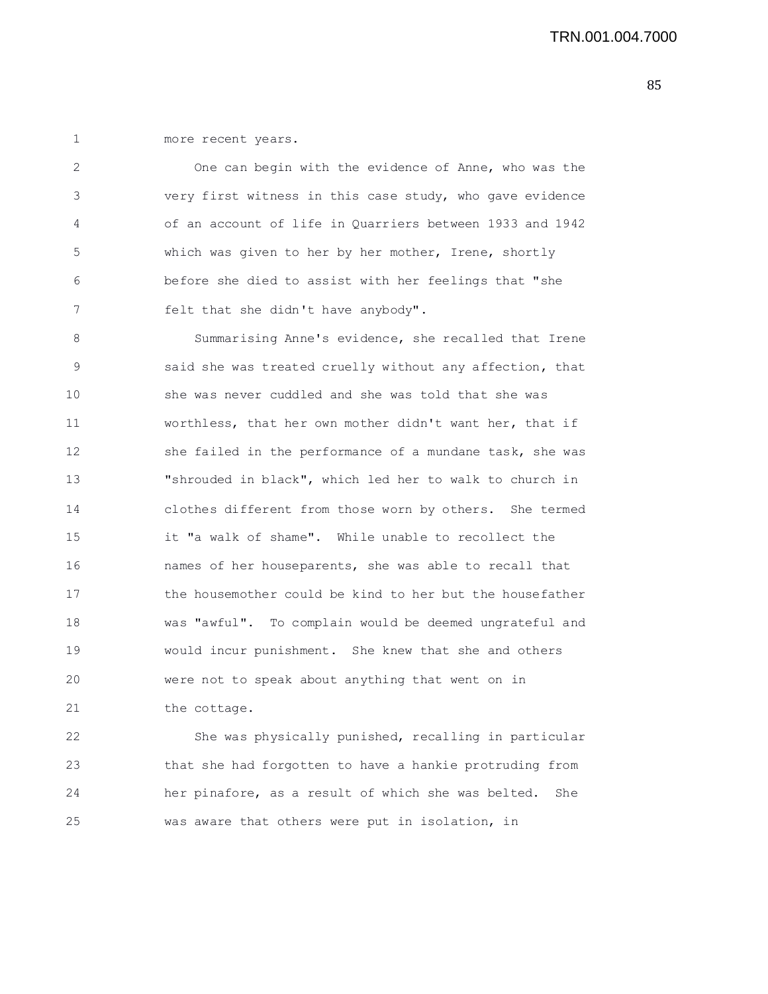1 more recent years.

2 One can begin with the evidence of Anne, who was the 3 very first witness in this case study, who gave evidence 4 of an account of life in Quarriers between 1933 and 1942 5 which was given to her by her mother, Irene, shortly 6 before she died to assist with her feelings that "she 7 felt that she didn't have anybody".

8 Summarising Anne's evidence, she recalled that Irene 9 said she was treated cruelly without any affection, that 10 she was never cuddled and she was told that she was 11 worthless, that her own mother didn't want her, that if 12 she failed in the performance of a mundane task, she was 13 "shrouded in black", which led her to walk to church in 14 clothes different from those worn by others. She termed 15 it "a walk of shame". While unable to recollect the 16 names of her houseparents, she was able to recall that 17 the housemother could be kind to her but the housefather 18 was "awful". To complain would be deemed ungrateful and 19 would incur punishment. She knew that she and others 20 were not to speak about anything that went on in 21 the cottage.

22 She was physically punished, recalling in particular 23 that she had forgotten to have a hankie protruding from 24 her pinafore, as a result of which she was belted. She 25 was aware that others were put in isolation, in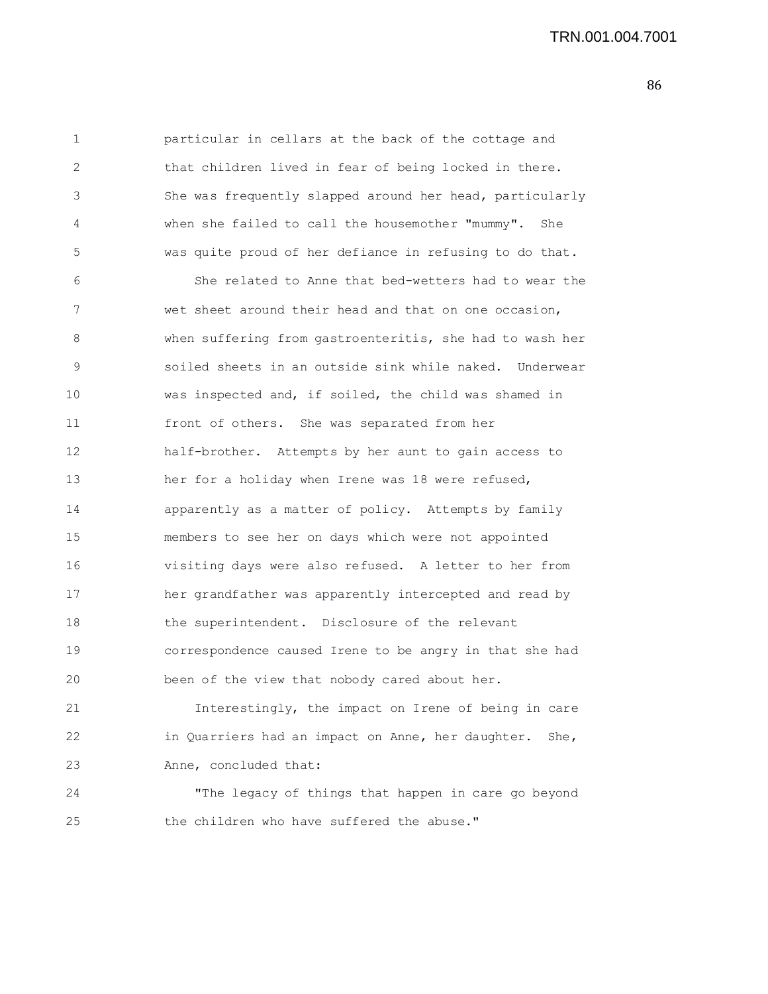1 particular in cellars at the back of the cottage and 2 that children lived in fear of being locked in there. 3 She was frequently slapped around her head, particularly 4 when she failed to call the housemother "mummy". She 5 was quite proud of her defiance in refusing to do that. 6 She related to Anne that bed-wetters had to wear the 7 wet sheet around their head and that on one occasion, 8 when suffering from gastroenteritis, she had to wash her 9 soiled sheets in an outside sink while naked. Underwear 10 was inspected and, if soiled, the child was shamed in 11 front of others. She was separated from her 12 half-brother. Attempts by her aunt to gain access to 13 her for a holiday when Irene was 18 were refused, 14 apparently as a matter of policy. Attempts by family 15 members to see her on days which were not appointed 16 visiting days were also refused. A letter to her from 17 her grandfather was apparently intercepted and read by 18 the superintendent. Disclosure of the relevant 19 correspondence caused Irene to be angry in that she had 20 been of the view that nobody cared about her. 21 Interestingly, the impact on Irene of being in care 22 in Quarriers had an impact on Anne, her daughter. She, 23 Anne, concluded that: 24 "The legacy of things that happen in care go beyond

- 
- 25 the children who have suffered the abuse."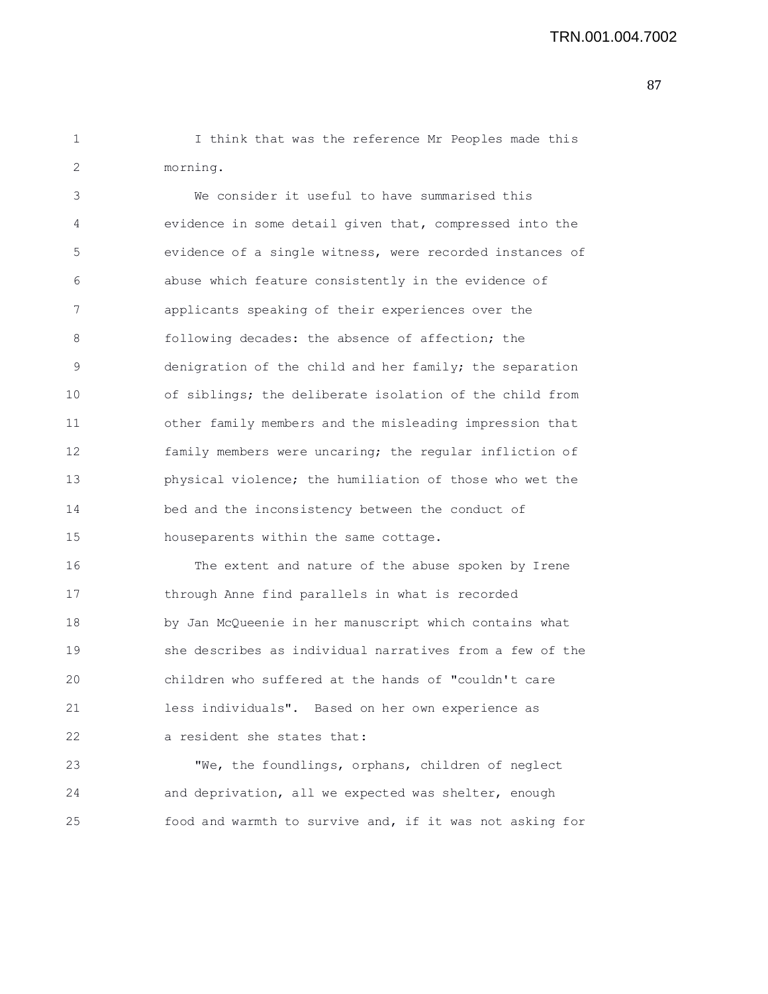1 I think that was the reference Mr Peoples made this 2 morning.

3 We consider it useful to have summarised this 4 evidence in some detail given that, compressed into the 5 evidence of a single witness, were recorded instances of 6 abuse which feature consistently in the evidence of 7 applicants speaking of their experiences over the 8 following decades: the absence of affection; the 9 denigration of the child and her family; the separation 10 of siblings; the deliberate isolation of the child from 11 other family members and the misleading impression that 12 family members were uncaring; the regular infliction of 13 physical violence; the humiliation of those who wet the 14 bed and the inconsistency between the conduct of 15 houseparents within the same cottage.

16 The extent and nature of the abuse spoken by Irene 17 through Anne find parallels in what is recorded 18 by Jan McQueenie in her manuscript which contains what 19 she describes as individual narratives from a few of the 20 children who suffered at the hands of "couldn't care 21 less individuals". Based on her own experience as 22 a resident she states that:

23 "We, the foundlings, orphans, children of neglect 24 and deprivation, all we expected was shelter, enough 25 food and warmth to survive and, if it was not asking for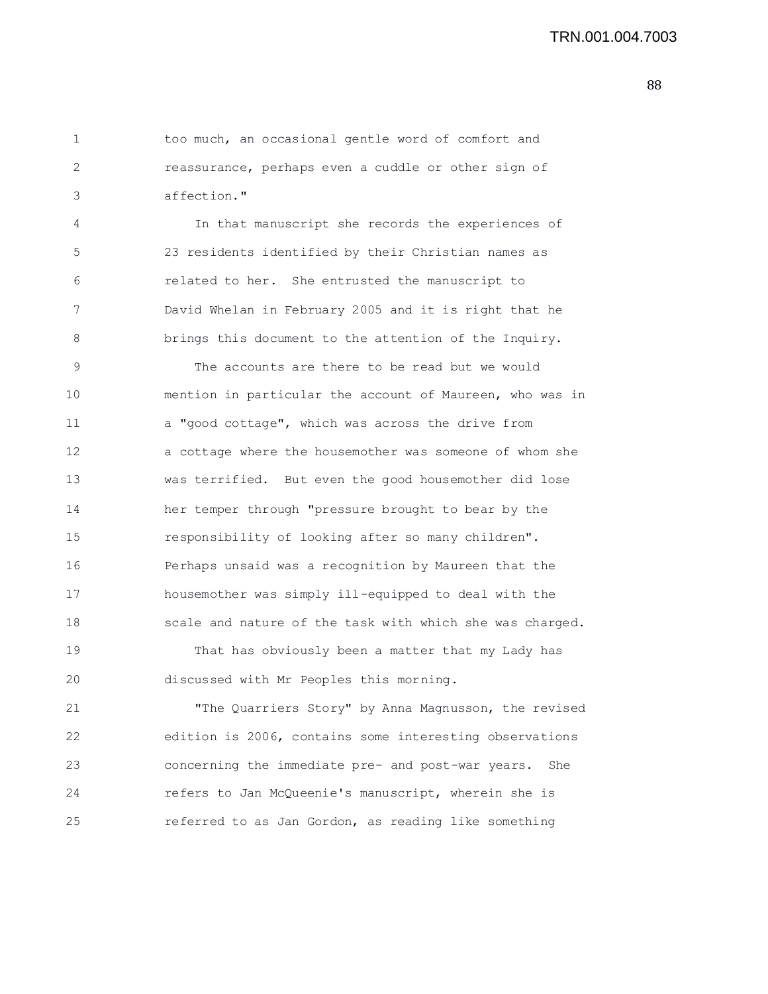1 too much, an occasional gentle word of comfort and 2 reassurance, perhaps even a cuddle or other sign of 3 affection."

4 In that manuscript she records the experiences of 5 23 residents identified by their Christian names as 6 related to her. She entrusted the manuscript to 7 David Whelan in February 2005 and it is right that he 8 brings this document to the attention of the Inquiry.

9 The accounts are there to be read but we would 10 mention in particular the account of Maureen, who was in 11 a "good cottage", which was across the drive from 12 a cottage where the housemother was someone of whom she 13 was terrified. But even the good housemother did lose 14 her temper through "pressure brought to bear by the 15 responsibility of looking after so many children". 16 Perhaps unsaid was a recognition by Maureen that the 17 housemother was simply ill-equipped to deal with the 18 scale and nature of the task with which she was charged.

19 That has obviously been a matter that my Lady has 20 discussed with Mr Peoples this morning.

21 "The Quarriers Story" by Anna Magnusson, the revised 22 edition is 2006, contains some interesting observations 23 concerning the immediate pre- and post-war years. She 24 refers to Jan McQueenie's manuscript, wherein she is 25 referred to as Jan Gordon, as reading like something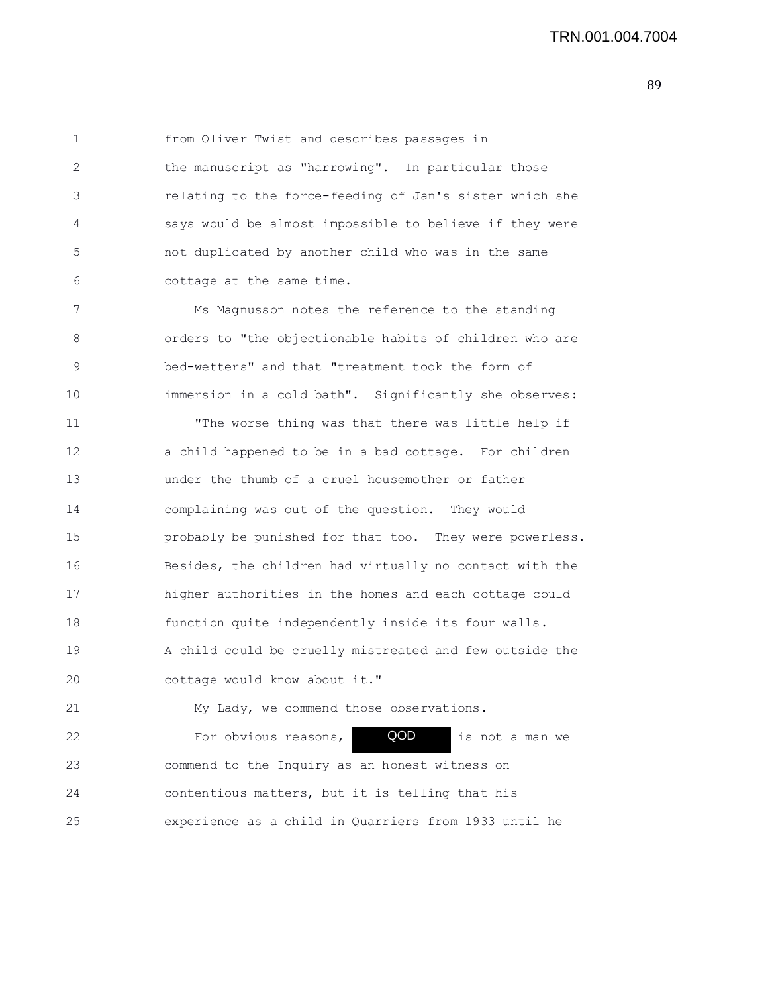1 from Oliver Twist and describes passages in 2 the manuscript as "harrowing". In particular those 3 relating to the force-feeding of Jan's sister which she 4 says would be almost impossible to believe if they were 5 not duplicated by another child who was in the same 6 cottage at the same time.

7 Ms Magnusson notes the reference to the standing 8 orders to "the objectionable habits of children who are 9 bed-wetters" and that "treatment took the form of 10 immersion in a cold bath". Significantly she observes:

11 "The worse thing was that there was little help if 12 a child happened to be in a bad cottage. For children 13 under the thumb of a cruel housemother or father 14 complaining was out of the question. They would 15 probably be punished for that too. They were powerless. 16 Besides, the children had virtually no contact with the 17 higher authorities in the homes and each cottage could 18 function quite independently inside its four walls. 19 A child could be cruelly mistreated and few outside the 20 cottage would know about it."

21 My Lady, we commend those observations. 22 For obvious reasons, **QOD** is not a man we 23 commend to the Inquiry as an honest witness on 24 contentious matters, but it is telling that his 25 experience as a child in Quarriers from 1933 until he QOD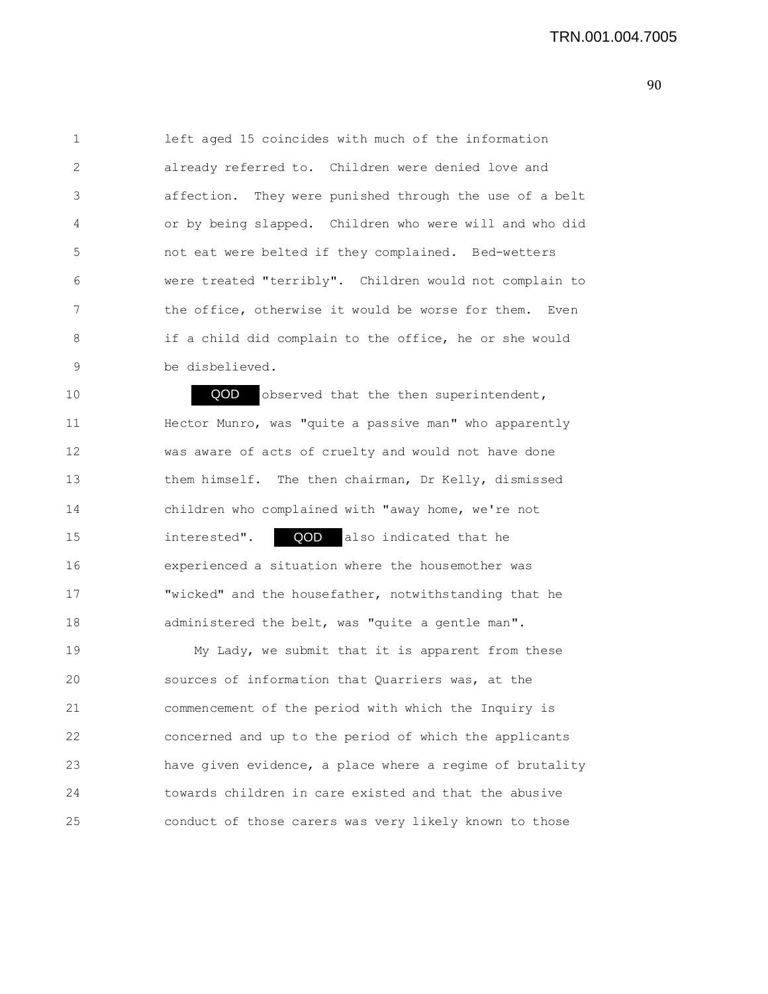1 left aged 15 coincides with much of the information 2 already referred to. Children were denied love and 3 affection. They were punished through the use of a belt 4 or by being slapped. Children who were will and who did 5 not eat were belted if they complained. Bed-wetters 6 were treated "terribly". Children would not complain to 7 the office, otherwise it would be worse for them. Even 8 if a child did complain to the office, he or she would 9 be disbelieved.

10 **QOD** observed that the then superintendent, 11 Hector Munro, was "quite a passive man" who apparently 12 was aware of acts of cruelty and would not have done 13 them himself. The then chairman, Dr Kelly, dismissed 14 children who complained with "away home, we're not 15 interested". **QOD** also indicated that he 16 experienced a situation where the housemother was 17 "wicked" and the housefather, notwithstanding that he 18 administered the belt, was "quite a gentle man".

19 My Lady, we submit that it is apparent from these 20 sources of information that Quarriers was, at the 21 commencement of the period with which the Inquiry is 22 concerned and up to the period of which the applicants 23 have given evidence, a place where a regime of brutality 24 towards children in care existed and that the abusive 25 conduct of those carers was very likely known to those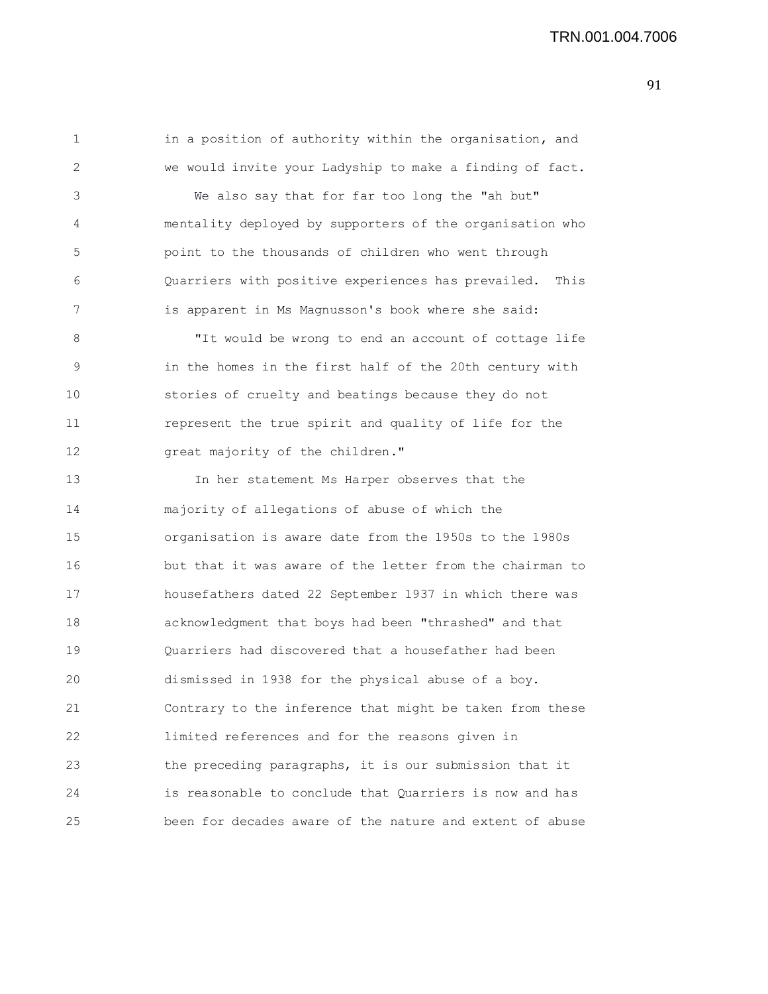1 in a position of authority within the organisation, and 2 we would invite your Ladyship to make a finding of fact.

3 We also say that for far too long the "ah but" 4 mentality deployed by supporters of the organisation who 5 point to the thousands of children who went through 6 Quarriers with positive experiences has prevailed. This 7 is apparent in Ms Magnusson's book where she said:

8 "It would be wrong to end an account of cottage life 9 in the homes in the first half of the 20th century with 10 stories of cruelty and beatings because they do not 11 represent the true spirit and quality of life for the 12 great majority of the children."

13 In her statement Ms Harper observes that the 14 majority of allegations of abuse of which the 15 organisation is aware date from the 1950s to the 1980s 16 but that it was aware of the letter from the chairman to 17 housefathers dated 22 September 1937 in which there was 18 acknowledgment that boys had been "thrashed" and that 19 Quarriers had discovered that a housefather had been 20 dismissed in 1938 for the physical abuse of a boy. 21 Contrary to the inference that might be taken from these 22 limited references and for the reasons given in 23 the preceding paragraphs, it is our submission that it 24 is reasonable to conclude that Quarriers is now and has 25 been for decades aware of the nature and extent of abuse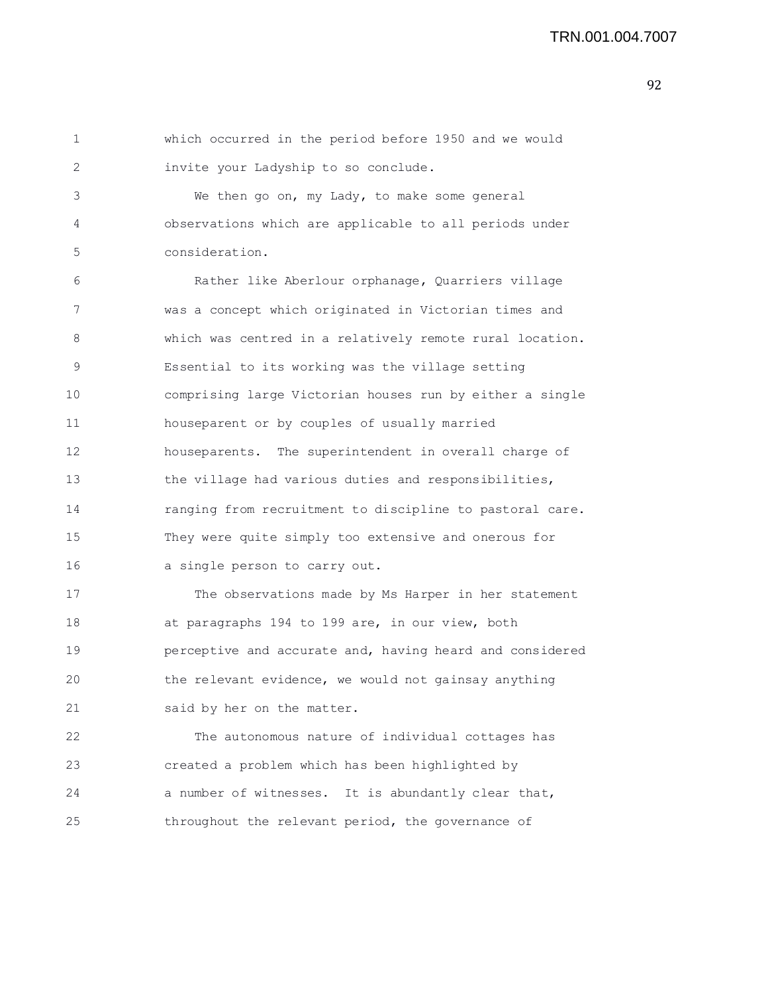```
1 which occurred in the period before 1950 and we would
2 invite your Ladyship to so conclude.
3 We then go on, my Lady, to make some general
4 observations which are applicable to all periods under
5 consideration.
6 Rather like Aberlour orphanage, Quarriers village
7 was a concept which originated in Victorian times and
8 which was centred in a relatively remote rural location.
9 Essential to its working was the village setting
10 comprising large Victorian houses run by either a single
11 houseparent or by couples of usually married
12 houseparents. The superintendent in overall charge of
13 the village had various duties and responsibilities,
14 ranging from recruitment to discipline to pastoral care.
15 They were quite simply too extensive and onerous for
16 a single person to carry out.
17 The observations made by Ms Harper in her statement
18 at paragraphs 194 to 199 are, in our view, both
19 perceptive and accurate and, having heard and considered
20 the relevant evidence, we would not gainsay anything
21 said by her on the matter.
22 The autonomous nature of individual cottages has
23 created a problem which has been highlighted by
24 a number of witnesses. It is abundantly clear that,
```
25 throughout the relevant period, the governance of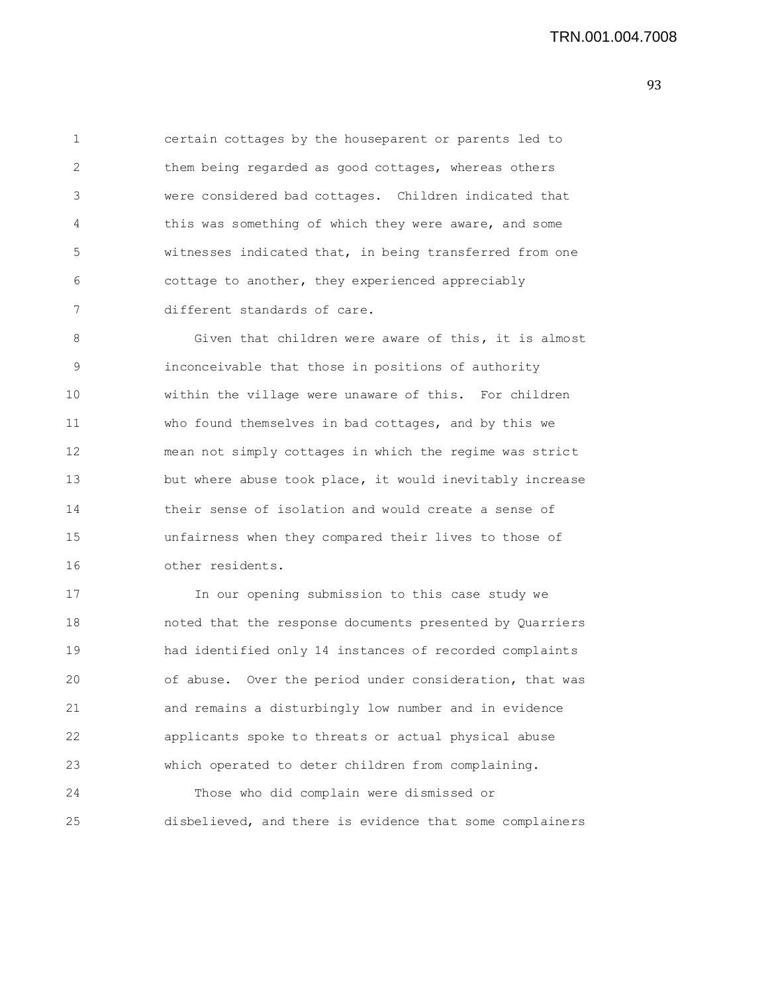1 certain cottages by the houseparent or parents led to 2 them being regarded as good cottages, whereas others 3 were considered bad cottages. Children indicated that 4 this was something of which they were aware, and some 5 witnesses indicated that, in being transferred from one 6 cottage to another, they experienced appreciably 7 different standards of care.

8 Given that children were aware of this, it is almost 9 inconceivable that those in positions of authority 10 within the village were unaware of this. For children 11 who found themselves in bad cottages, and by this we 12 mean not simply cottages in which the regime was strict 13 but where abuse took place, it would inevitably increase 14 their sense of isolation and would create a sense of 15 unfairness when they compared their lives to those of 16 other residents.

17 In our opening submission to this case study we 18 noted that the response documents presented by Quarriers 19 had identified only 14 instances of recorded complaints 20 of abuse. Over the period under consideration, that was 21 and remains a disturbingly low number and in evidence 22 applicants spoke to threats or actual physical abuse 23 which operated to deter children from complaining. 24 Those who did complain were dismissed or

25 disbelieved, and there is evidence that some complainers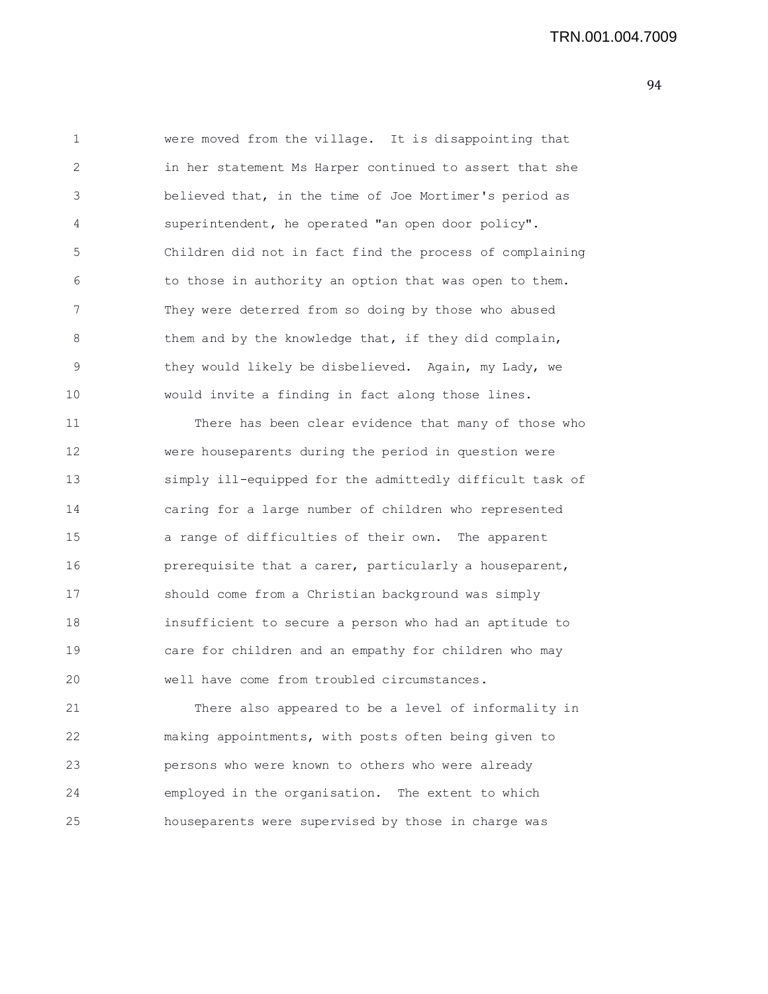1 were moved from the village. It is disappointing that 2 in her statement Ms Harper continued to assert that she 3 believed that, in the time of Joe Mortimer's period as 4 superintendent, he operated "an open door policy". 5 Children did not in fact find the process of complaining 6 to those in authority an option that was open to them. 7 They were deterred from so doing by those who abused 8 them and by the knowledge that, if they did complain, 9 they would likely be disbelieved. Again, my Lady, we 10 would invite a finding in fact along those lines.

11 There has been clear evidence that many of those who 12 were houseparents during the period in question were 13 simply ill-equipped for the admittedly difficult task of 14 caring for a large number of children who represented 15 a range of difficulties of their own. The apparent 16 **prerequisite that a carer, particularly a houseparent,** 17 should come from a Christian background was simply 18 insufficient to secure a person who had an aptitude to 19 care for children and an empathy for children who may 20 well have come from troubled circumstances.

21 There also appeared to be a level of informality in 22 making appointments, with posts often being given to 23 persons who were known to others who were already 24 employed in the organisation. The extent to which 25 houseparents were supervised by those in charge was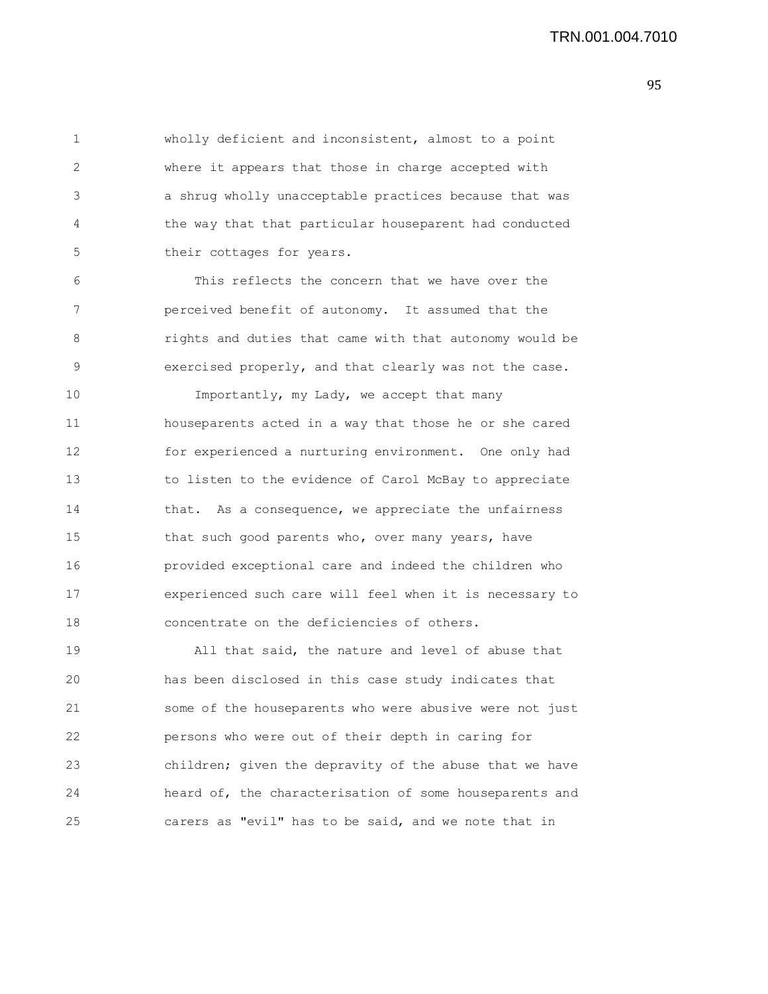1 wholly deficient and inconsistent, almost to a point 2 where it appears that those in charge accepted with 3 a shrug wholly unacceptable practices because that was 4 the way that that particular houseparent had conducted 5 their cottages for years.

6 This reflects the concern that we have over the 7 perceived benefit of autonomy. It assumed that the 8 rights and duties that came with that autonomy would be 9 exercised properly, and that clearly was not the case.

10 Importantly, my Lady, we accept that many 11 houseparents acted in a way that those he or she cared 12 for experienced a nurturing environment. One only had 13 to listen to the evidence of Carol McBay to appreciate 14 that. As a consequence, we appreciate the unfairness 15 that such good parents who, over many years, have 16 provided exceptional care and indeed the children who 17 experienced such care will feel when it is necessary to 18 concentrate on the deficiencies of others.

19 All that said, the nature and level of abuse that 20 has been disclosed in this case study indicates that 21 some of the houseparents who were abusive were not just 22 persons who were out of their depth in caring for 23 children; given the depravity of the abuse that we have 24 heard of, the characterisation of some houseparents and 25 carers as "evil" has to be said, and we note that in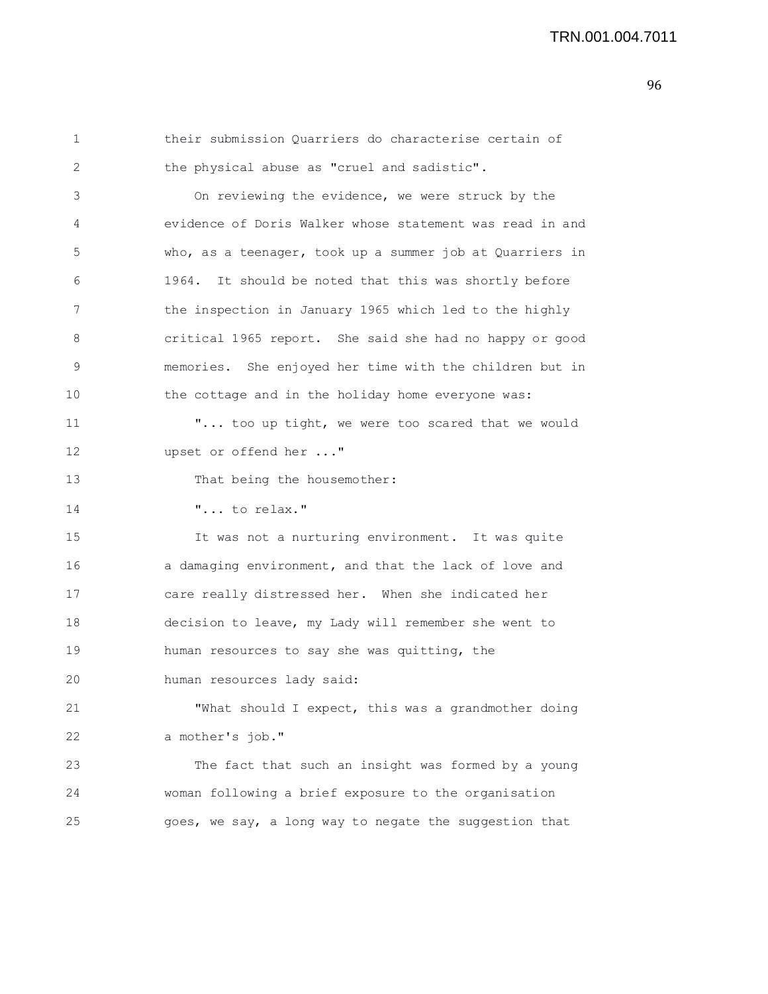| 1  | their submission Quarriers do characterise certain of    |
|----|----------------------------------------------------------|
| 2  | the physical abuse as "cruel and sadistic".              |
| 3  | On reviewing the evidence, we were struck by the         |
| 4  | evidence of Doris Walker whose statement was read in and |
| 5  | who, as a teenager, took up a summer job at Quarriers in |
| 6  | 1964.<br>It should be noted that this was shortly before |
| 7  | the inspection in January 1965 which led to the highly   |
| 8  | critical 1965 report. She said she had no happy or good  |
| 9  | memories. She enjoyed her time with the children but in  |
| 10 | the cottage and in the holiday home everyone was:        |
| 11 | " too up tight, we were too scared that we would         |
| 12 | upset or offend her "                                    |
| 13 | That being the housemother:                              |
| 14 | " to relax."                                             |
| 15 | It was not a nurturing environment. It was quite         |
| 16 | a damaging environment, and that the lack of love and    |
| 17 | care really distressed her. When she indicated her       |
| 18 | decision to leave, my Lady will remember she went to     |
| 19 | human resources to say she was quitting, the             |
| 20 | human resources lady said:                               |
| 21 | "What should I expect, this was a grandmother doing      |
| 22 | a mother's job."                                         |
| 23 | The fact that such an insight was formed by a young      |
| 24 | woman following a brief exposure to the organisation     |
| 25 | goes, we say, a long way to negate the suggestion that   |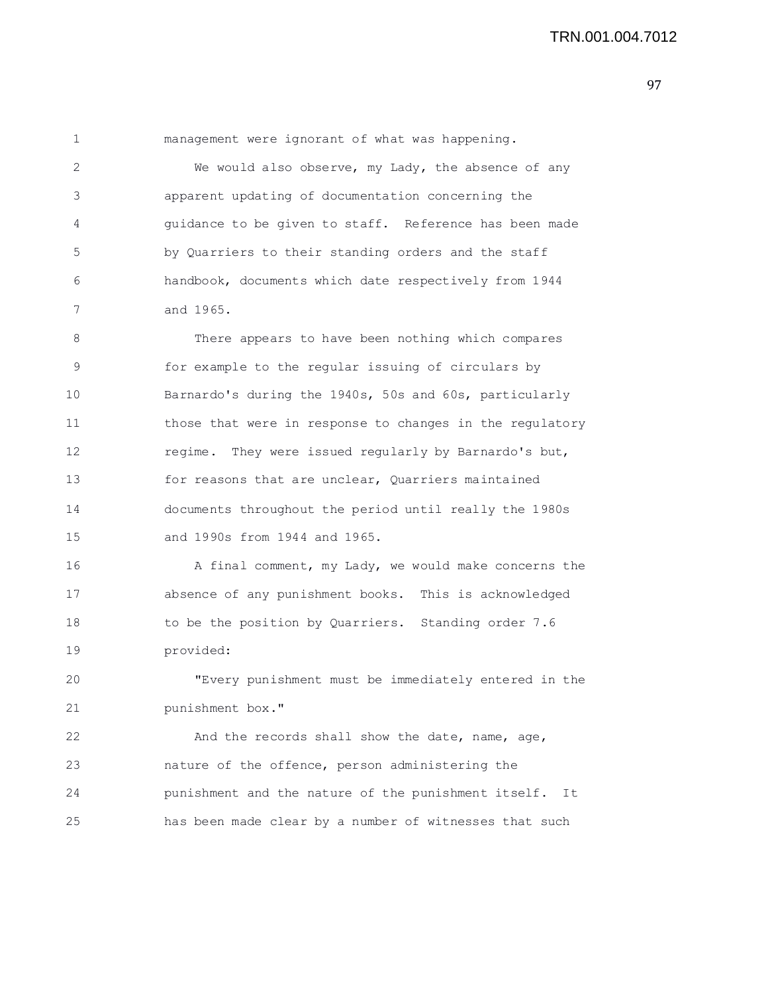1 management were ignorant of what was happening. 2 We would also observe, my Lady, the absence of any 3 apparent updating of documentation concerning the 4 guidance to be given to staff. Reference has been made 5 by Quarriers to their standing orders and the staff 6 handbook, documents which date respectively from 1944 7 and 1965. 8 There appears to have been nothing which compares 9 for example to the regular issuing of circulars by 10 Barnardo's during the 1940s, 50s and 60s, particularly 11 those that were in response to changes in the regulatory 12 regime. They were issued regularly by Barnardo's but,

13 for reasons that are unclear, Quarriers maintained 14 documents throughout the period until really the 1980s 15 and 1990s from 1944 and 1965.

16 A final comment, my Lady, we would make concerns the 17 absence of any punishment books. This is acknowledged 18 to be the position by Quarriers. Standing order 7.6 19 provided:

20 "Every punishment must be immediately entered in the 21 punishment box."

22 And the records shall show the date, name, age, 23 nature of the offence, person administering the 24 punishment and the nature of the punishment itself. It 25 has been made clear by a number of witnesses that such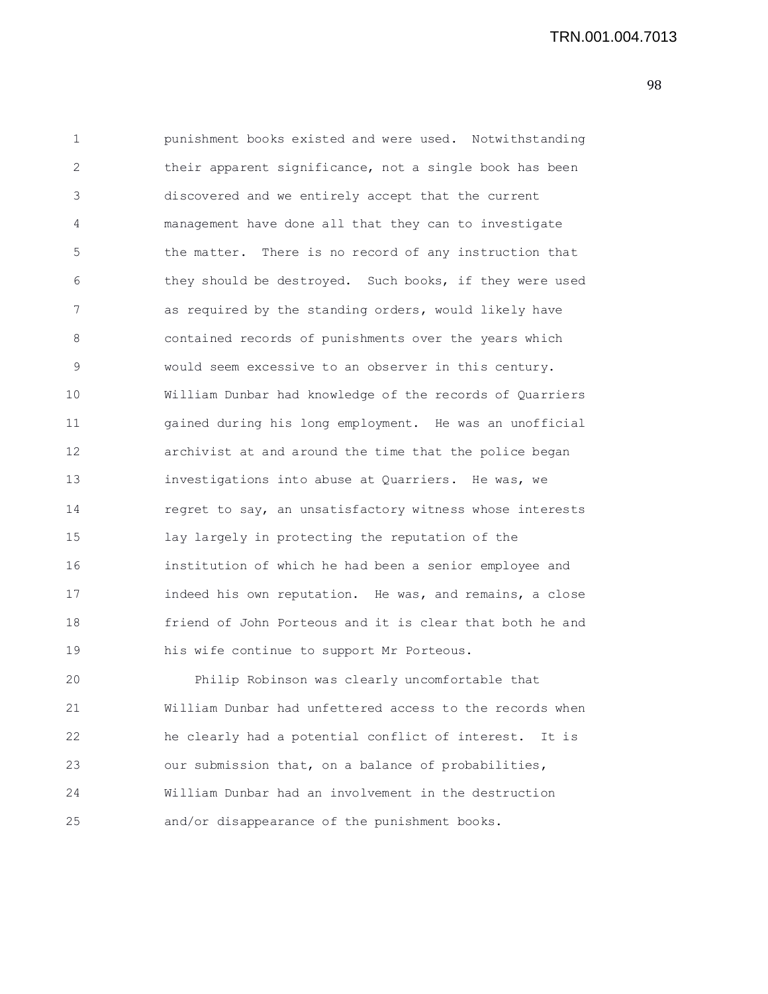1 punishment books existed and were used. Notwithstanding 2 their apparent significance, not a single book has been 3 discovered and we entirely accept that the current 4 management have done all that they can to investigate 5 the matter. There is no record of any instruction that 6 they should be destroyed. Such books, if they were used 7 as required by the standing orders, would likely have 8 contained records of punishments over the years which 9 would seem excessive to an observer in this century. 10 William Dunbar had knowledge of the records of Quarriers 11 gained during his long employment. He was an unofficial 12 archivist at and around the time that the police began 13 investigations into abuse at Quarriers. He was, we 14 regret to say, an unsatisfactory witness whose interests 15 lay largely in protecting the reputation of the 16 institution of which he had been a senior employee and 17 indeed his own reputation. He was, and remains, a close 18 friend of John Porteous and it is clear that both he and 19 his wife continue to support Mr Porteous. 20 Philip Robinson was clearly uncomfortable that 21 William Dunbar had unfettered access to the records when 22 he clearly had a potential conflict of interest. It is 23 our submission that, on a balance of probabilities, 24 William Dunbar had an involvement in the destruction

25 and/or disappearance of the punishment books.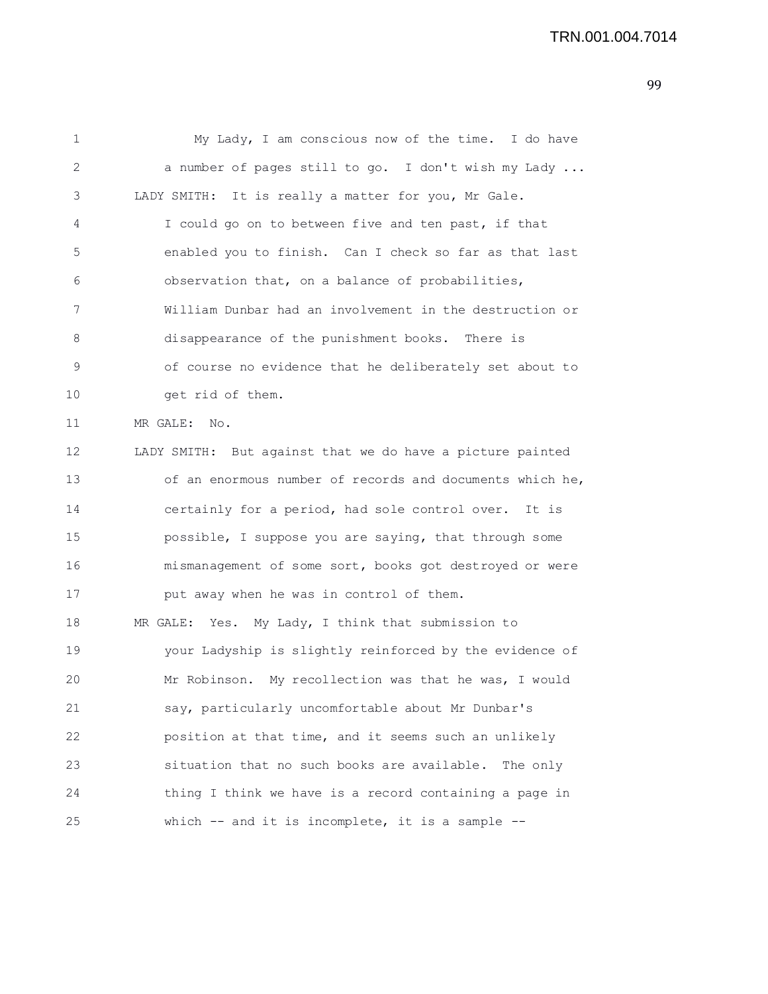1 My Lady, I am conscious now of the time. I do have 2 a number of pages still to go. I don't wish my Lady ... 3 LADY SMITH: It is really a matter for you, Mr Gale. 4 I could go on to between five and ten past, if that 5 enabled you to finish. Can I check so far as that last 6 observation that, on a balance of probabilities, 7 William Dunbar had an involvement in the destruction or 8 disappearance of the punishment books. There is 9 of course no evidence that he deliberately set about to 10 get rid of them. 11 MR GALE: No. 12 LADY SMITH: But against that we do have a picture painted 13 of an enormous number of records and documents which he, 14 certainly for a period, had sole control over. It is 15 possible, I suppose you are saying, that through some 16 mismanagement of some sort, books got destroyed or were 17 **put away when he was in control of them.** 18 MR GALE: Yes. My Lady, I think that submission to 19 your Ladyship is slightly reinforced by the evidence of 20 Mr Robinson. My recollection was that he was, I would 21 say, particularly uncomfortable about Mr Dunbar's 22 position at that time, and it seems such an unlikely 23 situation that no such books are available. The only 24 thing I think we have is a record containing a page in 25 which -- and it is incomplete, it is a sample --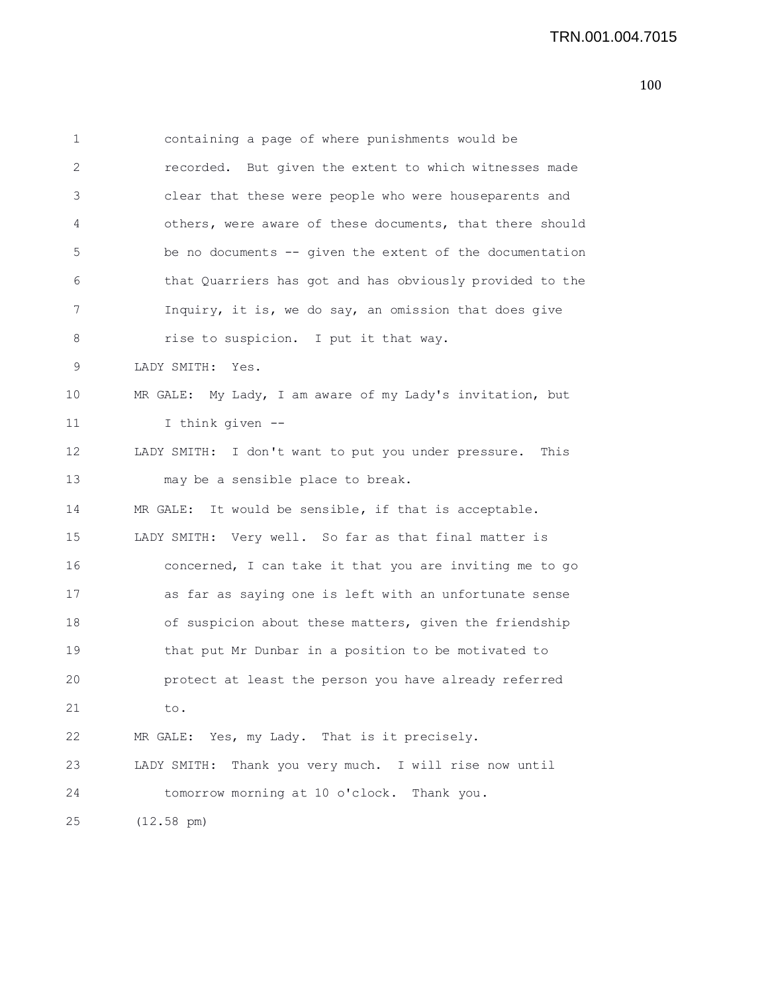| 1  | containing a page of where punishments would be             |
|----|-------------------------------------------------------------|
| 2  | recorded. But given the extent to which witnesses made      |
| 3  | clear that these were people who were houseparents and      |
| 4  | others, were aware of these documents, that there should    |
| 5  | be no documents -- given the extent of the documentation    |
| 6  | that Quarriers has got and has obviously provided to the    |
| 7  | Inquiry, it is, we do say, an omission that does give       |
| 8  | rise to suspicion. I put it that way.                       |
| 9  | LADY SMITH: Yes.                                            |
| 10 | MR GALE: My Lady, I am aware of my Lady's invitation, but   |
| 11 | I think given --                                            |
| 12 | LADY SMITH: I don't want to put you under pressure.<br>This |
| 13 | may be a sensible place to break.                           |
| 14 | MR GALE: It would be sensible, if that is acceptable.       |
| 15 | LADY SMITH: Very well. So far as that final matter is       |
| 16 | concerned, I can take it that you are inviting me to go     |
| 17 | as far as saying one is left with an unfortunate sense      |
| 18 | of suspicion about these matters, given the friendship      |
| 19 | that put Mr Dunbar in a position to be motivated to         |
| 20 | protect at least the person you have already referred       |
| 21 | to.                                                         |
| 22 | MR GALE: Yes, my Lady. That is it precisely.                |
| 23 | LADY SMITH: Thank you very much. I will rise now until      |
| 24 | tomorrow morning at 10 o'clock. Thank you.                  |
| 25 | $(12.58 \text{ pm})$                                        |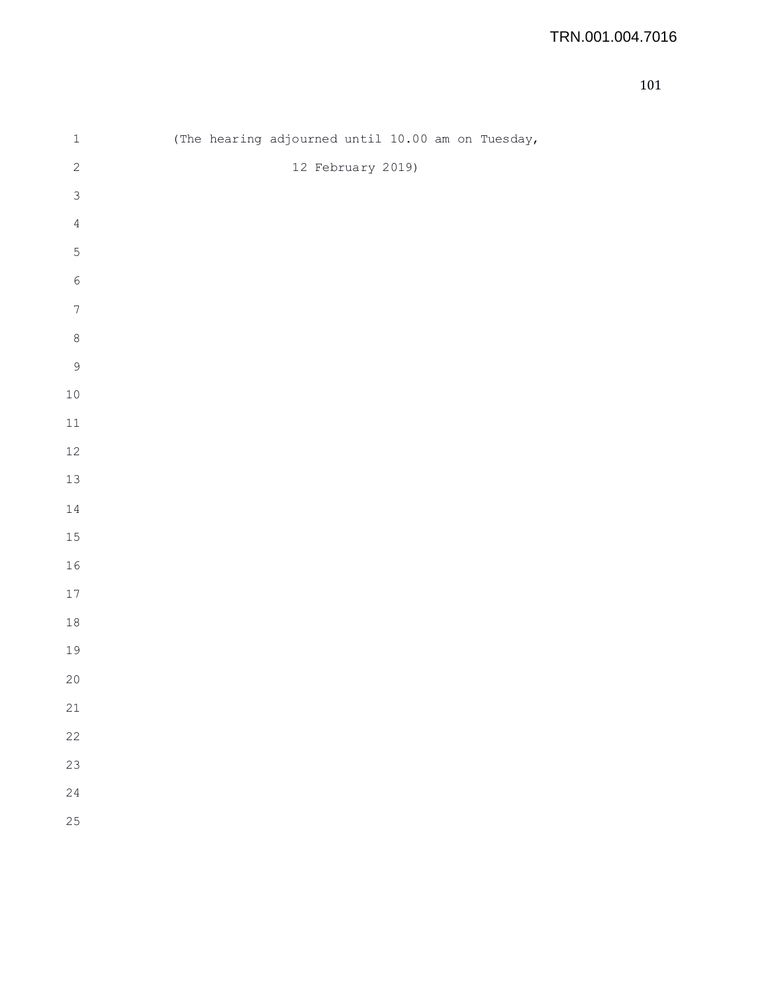| $\mathbf 1$    | (The hearing adjourned until 10.00 am on Tuesday, |
|----------------|---------------------------------------------------|
| $\sqrt{2}$     | 12 February 2019)                                 |
| $\mathfrak{Z}$ |                                                   |
| $\sqrt{4}$     |                                                   |
| $\mathsf S$    |                                                   |
| $\sqrt{6}$     |                                                   |
| $\sqrt{ }$     |                                                   |
| $\,8\,$        |                                                   |
| $\mathsf 9$    |                                                   |
| $10\,$         |                                                   |
| $11\,$         |                                                   |
| $12\,$         |                                                   |
| $13\,$         |                                                   |
| $1\,4$         |                                                   |
| $15\,$         |                                                   |
| $16\,$         |                                                   |
| $17\,$         |                                                   |
| $18\,$         |                                                   |
| 19             |                                                   |
| $20\,$         |                                                   |
| 21             |                                                   |
| 22             |                                                   |
| 23             |                                                   |
| 24             |                                                   |
| 25             |                                                   |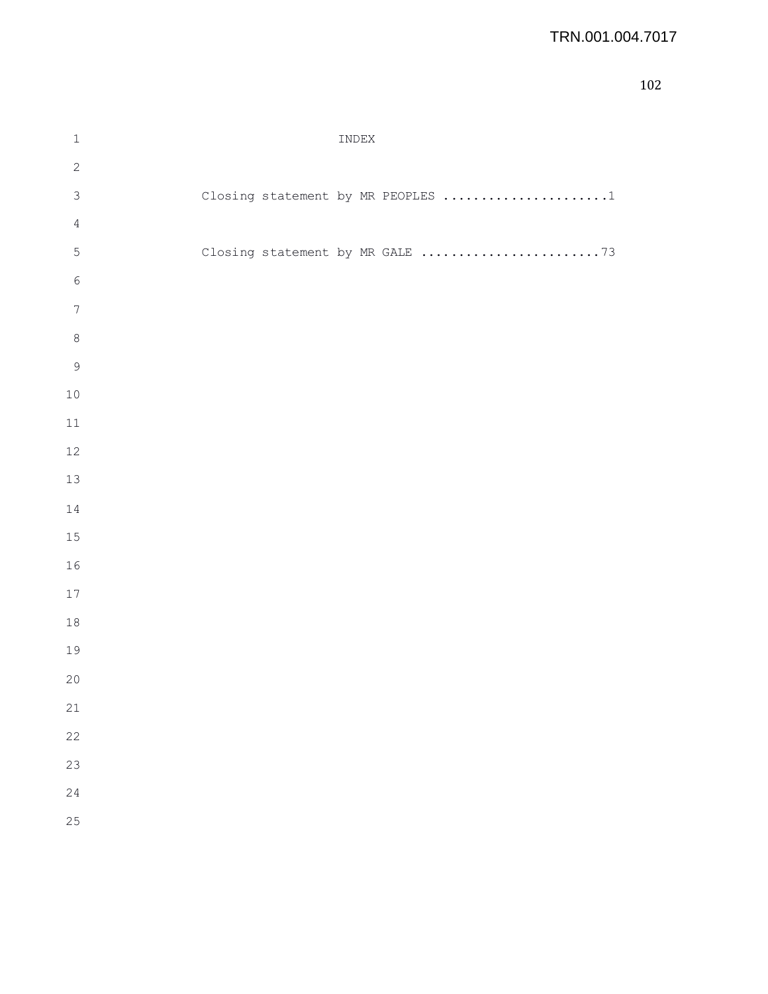| $\,1\,$          | INDEX                             |  |
|------------------|-----------------------------------|--|
| $\sqrt{2}$       |                                   |  |
| $\mathfrak{Z}$   | Closing statement by MR PEOPLES 1 |  |
| $\sqrt{4}$       |                                   |  |
| $\mathsf S$      | Closing statement by MR GALE 73   |  |
| $\epsilon$       |                                   |  |
| $\boldsymbol{7}$ |                                   |  |
| $\,8\,$          |                                   |  |
| $\mathsf 9$      |                                   |  |
| $10\,$           |                                   |  |
| $11\,$           |                                   |  |
| 12               |                                   |  |
| 13               |                                   |  |
| $1\,4$           |                                   |  |
| $15\,$           |                                   |  |
| 16               |                                   |  |
| $17\,$           |                                   |  |
| $18\,$           |                                   |  |
| 19               |                                   |  |
| 20               |                                   |  |
| 21               |                                   |  |
| 22               |                                   |  |
| 23               |                                   |  |
| 24               |                                   |  |
| 25               |                                   |  |